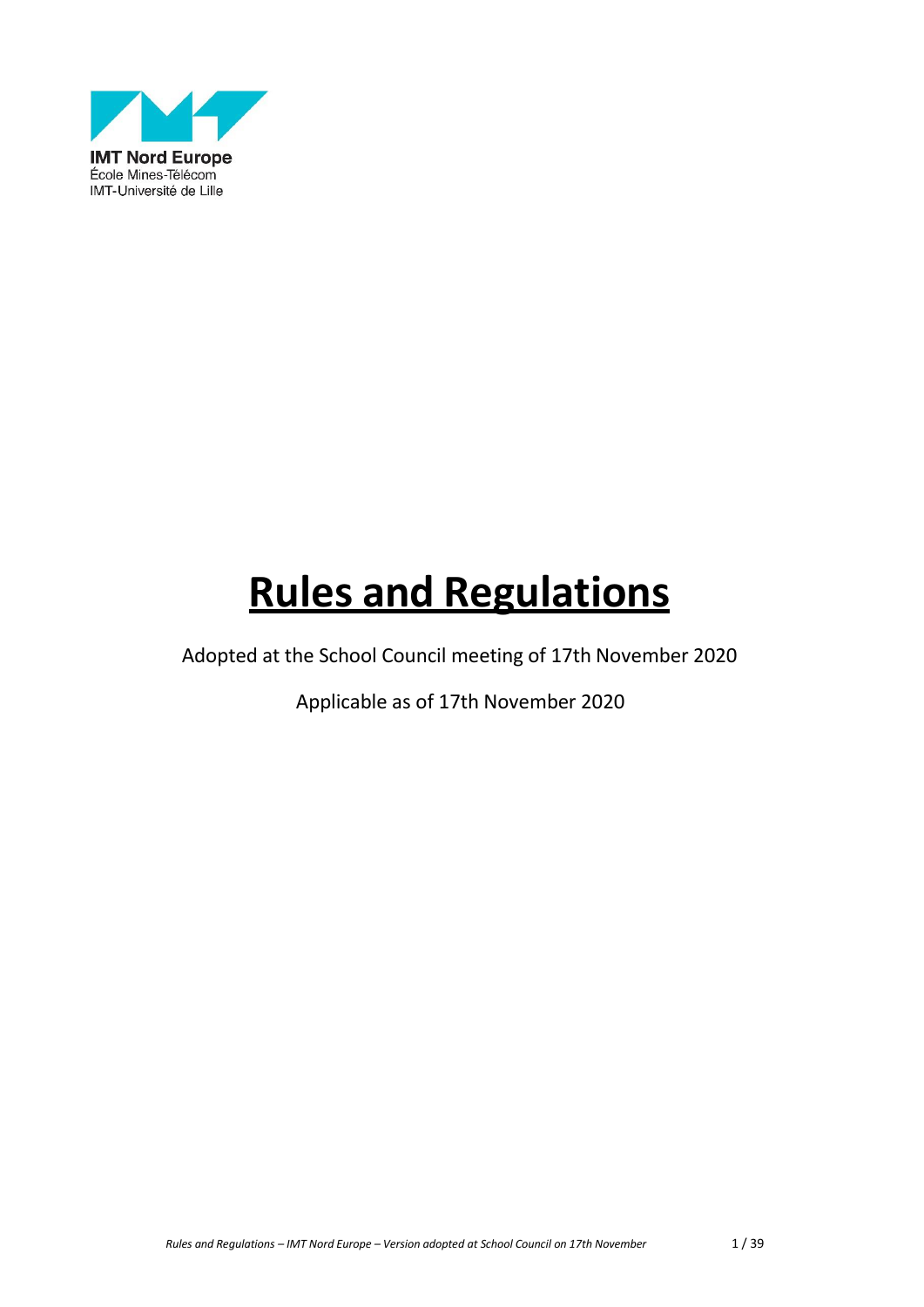

# **Rules and Regulations**

Adopted at the School Council meeting of 17th November 2020

Applicable as of 17th November 2020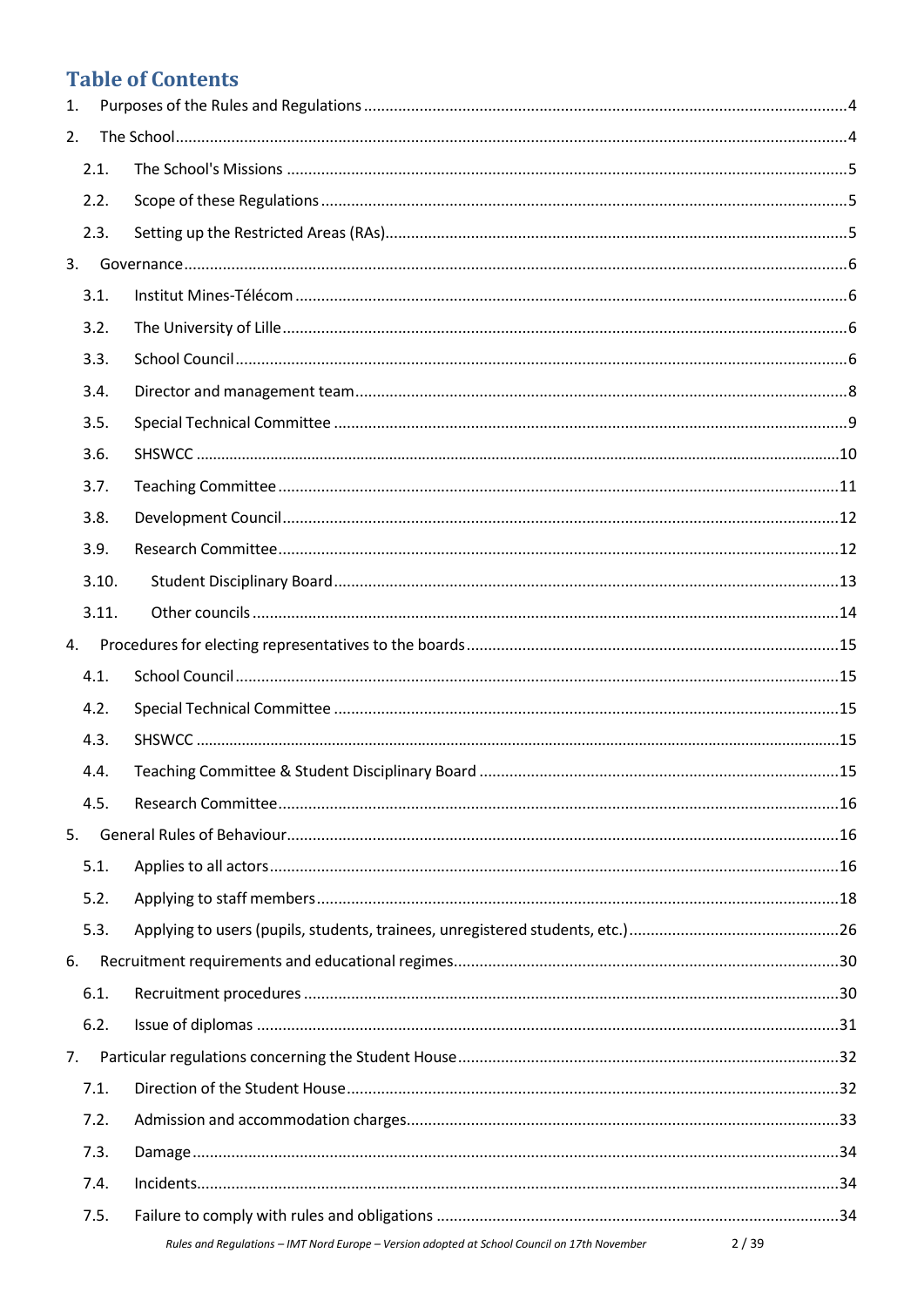# **Table of Contents**

| 1. |       |                                                                                              |      |
|----|-------|----------------------------------------------------------------------------------------------|------|
| 2. |       |                                                                                              |      |
|    | 2.1.  |                                                                                              |      |
|    | 2.2.  |                                                                                              |      |
|    | 2.3.  |                                                                                              |      |
| 3. |       |                                                                                              |      |
|    | 3.1.  |                                                                                              |      |
|    | 3.2.  |                                                                                              |      |
|    | 3.3.  |                                                                                              |      |
|    | 3.4.  |                                                                                              |      |
|    | 3.5.  |                                                                                              |      |
|    | 3.6.  |                                                                                              |      |
|    | 3.7.  |                                                                                              |      |
|    | 3.8.  |                                                                                              |      |
|    | 3.9.  |                                                                                              |      |
|    | 3.10. |                                                                                              |      |
|    | 3.11. |                                                                                              |      |
| 4. |       |                                                                                              |      |
|    | 4.1.  |                                                                                              |      |
|    | 4.2.  |                                                                                              |      |
|    | 4.3.  |                                                                                              |      |
|    | 4.4.  |                                                                                              |      |
|    | 4.5.  |                                                                                              |      |
| 5. |       |                                                                                              |      |
|    | 5.1.  |                                                                                              |      |
|    | 5.2.  |                                                                                              |      |
|    | 5.3.  |                                                                                              |      |
| 6. |       |                                                                                              |      |
|    | 6.1.  |                                                                                              |      |
|    | 6.2.  |                                                                                              |      |
| 7. |       |                                                                                              |      |
|    | 7.1.  |                                                                                              |      |
|    | 7.2.  |                                                                                              |      |
|    | 7.3.  |                                                                                              |      |
|    | 7.4.  |                                                                                              |      |
|    | 7.5.  |                                                                                              |      |
|    |       | Rules and Regulations - IMT Nord Europe - Version adopted at School Council on 17th November | 2/39 |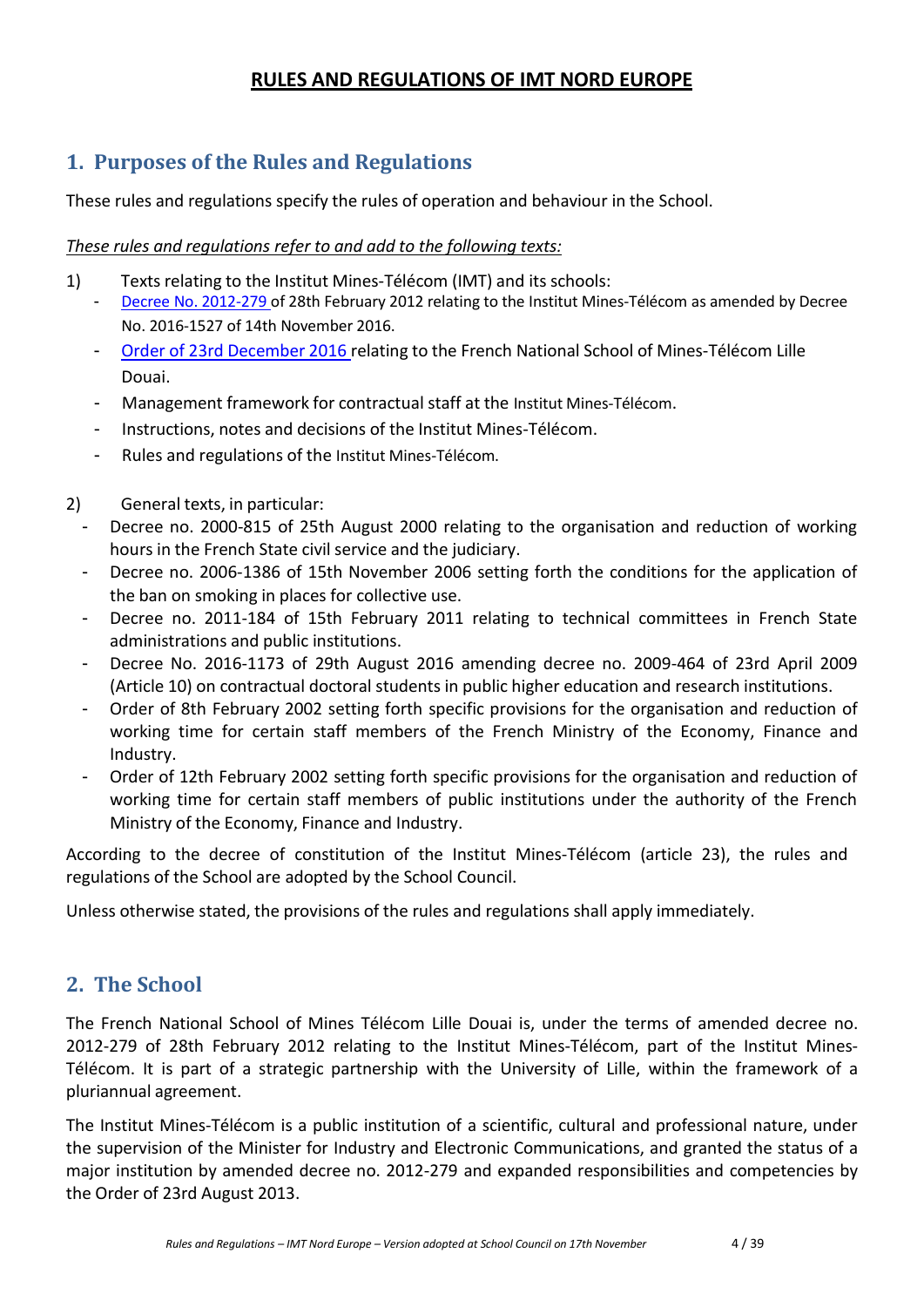# **RULES AND REGULATIONS OF IMT NORD EUROPE**

# <span id="page-3-0"></span>**1. Purposes of the Rules and Regulations**

These rules and regulations specify the rules of operation and behaviour in the School.

## *These rules and regulations refer to and add to the following texts:*

- 1) Texts relating to the Institut Mines-Télécom (IMT) and its schools:
	- Decree [No. 2012-279 o](https://www.legifrance.gouv.fr/affichTexte.do?cidTexte=LEGITEXT000025418517&dateTexte=20170516)f 28th February 2012 relating to the Institut Mines-Télécom as amended by Decree No. 2016-1527 of 14th November 2016.
	- Order of 23rd [December](https://www.legifrance.gouv.fr/affichTexte.do?cidTexte=JORFTEXT000033719157&fastPos=1&fastReqId=1844782178&categorieLien=cid&oldAction=rechTexte) 2016 relating to the French National School of Mines-Télécom Lille Douai.
	- Management framework for contractual staff at the Institut Mines-Télécom.
	- Instructions, notes and decisions of the Institut Mines-Télécom.
	- Rules and regulations of the Institut Mines-Télécom.
- 2) General texts, in particular:
	- Decree no. 2000-815 of 25th August 2000 relating to the organisation and reduction of working hours in the French State civil service and the judiciary.
	- Decree no. 2006-1386 of 15th November 2006 setting forth the conditions for the application of the ban on smoking in places for collective use.
	- Decree no. 2011-184 of 15th February 2011 relating to technical committees in French State administrations and public institutions.
	- Decree No. 2016-1173 of 29th August 2016 amending decree no. 2009-464 of 23rd April 2009 (Article 10) on contractual doctoral students in public higher education and research institutions.
	- Order of 8th February 2002 setting forth specific provisions for the organisation and reduction of working time for certain staff members of the French Ministry of the Economy, Finance and Industry.
	- Order of 12th February 2002 setting forth specific provisions for the organisation and reduction of working time for certain staff members of public institutions under the authority of the French Ministry of the Economy, Finance and Industry.

According to the decree of constitution of the Institut Mines-Télécom (article 23), the rules and regulations of the School are adopted by the School Council.

Unless otherwise stated, the provisions of the rules and regulations shall apply immediately.

# <span id="page-3-1"></span>**2. The School**

The French National School of Mines Télécom Lille Douai is, under the terms of amended decree no. 2012-279 of 28th February 2012 relating to the Institut Mines-Télécom, part of the Institut Mines-Télécom. It is part of a strategic partnership with the University of Lille, within the framework of a pluriannual agreement.

The Institut Mines-Télécom is a public institution of a scientific, cultural and professional nature, under the supervision of the Minister for Industry and Electronic Communications, and granted the status of a major institution by amended decree no. 2012-279 and expanded responsibilities and competencies by the Order of 23rd August 2013.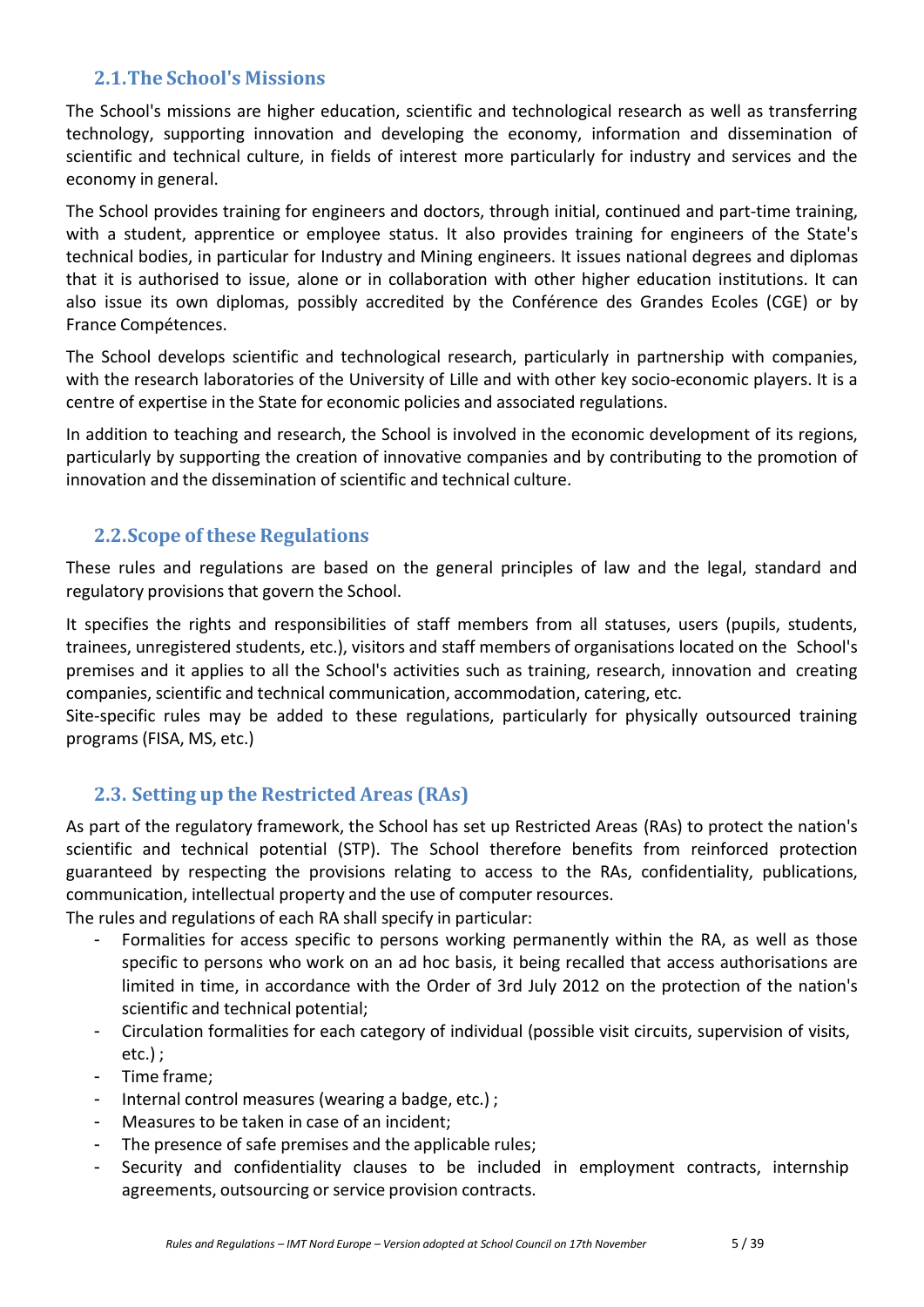# **2.1.The School's Missions**

<span id="page-4-0"></span>The School's missions are higher education, scientific and technological research as well as transferring technology, supporting innovation and developing the economy, information and dissemination of scientific and technical culture, in fields of interest more particularly for industry and services and the economy in general.

The School provides training for engineers and doctors, through initial, continued and part-time training, with a student, apprentice or employee status. It also provides training for engineers of the State's technical bodies, in particular for Industry and Mining engineers. It issues national degrees and diplomas that it is authorised to issue, alone or in collaboration with other higher education institutions. It can also issue its own diplomas, possibly accredited by the Conférence des Grandes Ecoles (CGE) or by France Compétences.

The School develops scientific and technological research, particularly in partnership with companies, with the research laboratories of the University of Lille and with other key socio-economic players. It is a centre of expertise in the State for economic policies and associated regulations.

In addition to teaching and research, the School is involved in the economic development of its regions, particularly by supporting the creation of innovative companies and by contributing to the promotion of innovation and the dissemination of scientific and technical culture.

# **2.2.Scope of these Regulations**

<span id="page-4-1"></span>These rules and regulations are based on the general principles of law and the legal, standard and regulatory provisions that govern the School.

It specifies the rights and responsibilities of staff members from all statuses, users (pupils, students, trainees, unregistered students, etc.), visitors and staff members of organisations located on the School's premises and it applies to all the School's activities such as training, research, innovation and creating companies, scientific and technical communication, accommodation, catering, etc.

Site-specific rules may be added to these regulations, particularly for physically outsourced training programs (FISA, MS, etc.)

# **2.3. Setting up the Restricted Areas (RAs)**

<span id="page-4-2"></span>As part of the regulatory framework, the School has set up Restricted Areas (RAs) to protect the nation's scientific and technical potential (STP). The School therefore benefits from reinforced protection guaranteed by respecting the provisions relating to access to the RAs, confidentiality, publications, communication, intellectual property and the use of computer resources.

The rules and regulations of each RA shall specify in particular:

- Formalities for access specific to persons working permanently within the RA, as well as those specific to persons who work on an ad hoc basis, it being recalled that access authorisations are limited in time, in accordance with the Order of 3rd July 2012 on the protection of the nation's scientific and technical potential;
- Circulation formalities for each category of individual (possible visit circuits, supervision of visits, etc.) ;
- Time frame;
- Internal control measures (wearing a badge, etc.);
- Measures to be taken in case of an incident;
- The presence of safe premises and the applicable rules;
- Security and confidentiality clauses to be included in employment contracts, internship agreements, outsourcing or service provision contracts.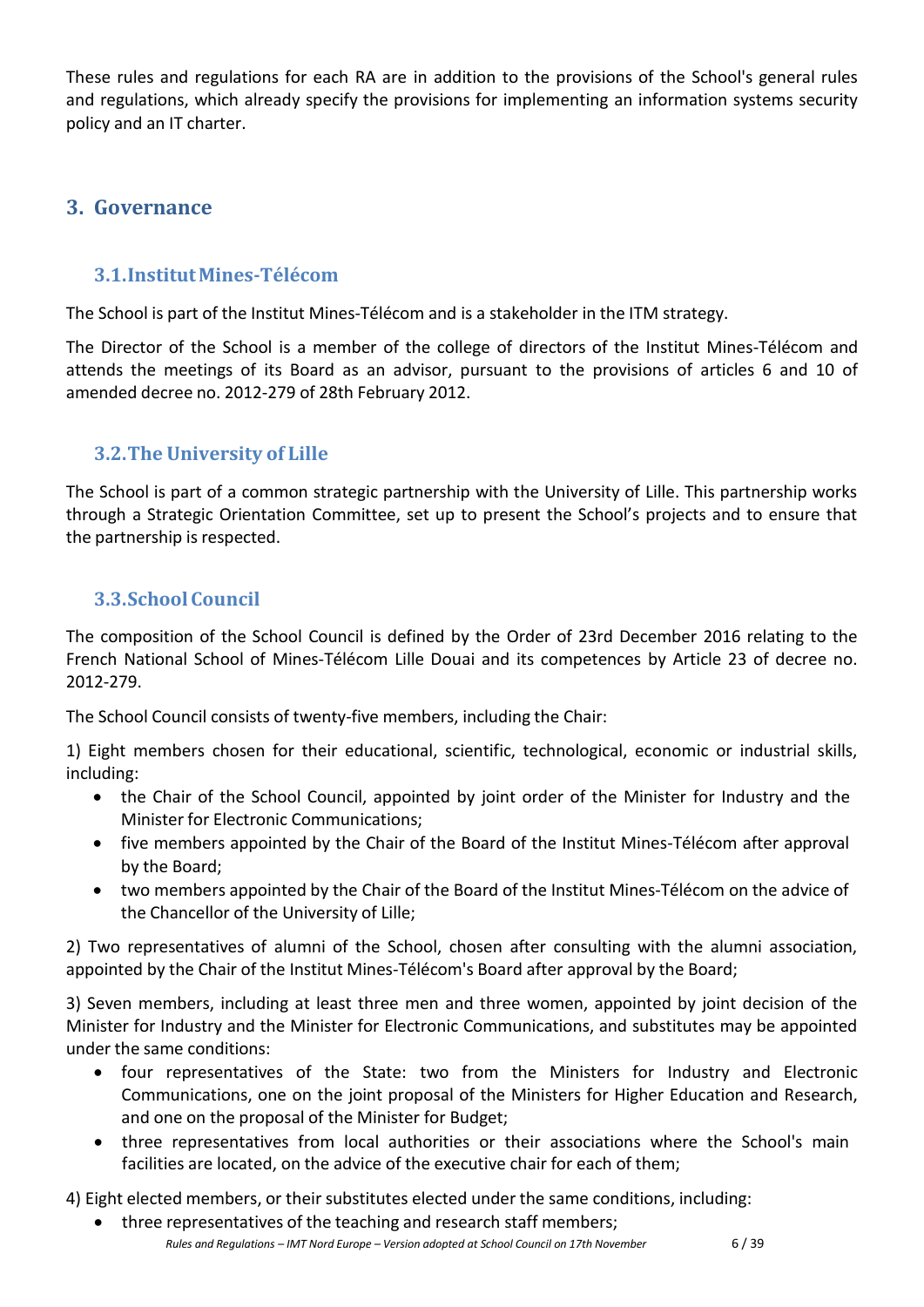These rules and regulations for each RA are in addition to the provisions of the School's general rules and regulations, which already specify the provisions for implementing an information systems security policy and an IT charter.

# <span id="page-5-0"></span>**3. Governance**

## **3.1.InstitutMines-Télécom**

<span id="page-5-1"></span>The School is part of the Institut Mines-Télécom and is a stakeholder in the ITM strategy.

The Director of the School is a member of the college of directors of the Institut Mines-Télécom and attends the meetings of its Board as an advisor, pursuant to the provisions of articles 6 and 10 of amended decree no. 2012-279 of 28th February 2012.

# <span id="page-5-2"></span>**3.2.The University of Lille**

The School is part of a common strategic partnership with the University of Lille. This partnership works through a Strategic Orientation Committee, set up to present the School's projects and to ensure that the partnership is respected.

# <span id="page-5-3"></span>**3.3.School Council**

The composition of the School Council is defined by the Order of 23rd December 2016 relating to the French National School of Mines-Télécom Lille Douai and its competences by Article 23 of decree no. 2012-279.

The School Council consists of twenty-five members, including the Chair:

1) Eight members chosen for their educational, scientific, technological, economic or industrial skills, including:

- the Chair of the School Council, appointed by joint order of the Minister for Industry and the Minister for Electronic Communications;
- five members appointed by the Chair of the Board of the Institut Mines-Télécom after approval by the Board;
- two members appointed by the Chair of the Board of the Institut Mines-Télécom on the advice of the Chancellor of the University of Lille;

2) Two representatives of alumni of the School, chosen after consulting with the alumni association, appointed by the Chair of the Institut Mines-Télécom's Board after approval by the Board;

3) Seven members, including at least three men and three women, appointed by joint decision of the Minister for Industry and the Minister for Electronic Communications, and substitutes may be appointed under the same conditions:

- four representatives of the State: two from the Ministers for Industry and Electronic Communications, one on the joint proposal of the Ministers for Higher Education and Research, and one on the proposal of the Minister for Budget;
- three representatives from local authorities or their associations where the School's main facilities are located, on the advice of the executive chair for each of them;

4) Eight elected members, or their substitutes elected under the same conditions, including:

*Rules and Regulations – IMT Nord Europe – Version adopted at School Council on 17th November* 6 / 39 • three representatives of the teaching and research staff members;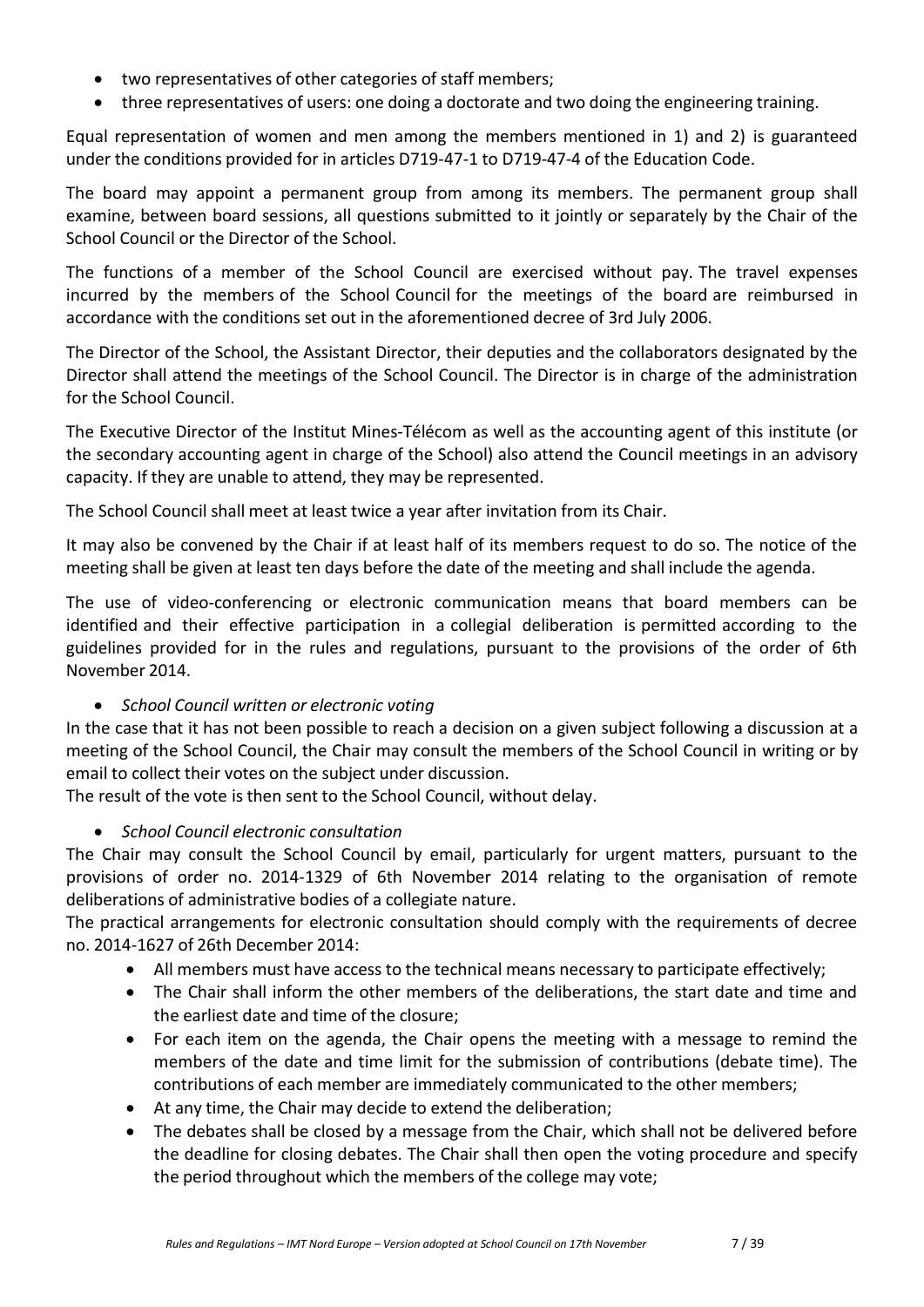- two representatives of other categories of staff members;
- three representatives of users: one doing a doctorate and two doing the engineering training.

Equal representation of women and men among the members mentioned in 1) and 2) is guaranteed under the conditions provided for in articles D719-47-1 to D719-47-4 of the Education Code.

The board may appoint a permanent group from among its members. The permanent group shall examine, between board sessions, all questions submitted to it jointly or separately by the Chair of the School Council or the Director of the School.

The functions of a member of the School Council are exercised without pay. The travel expenses incurred by the members of the School Council for the meetings of the board are reimbursed in accordance with the conditions set out in the aforementioned decree of 3rd July 2006.

The Director of the School, the Assistant Director, their deputies and the collaborators designated by the Director shall attend the meetings of the School Council. The Director is in charge of the administration for the School Council.

The Executive Director of the Institut Mines-Télécom as well as the accounting agent of this institute (or the secondary accounting agent in charge of the School) also attend the Council meetings in an advisory capacity. If they are unable to attend, they may be represented.

The School Council shall meet at least twice a year after invitation from its Chair.

It may also be convened by the Chair if at least half of its members request to do so. The notice of the meeting shall be given at least ten days before the date of the meeting and shall include the agenda.

The use of video-conferencing or electronic communication means that board members can be identified and their effective participation in a collegial deliberation is permitted according to the guidelines provided for in the rules and regulations, pursuant to the provisions of the order of 6th November 2014.

## • *School Council written or electronic voting*

In the case that it has not been possible to reach a decision on a given subject following a discussion at a meeting of the School Council, the Chair may consult the members of the School Council in writing or by email to collect their votes on the subject under discussion.

The result of the vote is then sent to the School Council, without delay.

## • *School Council electronic consultation*

The Chair may consult the School Council by email, particularly for urgent matters, pursuant to the provisions of order no. 2014-1329 of 6th November 2014 relating to the organisation of remote deliberations of administrative bodies of a collegiate nature.

The practical arrangements for electronic consultation should comply with the requirements of decree no. 2014-1627 of 26th December 2014:

- All members must have access to the technical means necessary to participate effectively;
- The Chair shall inform the other members of the deliberations, the start date and time and the earliest date and time of the closure;
- For each item on the agenda, the Chair opens the meeting with a message to remind the members of the date and time limit for the submission of contributions (debate time). The contributions of each member are immediately communicated to the other members;
- At any time, the Chair may decide to extend the deliberation;
- The debates shall be closed by a message from the Chair, which shall not be delivered before the deadline for closing debates. The Chair shall then open the voting procedure and specify the period throughout which the members of the college may vote;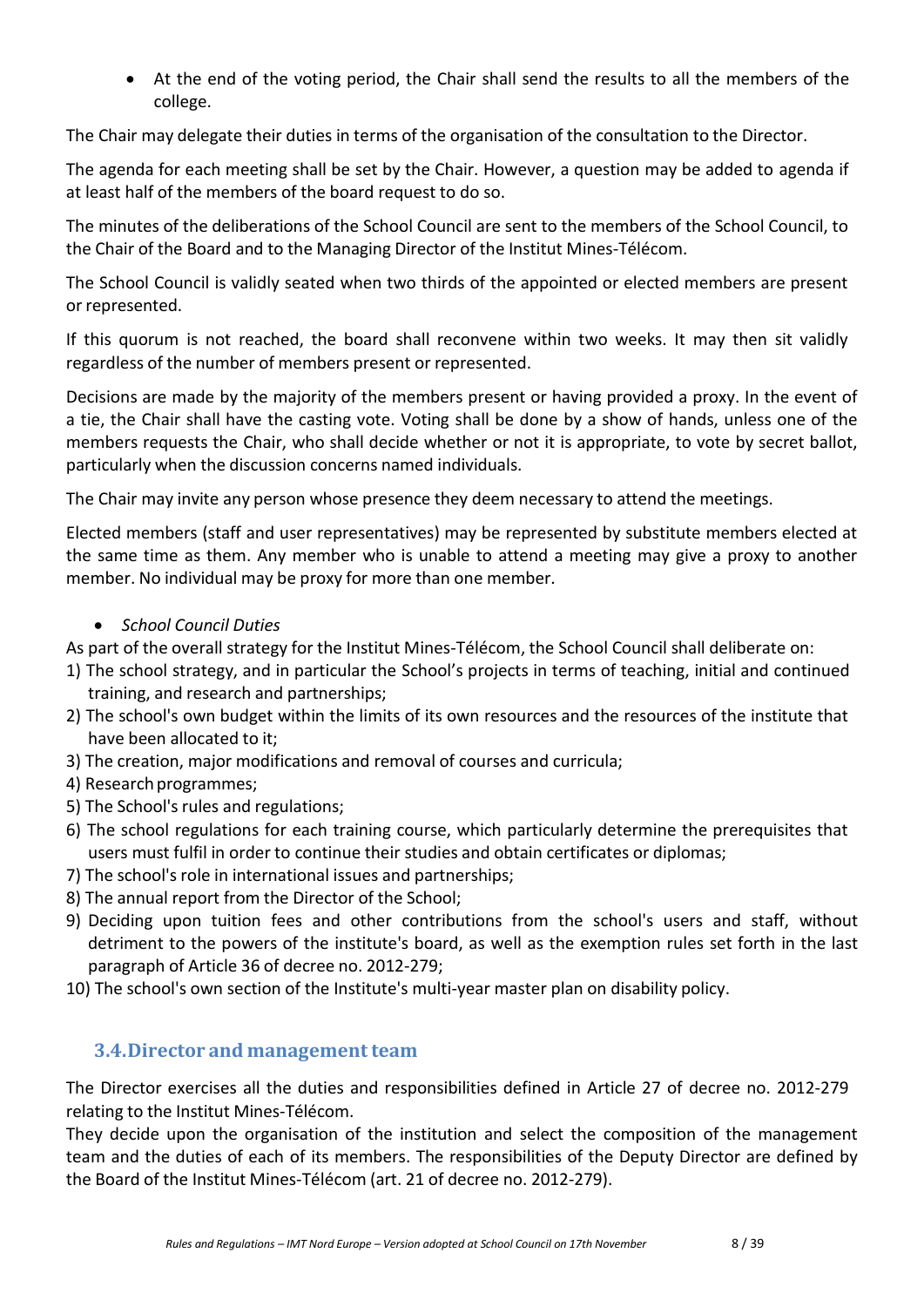• At the end of the voting period, the Chair shall send the results to all the members of the college.

The Chair may delegate their duties in terms of the organisation of the consultation to the Director.

The agenda for each meeting shall be set by the Chair. However, a question may be added to agenda if at least half of the members of the board request to do so.

The minutes of the deliberations of the School Council are sent to the members of the School Council, to the Chair of the Board and to the Managing Director of the Institut Mines-Télécom.

The School Council is validly seated when two thirds of the appointed or elected members are present or represented.

If this quorum is not reached, the board shall reconvene within two weeks. It may then sit validly regardless of the number of members present or represented.

Decisions are made by the majority of the members present or having provided a proxy. In the event of a tie, the Chair shall have the casting vote. Voting shall be done by a show of hands, unless one of the members requests the Chair, who shall decide whether or not it is appropriate, to vote by secret ballot, particularly when the discussion concerns named individuals.

The Chair may invite any person whose presence they deem necessary to attend the meetings.

Elected members (staff and user representatives) may be represented by substitute members elected at the same time as them. Any member who is unable to attend a meeting may give a proxy to another member. No individual may be proxy for more than one member.

#### • *School Council Duties*

As part of the overall strategy for the Institut Mines-Télécom, the School Council shall deliberate on:

- 1) The school strategy, and in particular the School's projects in terms of teaching, initial and continued training, and research and partnerships;
- 2) The school's own budget within the limits of its own resources and the resources of the institute that have been allocated to it;
- 3) The creation, major modifications and removal of courses and curricula;
- 4) Research programmes;
- 5) The School's rules and regulations;
- 6) The school regulations for each training course, which particularly determine the prerequisites that users must fulfil in order to continue their studies and obtain certificates or diplomas;
- 7) The school's role in international issues and partnerships;
- 8) The annual report from the Director of the School;
- 9) Deciding upon tuition fees and other contributions from the school's users and staff, without detriment to the powers of the institute's board, as well as the exemption rules set forth in the last paragraph of Article 36 of decree no. 2012-279;
- 10) The school's own section of the Institute's multi-year master plan on disability policy.

## <span id="page-7-0"></span>**3.4.Director and management team**

The Director exercises all the duties and responsibilities defined in Article 27 of decree no. 2012-279 relating to the Institut Mines-Télécom.

They decide upon the organisation of the institution and select the composition of the management team and the duties of each of its members. The responsibilities of the Deputy Director are defined by the Board of the Institut Mines-Télécom (art. 21 of decree no. 2012-279).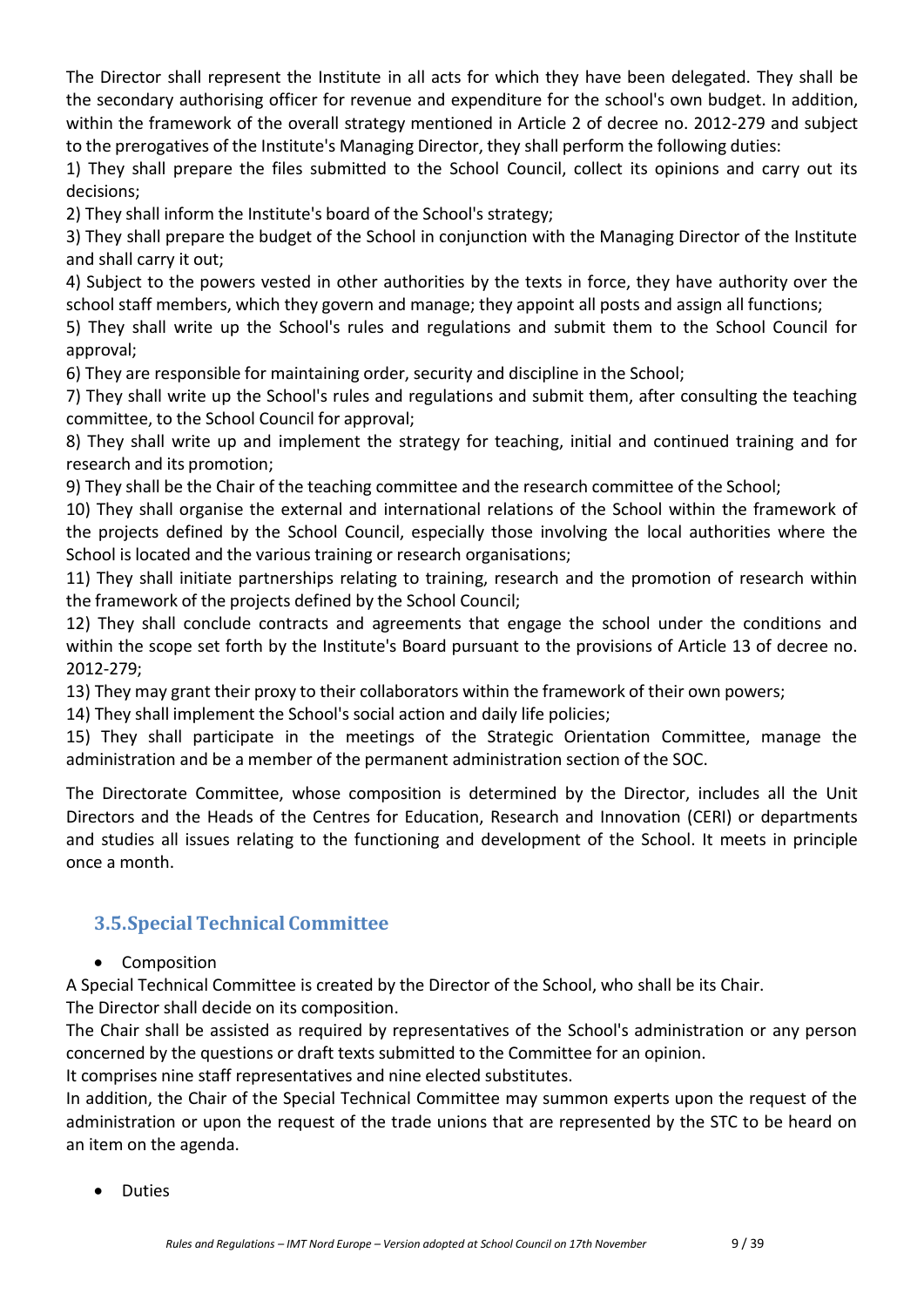The Director shall represent the Institute in all acts for which they have been delegated. They shall be the secondary authorising officer for revenue and expenditure for the school's own budget. In addition, within the framework of the overall strategy mentioned in Article 2 of decree no. 2012-279 and subject to the prerogatives of the Institute's Managing Director, they shall perform the following duties:

1) They shall prepare the files submitted to the School Council, collect its opinions and carry out its decisions;

2) They shall inform the Institute's board of the School's strategy;

3) They shall prepare the budget of the School in conjunction with the Managing Director of the Institute and shall carry it out;

4) Subject to the powers vested in other authorities by the texts in force, they have authority over the school staff members, which they govern and manage; they appoint all posts and assign all functions;

5) They shall write up the School's rules and regulations and submit them to the School Council for approval;

6) They are responsible for maintaining order, security and discipline in the School;

7) They shall write up the School's rules and regulations and submit them, after consulting the teaching committee, to the School Council for approval;

8) They shall write up and implement the strategy for teaching, initial and continued training and for research and its promotion;

9) They shall be the Chair of the teaching committee and the research committee of the School;

10) They shall organise the external and international relations of the School within the framework of the projects defined by the School Council, especially those involving the local authorities where the School is located and the various training or research organisations;

11) They shall initiate partnerships relating to training, research and the promotion of research within the framework of the projects defined by the School Council;

12) They shall conclude contracts and agreements that engage the school under the conditions and within the scope set forth by the Institute's Board pursuant to the provisions of Article 13 of decree no. 2012-279;

13) They may grant their proxy to their collaborators within the framework of their own powers;

14) They shall implement the School's social action and daily life policies;

15) They shall participate in the meetings of the Strategic Orientation Committee, manage the administration and be a member of the permanent administration section of the SOC.

The Directorate Committee, whose composition is determined by the Director, includes all the Unit Directors and the Heads of the Centres for Education, Research and Innovation (CERI) or departments and studies all issues relating to the functioning and development of the School. It meets in principle once a month.

# <span id="page-8-0"></span>**3.5.SpecialTechnical Committee**

## • Composition

A Special Technical Committee is created by the Director of the School, who shall be its Chair.

The Director shall decide on its composition.

The Chair shall be assisted as required by representatives of the School's administration or any person concerned by the questions or draft texts submitted to the Committee for an opinion.

It comprises nine staff representatives and nine elected substitutes.

In addition, the Chair of the Special Technical Committee may summon experts upon the request of the administration or upon the request of the trade unions that are represented by the STC to be heard on an item on the agenda.

• Duties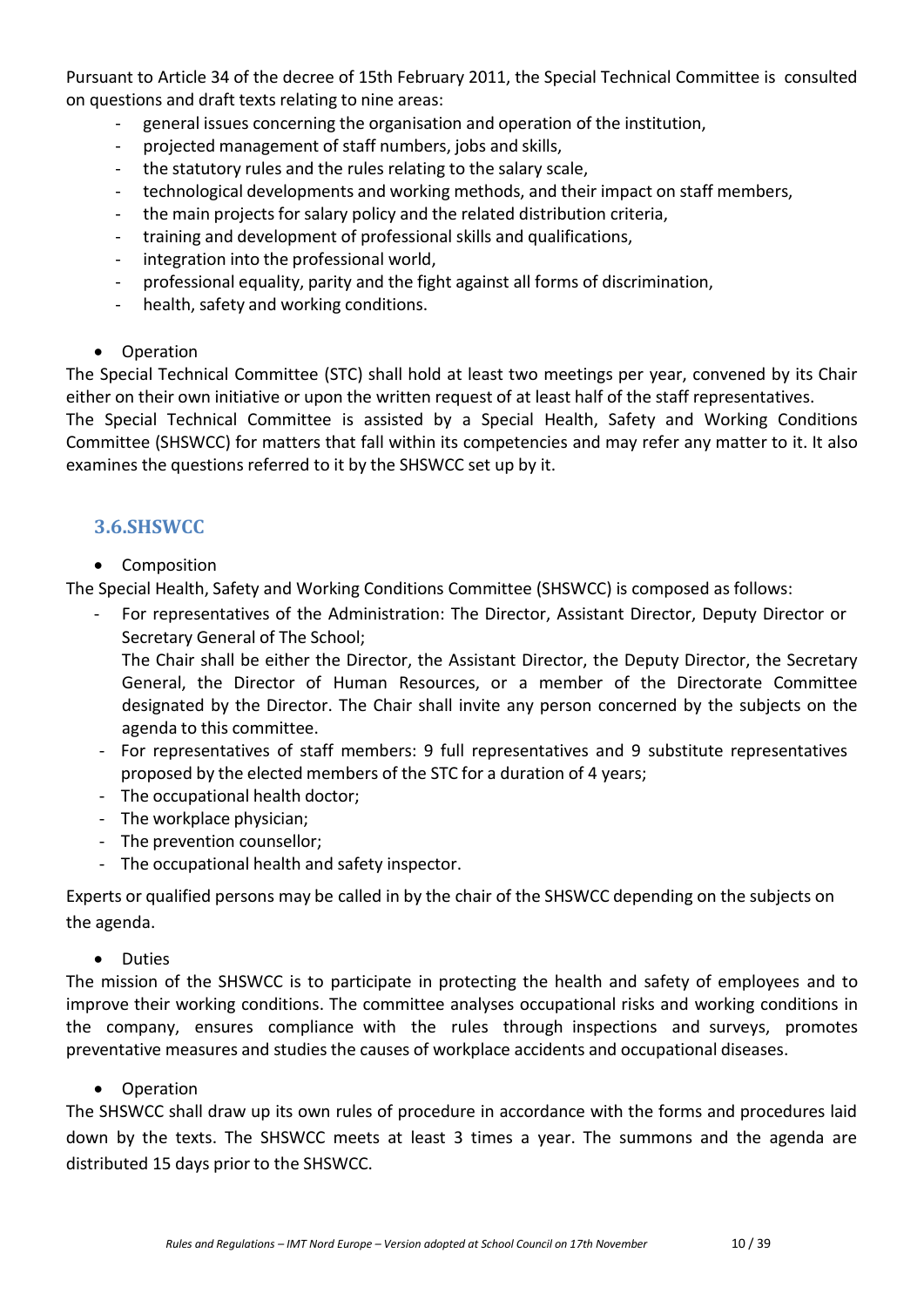Pursuant to Article 34 of the decree of 15th February 2011, the Special Technical Committee is consulted on questions and draft texts relating to nine areas:

- general issues concerning the organisation and operation of the institution,
- projected management of staff numbers, jobs and skills,
- the statutory rules and the rules relating to the salary scale,
- technological developments and working methods, and their impact on staff members,
- the main projects for salary policy and the related distribution criteria,
- training and development of professional skills and qualifications,
- integration into the professional world,
- professional equality, parity and the fight against all forms of discrimination,
- health, safety and working conditions.
- Operation

The Special Technical Committee (STC) shall hold at least two meetings per year, convened by its Chair either on their own initiative or upon the written request of at least half of the staff representatives.

The Special Technical Committee is assisted by a Special Health, Safety and Working Conditions Committee (SHSWCC) for matters that fall within its competencies and may refer any matter to it. It also examines the questions referred to it by the SHSWCC set up by it.

# <span id="page-9-0"></span>**3.6.SHSWCC**

• Composition

The Special Health, Safety and Working Conditions Committee (SHSWCC) is composed as follows:

- For representatives of the Administration: The Director, Assistant Director, Deputy Director or Secretary General of The School;

The Chair shall be either the Director, the Assistant Director, the Deputy Director, the Secretary General, the Director of Human Resources, or a member of the Directorate Committee designated by the Director. The Chair shall invite any person concerned by the subjects on the agenda to this committee.

- For representatives of staff members: 9 full representatives and 9 substitute representatives proposed by the elected members of the STC for a duration of 4 years;
- The occupational health doctor;
- The workplace physician;
- The prevention counsellor;
- The occupational health and safety inspector.

Experts or qualified persons may be called in by the chair of the SHSWCC depending on the subjects on the agenda.

• Duties

The mission of the SHSWCC is to participate in protecting the health and safety of employees and to improve their working conditions. The committee analyses occupational risks and working conditions in the company, ensures compliance with the rules through inspections and surveys, promotes preventative measures and studies the causes of [workplace](http://www.journaldunet.com/management/pratique/divers/1673/accident-du-travail.html) accidents and [occupational](http://www.journaldunet.com/management/pratique/vie-professionnelle/1729/maladie-professionnelle.html) diseases.

#### • Operation

The SHSWCC shall draw up its own rules of procedure in accordance with the forms and procedures laid down by the texts. The SHSWCC meets at least 3 times a year. The summons and the agenda are distributed 15 days prior to the SHSWCC.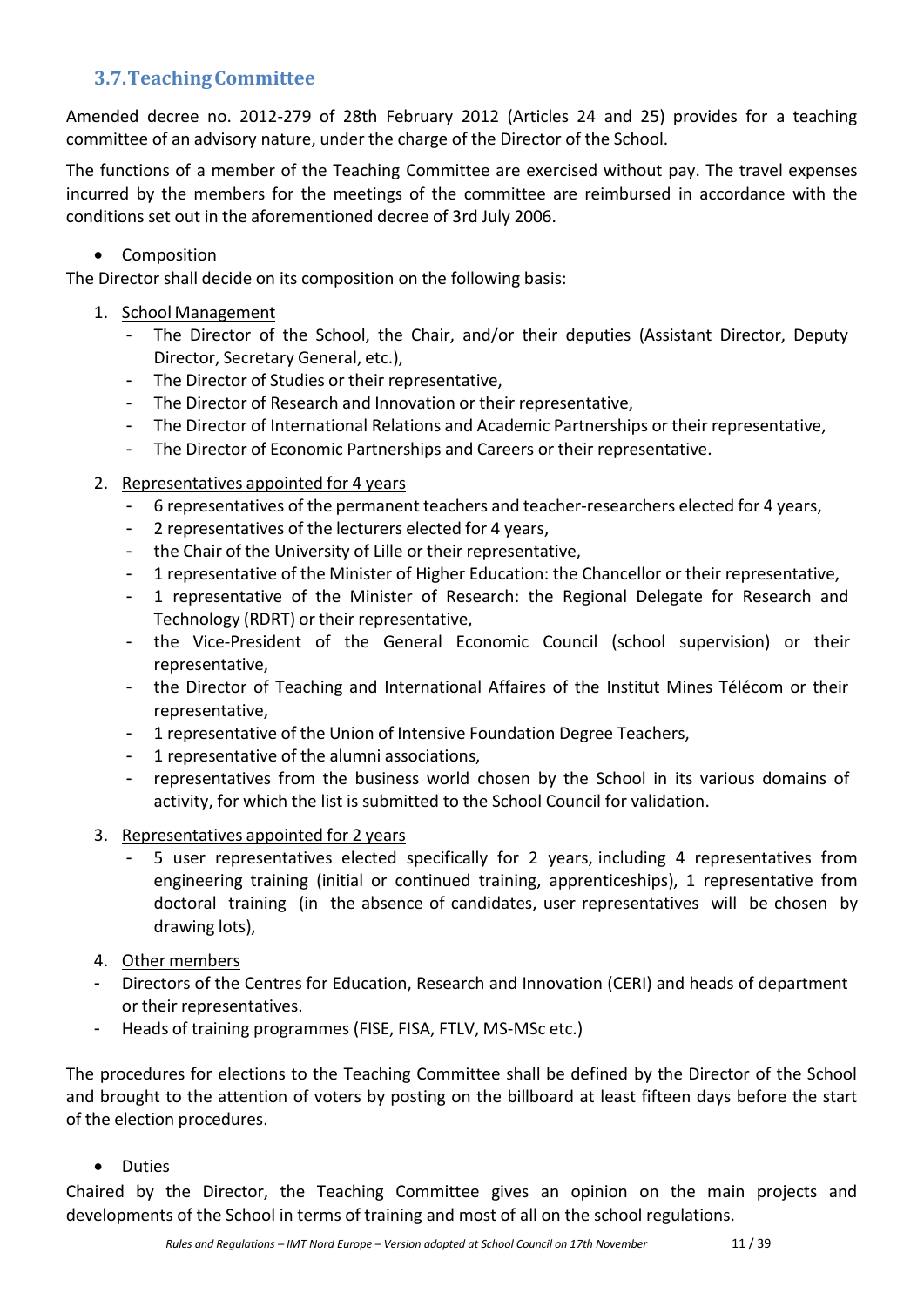# <span id="page-10-0"></span>**3.7.TeachingCommittee**

Amended decree no. 2012-279 of 28th February 2012 (Articles 24 and 25) provides for a teaching committee of an advisory nature, under the charge of the Director of the School.

The functions of a member of the Teaching Committee are exercised without pay. The travel expenses incurred by the members for the meetings of the committee are reimbursed in accordance with the conditions set out in the aforementioned decree of 3rd July 2006.

## • Composition

The Director shall decide on its composition on the following basis:

- 1. School Management
	- The Director of the School, the Chair, and/or their deputies (Assistant Director, Deputy Director, Secretary General, etc.),
	- The Director of Studies or their representative,
	- The Director of Research and Innovation or their representative,
	- The Director of International Relations and Academic Partnerships or their representative,
	- The Director of Economic Partnerships and Careers or their representative.
- 2. Representatives appointed for 4 years
	- 6 representatives of the permanent teachers and teacher-researchers elected for 4 years,
	- 2 representatives of the lecturers elected for 4 years,
	- the Chair of the University of Lille or their representative,
	- 1 representative of the Minister of Higher Education: the Chancellor or their representative,
	- 1 representative of the Minister of Research: the Regional Delegate for Research and Technology (RDRT) or their representative,
	- the Vice-President of the General Economic Council (school supervision) or their representative,
	- the Director of Teaching and International Affaires of the Institut Mines Télécom or their representative,
	- 1 representative of the Union of Intensive Foundation Degree Teachers,
	- 1 representative of the alumni associations,
	- representatives from the business world chosen by the School in its various domains of activity, for which the list is submitted to the School Council for validation.
- 3. Representatives appointed for 2 years
	- 5 user representatives elected specifically for 2 years, including 4 representatives from engineering training (initial or continued training, apprenticeships), 1 representative from doctoral training (in the absence of candidates, user representatives will be chosen by drawing lots),
- 4. Other members
- Directors of the Centres for Education, Research and Innovation (CERI) and heads of department or their representatives.
- Heads of training programmes (FISE, FISA, FTLV, MS-MSc etc.)

The procedures for elections to the Teaching Committee shall be defined by the Director of the School and brought to the attention of voters by posting on the billboard at least fifteen days before the start of the election procedures.

• Duties

Chaired by the Director, the Teaching Committee gives an opinion on the main projects and developments of the School in terms of training and most of all on the school regulations.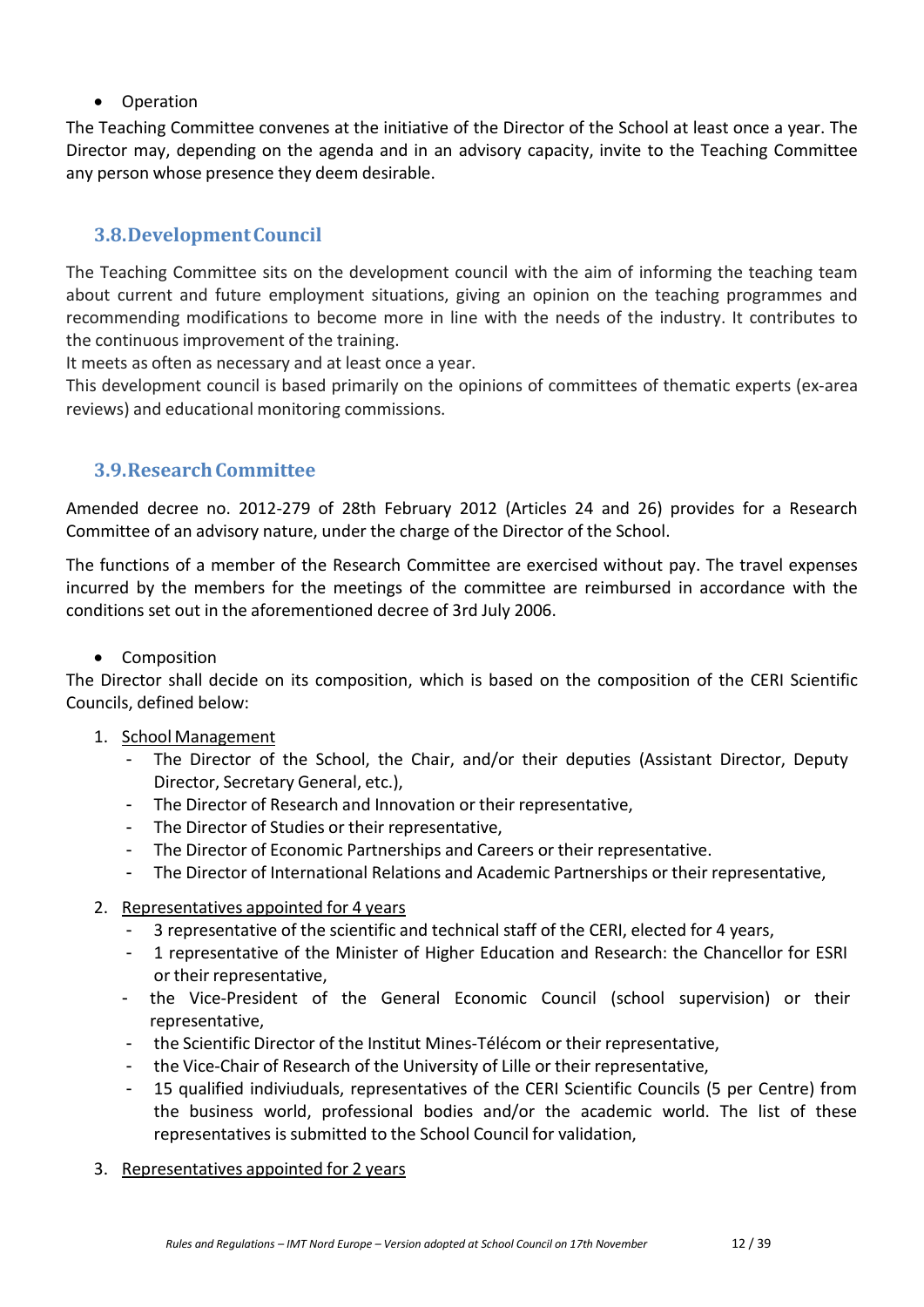• Operation

The Teaching Committee convenes at the initiative of the Director of the School at least once a year. The Director may, depending on the agenda and in an advisory capacity, invite to the Teaching Committee any person whose presence they deem desirable.

# <span id="page-11-0"></span>**3.8.DevelopmentCouncil**

The Teaching Committee sits on the development council with the aim of informing the teaching team about current and future employment situations, giving an opinion on the teaching programmes and recommending modifications to become more in line with the needs of the industry. It contributes to the continuous improvement of the training.

It meets as often as necessary and at least once a year.

This development council is based primarily on the opinions of committees of thematic experts (ex-area reviews) and educational monitoring commissions.

# <span id="page-11-1"></span>**3.9.ResearchCommittee**

Amended decree no. 2012-279 of 28th February 2012 (Articles 24 and 26) provides for a Research Committee of an advisory nature, under the charge of the Director of the School.

The functions of a member of the Research Committee are exercised without pay. The travel expenses incurred by the members for the meetings of the committee are reimbursed in accordance with the conditions set out in the aforementioned decree of 3rd July 2006.

## • Composition

The Director shall decide on its composition, which is based on the composition of the CERI Scientific Councils, defined below:

## 1. School Management

- The Director of the School, the Chair, and/or their deputies (Assistant Director, Deputy Director, Secretary General, etc.),
- The Director of Research and Innovation or their representative,
- The Director of Studies or their representative,
- The Director of Economic Partnerships and Careers or their representative.
- The Director of International Relations and Academic Partnerships or their representative,
- 2. Representatives appointed for 4 years
	- 3 representative of the scientific and technical staff of the CERI, elected for 4 years,
	- 1 representative of the Minister of Higher Education and Research: the Chancellor for ESRI or their representative,
	- the Vice-President of the General Economic Council (school supervision) or their representative,
	- the Scientific Director of the Institut Mines-Télécom or their representative,
	- the Vice-Chair of Research of the University of Lille or their representative,
	- 15 qualified indiviuduals, representatives of the CERI Scientific Councils (5 per Centre) from the business world, professional bodies and/or the academic world. The list of these representatives is submitted to the School Council for validation,
- 3. Representatives appointed for 2 years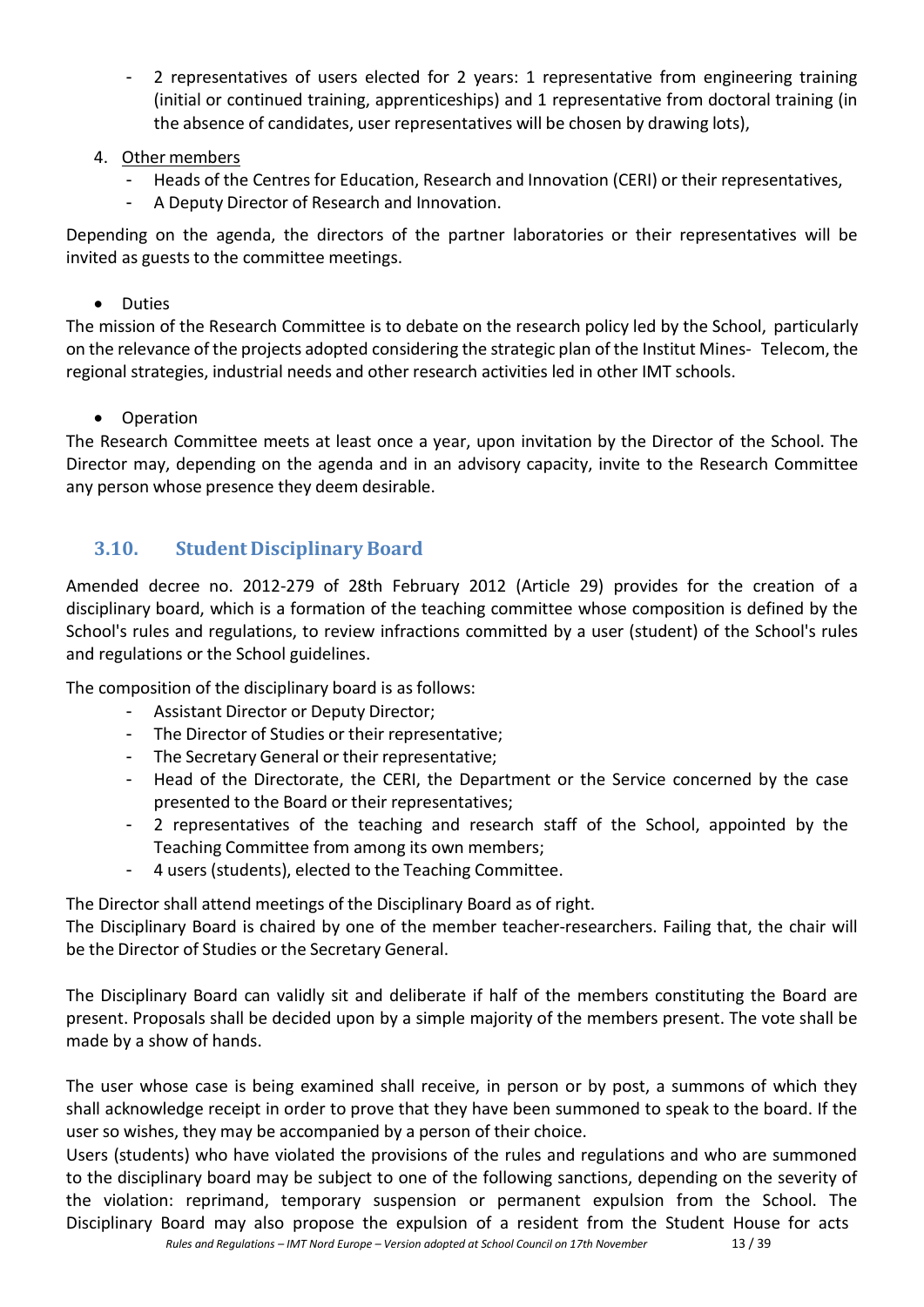- 2 representatives of users elected for 2 years: 1 representative from engineering training (initial or continued training, apprenticeships) and 1 representative from doctoral training (in the absence of candidates, user representatives will be chosen by drawing lots),
- 4. Other members
	- Heads of the Centres for Education, Research and Innovation (CERI) or their representatives,
	- A Deputy Director of Research and Innovation.

Depending on the agenda, the directors of the partner laboratories or their representatives will be invited as guests to the committee meetings.

• Duties

The mission of the Research Committee is to debate on the research policy led by the School, particularly on the relevance of the projects adopted considering the strategic plan of the Institut Mines- Telecom, the regional strategies, industrial needs and other research activities led in other IMT schools.

• Operation

The Research Committee meets at least once a year, upon invitation by the Director of the School. The Director may, depending on the agenda and in an advisory capacity, invite to the Research Committee any person whose presence they deem desirable.

# **3.10. Student Disciplinary Board**

<span id="page-12-0"></span>Amended decree no. 2012-279 of 28th February 2012 (Article 29) provides for the creation of a disciplinary board, which is a formation of the teaching committee whose composition is defined by the School's rules and regulations, to review infractions committed by a user (student) of the School's rules and regulations or the School guidelines.

The composition of the disciplinary board is as follows:

- Assistant Director or Deputy Director;
- The Director of Studies or their representative;
- The Secretary General or their representative;
- Head of the Directorate, the CERI, the Department or the Service concerned by the case presented to the Board or their representatives;
- 2 representatives of the teaching and research staff of the School, appointed by the Teaching Committee from among its own members;
- 4 users (students), elected to the Teaching Committee.

The Director shall attend meetings of the Disciplinary Board as of right.

The Disciplinary Board is chaired by one of the member teacher-researchers. Failing that, the chair will be the Director of Studies or the Secretary General.

The Disciplinary Board can validly sit and deliberate if half of the members constituting the Board are present. Proposals shall be decided upon by a simple majority of the members present. The vote shall be made by a show of hands.

The user whose case is being examined shall receive, in person or by post, a summons of which they shall acknowledge receipt in order to prove that they have been summoned to speak to the board. If the user so wishes, they may be accompanied by a person of their choice.

Users (students) who have violated the provisions of the rules and regulations and who are summoned to the disciplinary board may be subject to one of the following sanctions, depending on the severity of the violation: reprimand, temporary suspension or permanent expulsion from the School. The Disciplinary Board may also propose the expulsion of a resident from the Student House for acts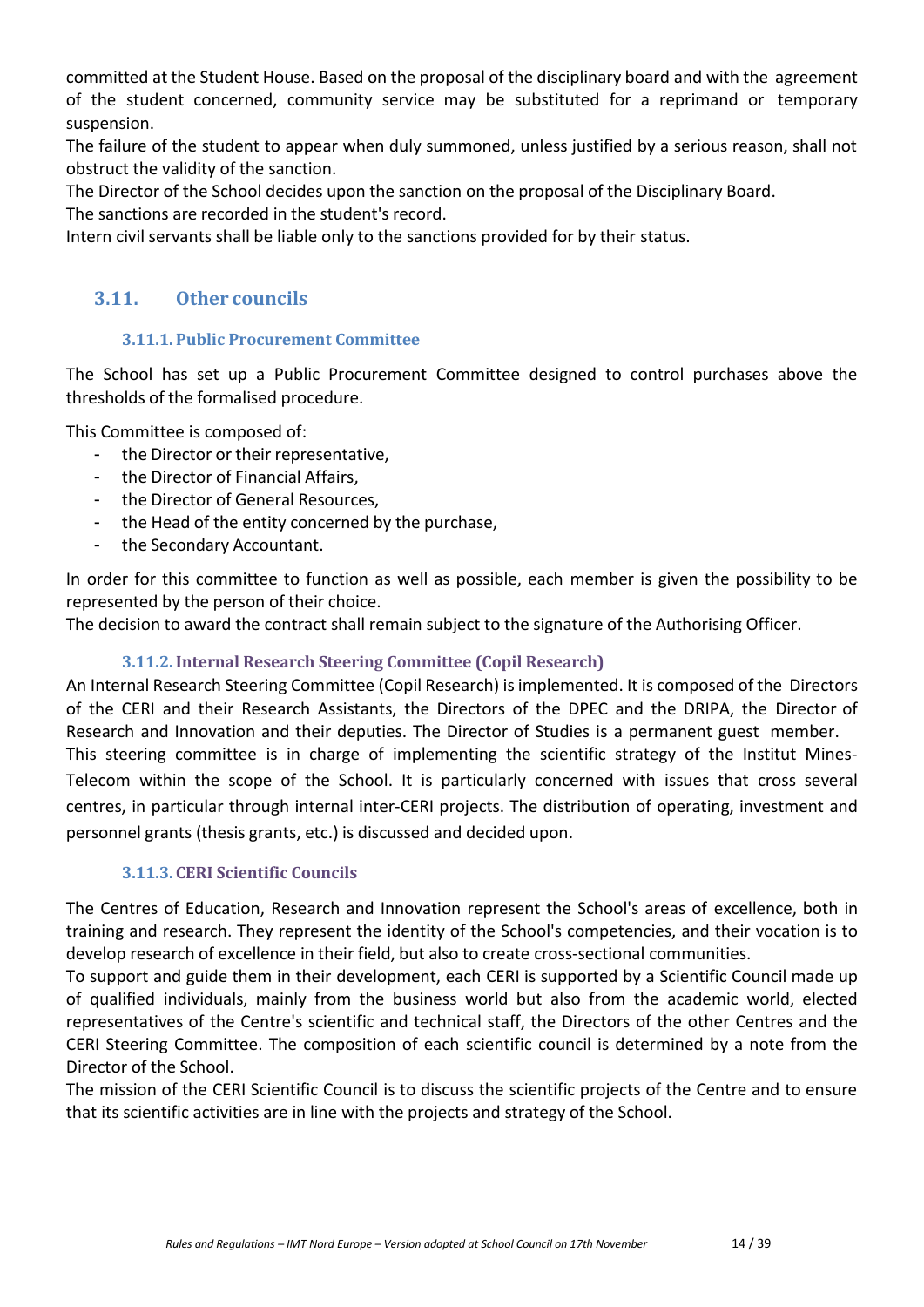committed at the Student House. Based on the proposal of the disciplinary board and with the agreement of the student concerned, community service may be substituted for a reprimand or temporary suspension.

The failure of the student to appear when duly summoned, unless justified by a serious reason, shall not obstruct the validity of the sanction.

The Director of the School decides upon the sanction on the proposal of the Disciplinary Board.

The sanctions are recorded in the student's record.

Intern civil servants shall be liable only to the sanctions provided for by their status.

# <span id="page-13-0"></span>**3.11. Other councils**

## **3.11.1. Public Procurement Committee**

The School has set up a Public Procurement Committee designed to control purchases above the thresholds of the formalised procedure.

This Committee is composed of:

- the Director or their representative,
- the Director of Financial Affairs,
- the Director of General Resources,
- the Head of the entity concerned by the purchase,
- the Secondary Accountant.

In order for this committee to function as well as possible, each member is given the possibility to be represented by the person of their choice.

The decision to award the contract shall remain subject to the signature of the Authorising Officer.

# **3.11.2.Internal Research Steering Committee (Copil Research)**

An Internal Research Steering Committee (Copil Research) isimplemented. It is composed of the Directors of the CERI and their Research Assistants, the Directors of the DPEC and the DRIPA, the Director of Research and Innovation and their deputies. The Director of Studies is a permanent guest member. This steering committee is in charge of implementing the scientific strategy of the Institut Mines-Telecom within the scope of the School. It is particularly concerned with issues that cross several centres, in particular through internal inter-CERI projects. The distribution of operating, investment and personnel grants (thesis grants, etc.) is discussed and decided upon.

# **3.11.3. CERI Scientific Councils**

The Centres of Education, Research and Innovation represent the School's areas of excellence, both in training and research. They represent the identity of the School's competencies, and their vocation is to develop research of excellence in their field, but also to create cross-sectional communities.

To support and guide them in their development, each CERI is supported by a Scientific Council made up of qualified individuals, mainly from the business world but also from the academic world, elected representatives of the Centre's scientific and technical staff, the Directors of the other Centres and the CERI Steering Committee. The composition of each scientific council is determined by a note from the Director of the School.

The mission of the CERI Scientific Council is to discuss the scientific projects of the Centre and to ensure that its scientific activities are in line with the projects and strategy of the School.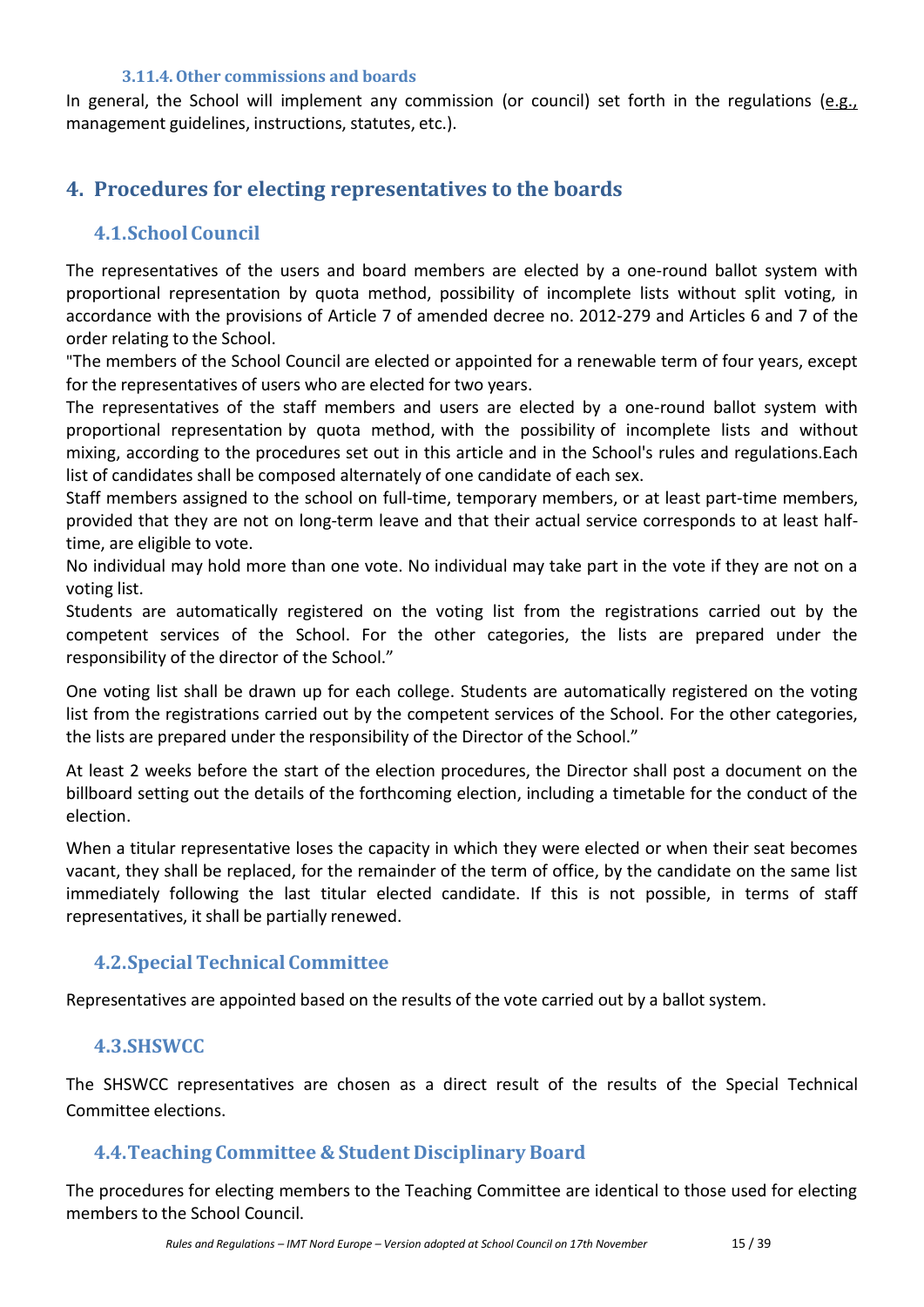#### **3.11.4.Other commissions and boards**

In general, the School will implement any commission (or council) set forth in the regulations (e.g., management guidelines, instructions, statutes, etc.).

# <span id="page-14-0"></span>**4. Procedures for electing representatives to the boards**

# <span id="page-14-1"></span>**4.1.School Council**

The representatives of the users and board members are elected by a one-round ballot system with proportional representation by quota method, possibility of incomplete lists without split voting, in accordance with the provisions of Article 7 of amended decree no. 2012-279 and Articles 6 and 7 of the order relating to the School.

"The members of the School Council are elected or appointed for a renewable term of four years, except for the representatives of users who are elected for two years.

The representatives of the staff members and users are elected by a one-round ballot system with proportional representation by quota method, with the possibility of incomplete lists and without mixing, according to the procedures set out in this article and in the School's rules and regulations.Each list of candidates shall be composed alternately of one candidate of each sex.

Staff members assigned to the school on full-time, temporary members, or at least part-time members, provided that they are not on long-term leave and that their actual service corresponds to at least halftime, are eligible to vote.

No individual may hold more than one vote. No individual may take part in the vote if they are not on a voting list.

Students are automatically registered on the voting list from the registrations carried out by the competent services of the School. For the other categories, the lists are prepared under the responsibility of the director of the School."

One voting list shall be drawn up for each college. Students are automatically registered on the voting list from the registrations carried out by the competent services of the School. For the other categories, the lists are prepared under the responsibility of the Director of the School."

At least 2 weeks before the start of the election procedures, the Director shall post a document on the billboard setting out the details of the forthcoming election, including a timetable for the conduct of the election.

When a titular representative loses the capacity in which they were elected or when their seat becomes vacant, they shall be replaced, for the remainder of the term of office, by the candidate on the same list immediately following the last titular elected candidate. If this is not possible, in terms of staff representatives, it shall be partially renewed.

# <span id="page-14-2"></span>**4.2.SpecialTechnical Committee**

Representatives are appointed based on the results of the vote carried out by a ballot system.

## <span id="page-14-3"></span>**4.3.SHSWCC**

The SHSWCC representatives are chosen as a direct result of the results of the Special Technical Committee elections.

## <span id="page-14-4"></span>**4.4.Teaching Committee & Student Disciplinary Board**

The procedures for electing members to the Teaching Committee are identical to those used for electing members to the School Council.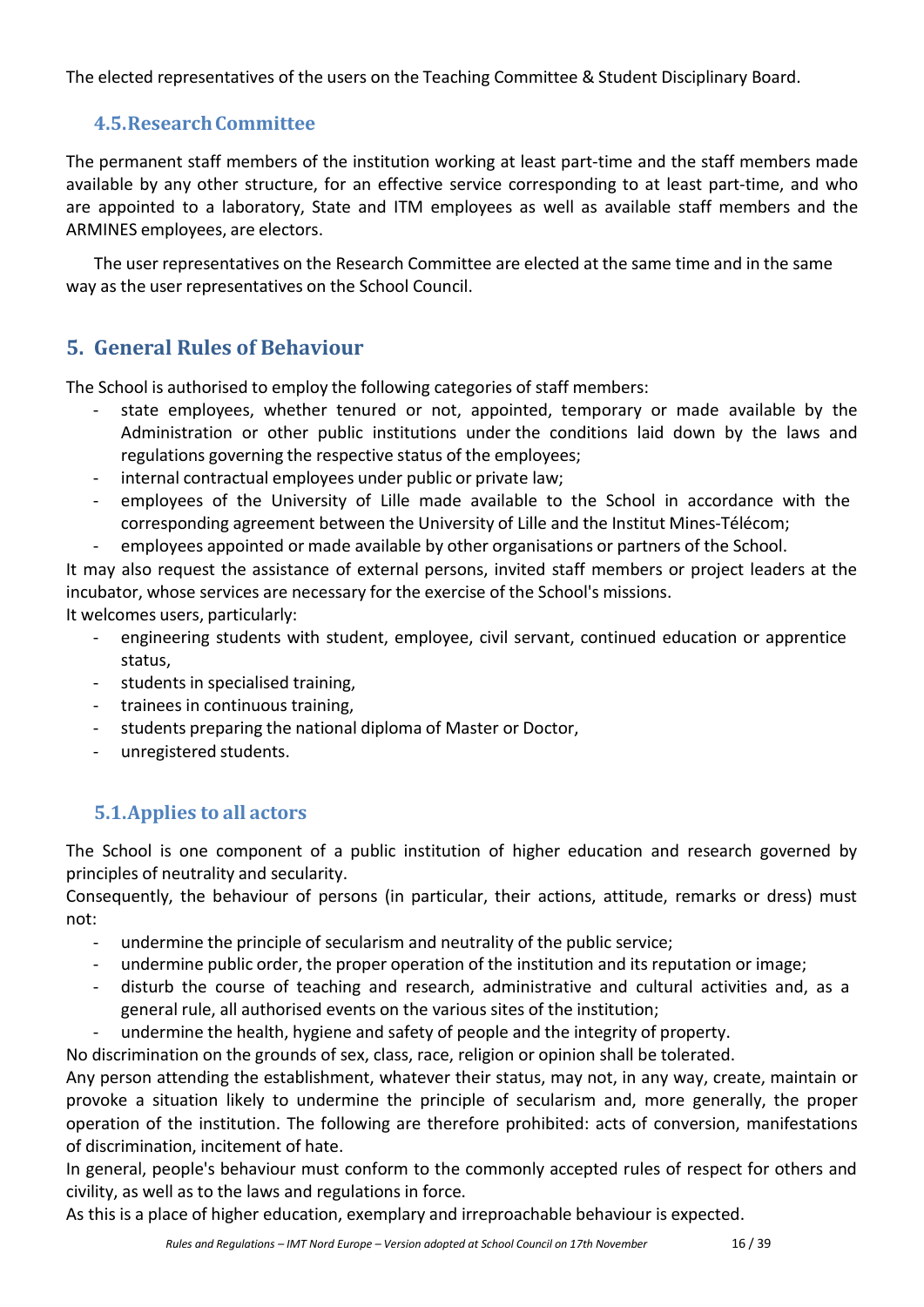The elected representatives of the users on the Teaching Committee & Student Disciplinary Board.

# <span id="page-15-0"></span>**4.5.ResearchCommittee**

The permanent staff members of the institution working at least part-time and the staff members made available by any other structure, for an effective service corresponding to at least part-time, and who are appointed to a laboratory, State and ITM employees as well as available staff members and the ARMINES employees, are electors.

The user representatives on the Research Committee are elected at the same time and in the same way as the user representatives on the School Council.

# <span id="page-15-1"></span>**5. General Rules of Behaviour**

The School is authorised to employ the following categories of staff members:

- state employees, whether tenured or not, appointed, temporary or made available by the Administration or other public institutions under the conditions laid down by the laws and regulations governing the respective status of the employees;
- internal contractual employees under public or private law;
- employees of the University of Lille made available to the School in accordance with the corresponding agreement between the University of Lille and the Institut Mines-Télécom;
- employees appointed or made available by other organisations or partners of the School.

It may also request the assistance of external persons, invited staff members or project leaders at the incubator, whose services are necessary for the exercise of the School's missions.

It welcomes users, particularly:

- engineering students with student, employee, civil servant, continued education or apprentice status,
- students in specialised training,
- trainees in continuous training,
- students preparing the national diploma of Master or Doctor,
- unregistered students.

# <span id="page-15-2"></span>**5.1.Applies to all actors**

The School is one component of a public institution of higher education and research governed by principles of neutrality and secularity.

Consequently, the behaviour of persons (in particular, their actions, attitude, remarks or dress) must not:

- undermine the principle of secularism and neutrality of the public service;
- undermine public order, the proper operation of the institution and its reputation or image;
- disturb the course of teaching and research, administrative and cultural activities and, as a general rule, all authorised events on the various sites of the institution;
- undermine the health, hygiene and safety of people and the integrity of property.

No discrimination on the grounds of sex, class, race, religion or opinion shall be tolerated.

Any person attending the establishment, whatever their status, may not, in any way, create, maintain or provoke a situation likely to undermine the principle of secularism and, more generally, the proper operation of the institution. The following are therefore prohibited: acts of conversion, manifestations of discrimination, incitement of hate.

In general, people's behaviour must conform to the commonly accepted rules of respect for others and civility, as well as to the laws and regulations in force.

As this is a place of higher education, exemplary and irreproachable behaviour is expected.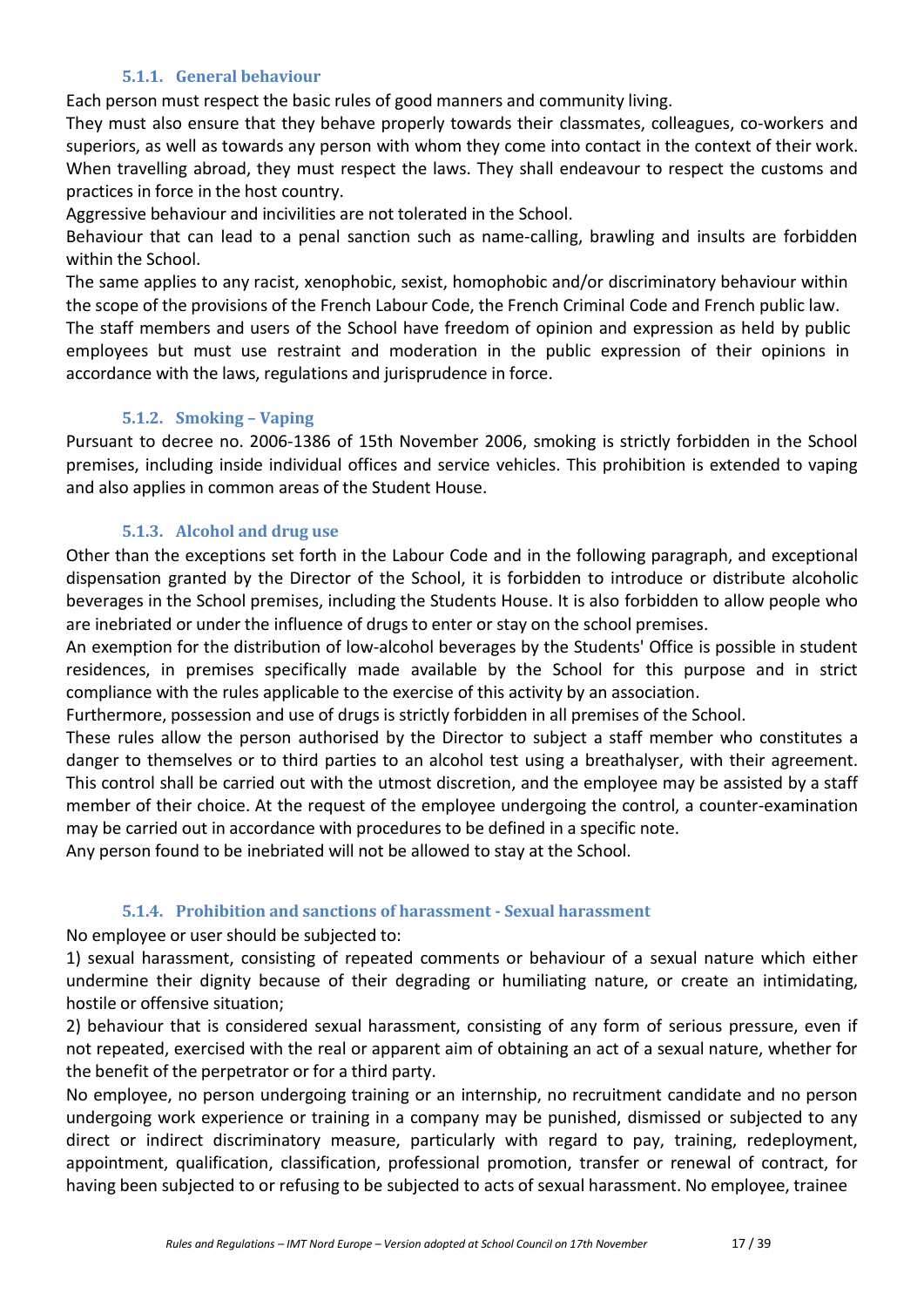#### **5.1.1. General behaviour**

Each person must respect the basic rules of good manners and community living.

They must also ensure that they behave properly towards their classmates, colleagues, co-workers and superiors, as well as towards any person with whom they come into contact in the context of their work. When travelling abroad, they must respect the laws. They shall endeavour to respect the customs and practices in force in the host country.

Aggressive behaviour and incivilities are not tolerated in the School.

Behaviour that can lead to a penal sanction such as name-calling, brawling and insults are forbidden within the School.

The same applies to any racist, xenophobic, sexist, homophobic and/or discriminatory behaviour within the scope of the provisions of the French Labour Code, the French Criminal Code and French public law.

The staff members and users of the School have freedom of opinion and expression as held by public employees but must use restraint and moderation in the public expression of their opinions in accordance with the laws, regulations and jurisprudence in force.

## **5.1.2. Smoking – Vaping**

Pursuant to decree no. 2006-1386 of 15th November 2006, smoking is strictly forbidden in the School premises, including inside individual offices and service vehicles. This prohibition is extended to vaping and also applies in common areas of the Student House.

## **5.1.3. Alcohol and drug use**

Other than the exceptions set forth in the Labour Code and in the following paragraph, and exceptional dispensation granted by the Director of the School, it is forbidden to introduce or distribute alcoholic beverages in the School premises, including the Students House. It is also forbidden to allow people who are inebriated or under the influence of drugs to enter or stay on the school premises.

An exemption for the distribution of low-alcohol beverages by the Students' Office is possible in student residences, in premises specifically made available by the School for this purpose and in strict compliance with the rules applicable to the exercise of this activity by an association.

Furthermore, possession and use of drugs is strictly forbidden in all premises of the School.

These rules allow the person authorised by the Director to subject a staff member who constitutes a danger to themselves or to third parties to an alcohol test using a breathalyser, with their agreement. This control shall be carried out with the utmost discretion, and the employee may be assisted by a staff member of their choice. At the request of the employee undergoing the control, a counter-examination may be carried out in accordance with procedures to be defined in a specific note.

Any person found to be inebriated will not be allowed to stay at the School.

## **5.1.4. Prohibition and sanctions of harassment - Sexual harassment**

No employee or user should be subjected to:

1) sexual harassment, consisting of repeated comments or behaviour of a sexual nature which either undermine their dignity because of their degrading or humiliating nature, or create an intimidating, hostile or offensive situation;

2) behaviour that is considered sexual harassment, consisting of any form of serious pressure, even if not repeated, exercised with the real or apparent aim of obtaining an act of a sexual nature, whether for the benefit of the perpetrator or for a third party.

No employee, no person undergoing training or an internship, no recruitment candidate and no person undergoing work experience or training in a company may be punished, dismissed or subjected to any direct or indirect discriminatory measure, particularly with regard to pay, training, redeployment, appointment, qualification, classification, professional promotion, transfer or renewal of contract, for having been subjected to or refusing to be subjected to acts of sexual harassment. No employee, trainee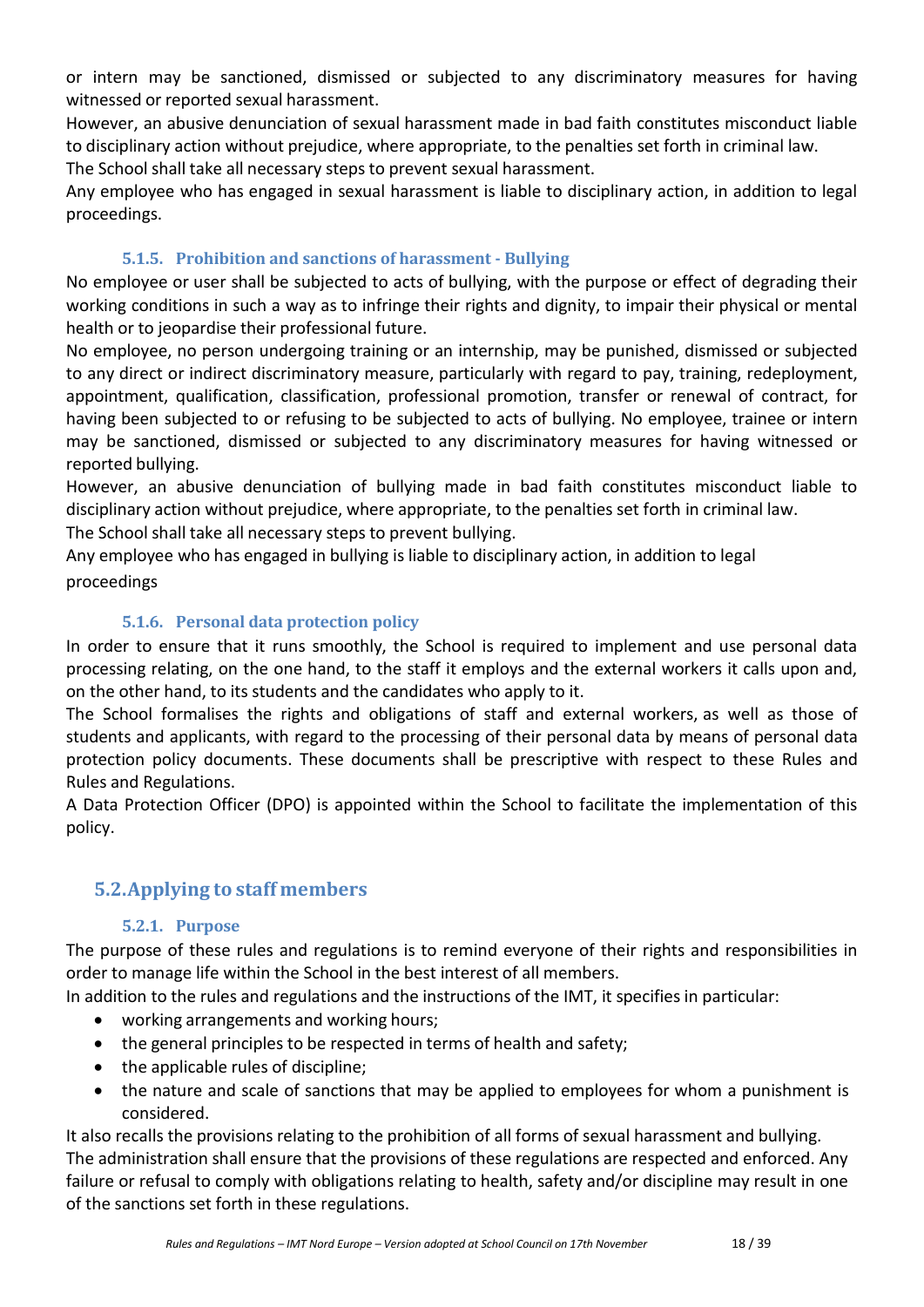or intern may be sanctioned, dismissed or subjected to any discriminatory measures for having witnessed or reported sexual harassment.

However, an abusive denunciation of sexual harassment made in bad faith constitutes misconduct liable to disciplinary action without prejudice, where appropriate, to the penalties set forth in criminal law.

The School shall take all necessary steps to prevent sexual harassment.

Any employee who has engaged in sexual harassment is liable to disciplinary action, in addition to legal proceedings.

# **5.1.5. Prohibition and sanctions of harassment - Bullying**

No employee or user shall be subjected to acts of bullying, with the purpose or effect of degrading their working conditions in such a way as to infringe their rights and dignity, to impair their physical or mental health or to jeopardise their professional future.

No employee, no person undergoing training or an internship, may be punished, dismissed or subjected to any direct or indirect discriminatory measure, particularly with regard to pay, training, redeployment, appointment, qualification, classification, professional promotion, transfer or renewal of contract, for having been subjected to or refusing to be subjected to acts of bullying. No employee, trainee or intern may be sanctioned, dismissed or subjected to any discriminatory measures for having witnessed or reported bullying.

However, an abusive denunciation of bullying made in bad faith constitutes misconduct liable to disciplinary action without prejudice, where appropriate, to the penalties set forth in criminal law.

The School shall take all necessary steps to prevent bullying.

Any employee who has engaged in bullying is liable to disciplinary action, in addition to legal proceedings

## **5.1.6. Personal data protection policy**

In order to ensure that it runs smoothly, the School is required to implement and use personal data processing relating, on the one hand, to the staff it employs and the external workers it calls upon and, on the other hand, to its students and the candidates who apply to it.

The School formalises the rights and obligations of staff and external workers, as well as those of students and applicants, with regard to the processing of their personal data by means of personal data protection policy documents. These documents shall be prescriptive with respect to these Rules and Rules and Regulations.

A Data Protection Officer (DPO) is appointed within the School to facilitate the implementation of this policy.

# <span id="page-17-0"></span>**5.2.Applying to staff members**

## **5.2.1. Purpose**

The purpose of these rules and regulations is to remind everyone of their rights and responsibilities in order to manage life within the School in the best interest of all members.

In addition to the rules and regulations and the instructions of the IMT, it specifies in particular:

- working arrangements and working hours;
- the general principles to be respected in terms of health and safety;
- the applicable rules of discipline;
- the nature and scale of sanctions that may be applied to employees for whom a punishment is considered.

It also recalls the provisions relating to the prohibition of all forms of sexual harassment and bullying. The administration shall ensure that the provisions of these regulations are respected and enforced. Any failure or refusal to comply with obligations relating to health, safety and/or discipline may result in one of the sanctions set forth in these regulations.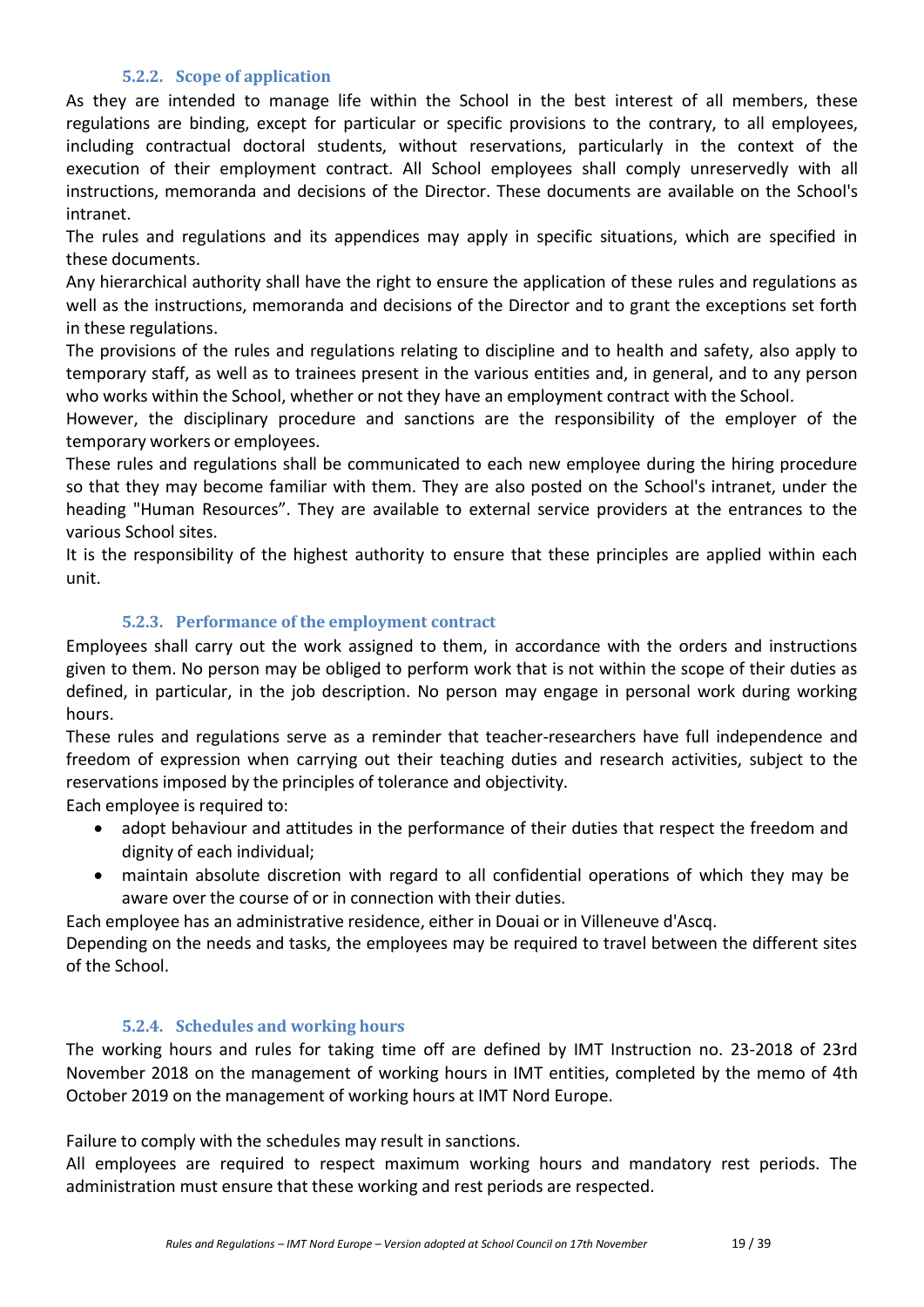## **5.2.2. Scope of application**

As they are intended to manage life within the School in the best interest of all members, these regulations are binding, except for particular or specific provisions to the contrary, to all employees, including contractual doctoral students, without reservations, particularly in the context of the execution of their employment contract. All School employees shall comply unreservedly with all instructions, memoranda and decisions of the Director. These documents are available on the School's intranet.

The rules and regulations and its appendices may apply in specific situations, which are specified in these documents.

Any hierarchical authority shall have the right to ensure the application of these rules and regulations as well as the instructions, memoranda and decisions of the Director and to grant the exceptions set forth in these regulations.

The provisions of the rules and regulations relating to discipline and to health and safety, also apply to temporary staff, as well as to trainees present in the various entities and, in general, and to any person who works within the School, whether or not they have an employment contract with the School.

However, the disciplinary procedure and sanctions are the responsibility of the employer of the temporary workers or employees.

These rules and regulations shall be communicated to each new employee during the hiring procedure so that they may become familiar with them. They are also posted on the School's intranet, under the heading "Human Resources". They are available to external service providers at the entrances to the various School sites.

It is the responsibility of the highest authority to ensure that these principles are applied within each unit.

#### **5.2.3. Performance of the employment contract**

Employees shall carry out the work assigned to them, in accordance with the orders and instructions given to them. No person may be obliged to perform work that is not within the scope of their duties as defined, in particular, in the job description. No person may engage in personal work during working hours.

These rules and regulations serve as a reminder that teacher-researchers have full independence and freedom of expression when carrying out their teaching duties and research activities, subject to the reservations imposed by the principles of tolerance and objectivity.

Each employee is required to:

- adopt behaviour and attitudes in the performance of their duties that respect the freedom and dignity of each individual;
- maintain absolute discretion with regard to all confidential operations of which they may be aware over the course of or in connection with their duties.

Each employee has an administrative residence, either in Douai or in Villeneuve d'Ascq.

Depending on the needs and tasks, the employees may be required to travel between the different sites of the School.

#### **5.2.4. Schedules and working hours**

The working hours and rules for taking time off are defined by IMT Instruction no. 23-2018 of 23rd November 2018 on the management of working hours in IMT entities, completed by the memo of 4th October 2019 on the management of working hours at IMT Nord Europe.

Failure to comply with the schedules may result in sanctions.

All employees are required to respect maximum working hours and mandatory rest periods. The administration must ensure that these working and rest periods are respected.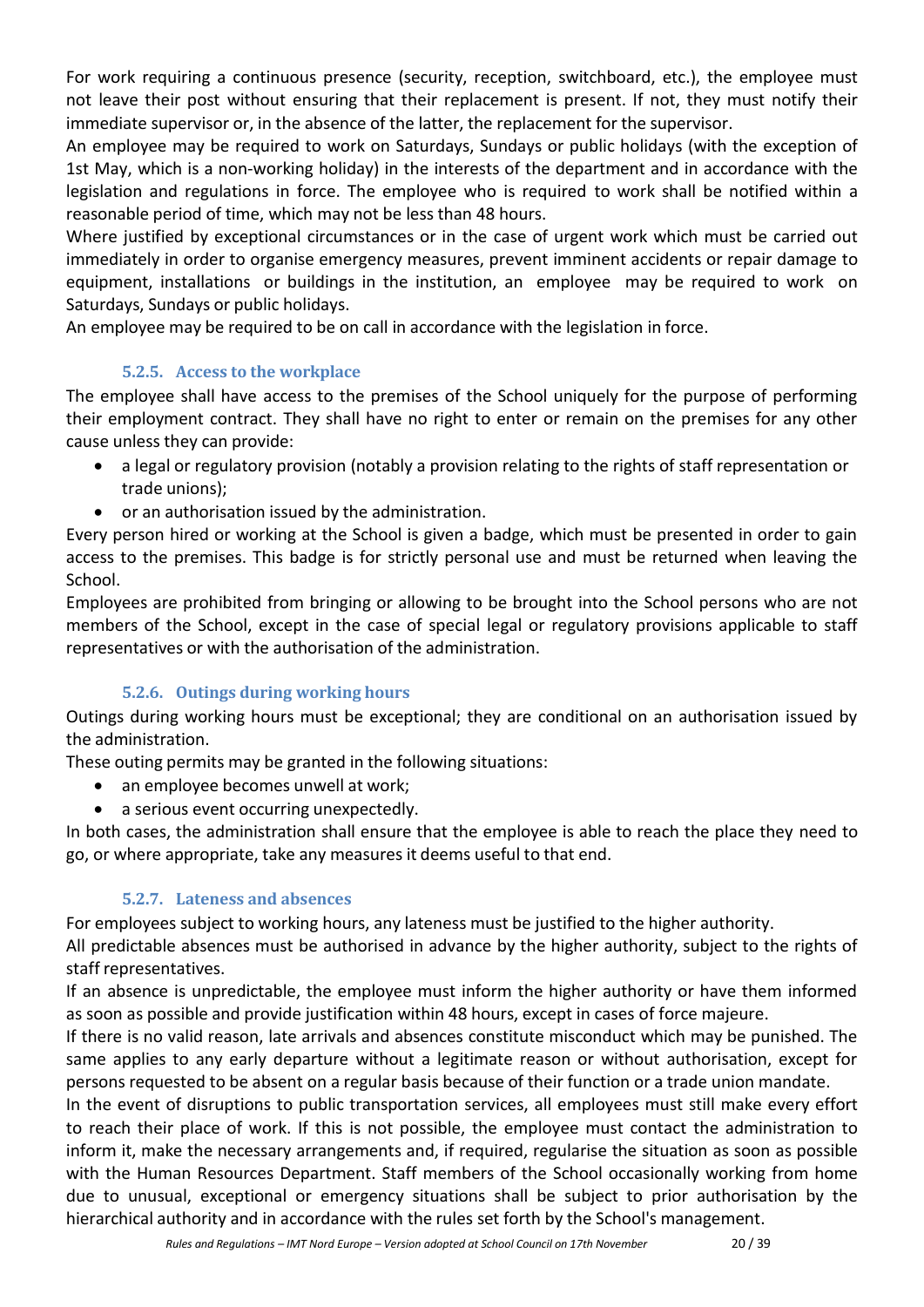For work requiring a continuous presence (security, reception, switchboard, etc.), the employee must not leave their post without ensuring that their replacement is present. If not, they must notify their immediate supervisor or, in the absence of the latter, the replacement for the supervisor.

An employee may be required to work on Saturdays, Sundays or public holidays (with the exception of 1st May, which is a non-working holiday) in the interests of the department and in accordance with the legislation and regulations in force. The employee who is required to work shall be notified within a reasonable period of time, which may not be less than 48 hours.

Where justified by exceptional circumstances or in the case of urgent work which must be carried out immediately in order to organise emergency measures, prevent imminent accidents or repair damage to equipment, installations or buildings in the institution, an employee may be required to work on Saturdays, Sundays or public holidays.

An employee may be required to be on call in accordance with the legislation in force.

# **5.2.5. Access to the workplace**

The employee shall have access to the premises of the School uniquely for the purpose of performing their employment contract. They shall have no right to enter or remain on the premises for any other cause unless they can provide:

- a legal or regulatory provision (notably a provision relating to the rights of staff representation or trade unions);
- or an authorisation issued by the administration.

Every person hired or working at the School is given a badge, which must be presented in order to gain access to the premises. This badge is for strictly personal use and must be returned when leaving the School.

Employees are prohibited from bringing or allowing to be brought into the School persons who are not members of the School, except in the case of special legal or regulatory provisions applicable to staff representatives or with the authorisation of the administration.

# **5.2.6. Outings during working hours**

Outings during working hours must be exceptional; they are conditional on an authorisation issued by the administration.

These outing permits may be granted in the following situations:

- an employee becomes unwell at work;
- a serious event occurring unexpectedly.

In both cases, the administration shall ensure that the employee is able to reach the place they need to go, or where appropriate, take any measures it deems useful to that end.

# **5.2.7. Lateness and absences**

For employees subject to working hours, any lateness must be justified to the higher authority.

All predictable absences must be authorised in advance by the higher authority, subject to the rights of staff representatives.

If an absence is unpredictable, the employee must inform the higher authority or have them informed as soon as possible and provide justification within 48 hours, except in cases of force majeure.

If there is no valid reason, late arrivals and absences constitute misconduct which may be punished. The same applies to any early departure without a legitimate reason or without authorisation, except for persons requested to be absent on a regular basis because of their function or a trade union mandate.

In the event of disruptions to public transportation services, all employees must still make every effort to reach their place of work. If this is not possible, the employee must contact the administration to inform it, make the necessary arrangements and, if required, regularise the situation as soon as possible with the Human Resources Department. Staff members of the School occasionally working from home due to unusual, exceptional or emergency situations shall be subject to prior authorisation by the hierarchical authority and in accordance with the rules set forth by the School's management.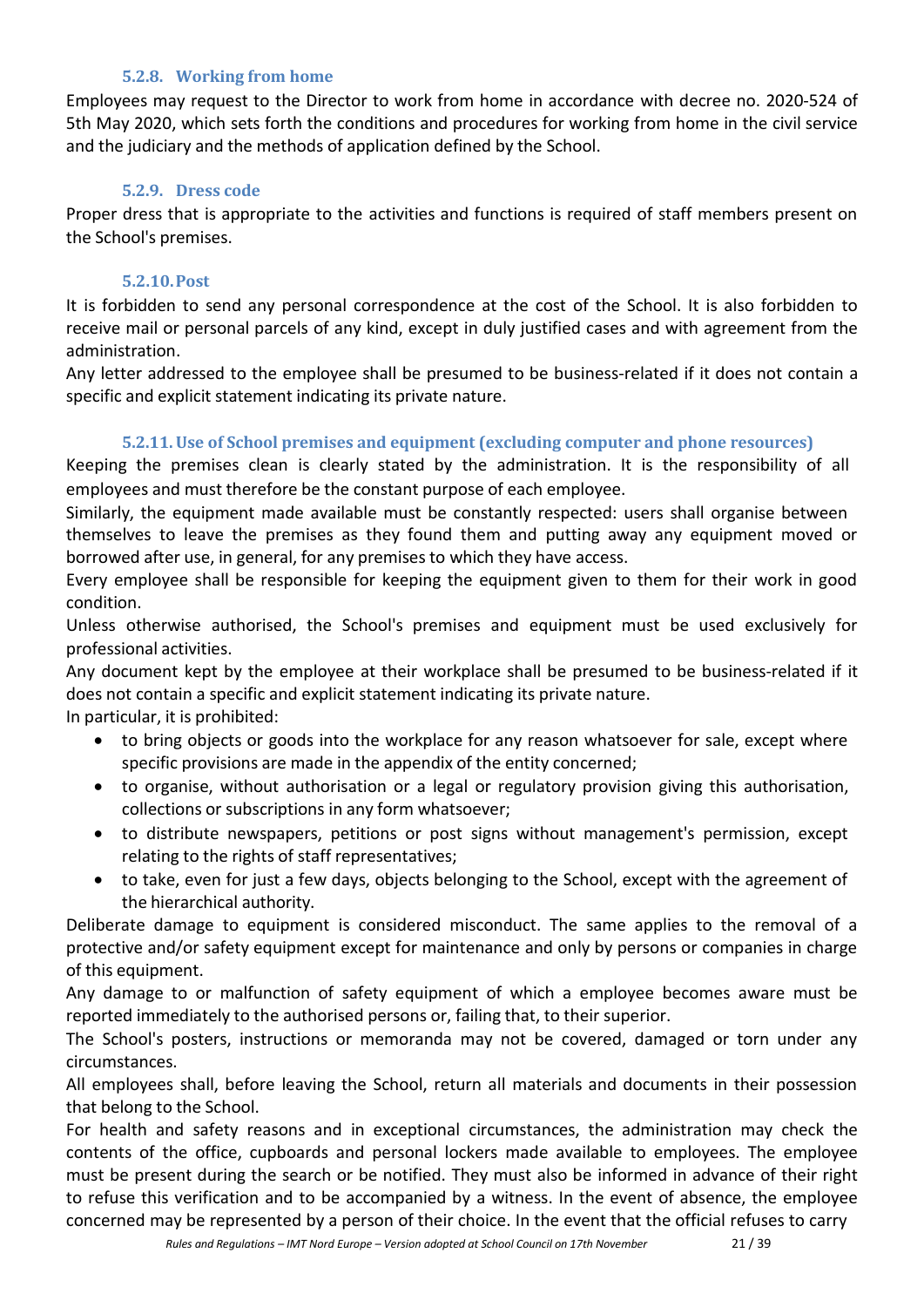#### **5.2.8. Working from home**

Employees may request to the Director to work from home in accordance with decree no. 2020-524 of 5th May 2020, which sets forth the conditions and procedures for working from home in the civil service and the judiciary and the methods of application defined by the School.

#### **5.2.9. Dress code**

Proper dress that is appropriate to the activities and functions is required of staff members present on the School's premises.

#### **5.2.10.Post**

It is forbidden to send any personal correspondence at the cost of the School. It is also forbidden to receive mail or personal parcels of any kind, except in duly justified cases and with agreement from the administration.

Any letter addressed to the employee shall be presumed to be business-related if it does not contain a specific and explicit statement indicating its private nature.

## **5.2.11.Use of School premises and equipment (excluding computer and phone resources)**

Keeping the premises clean is clearly stated by the administration. It is the responsibility of all employees and must therefore be the constant purpose of each employee.

Similarly, the equipment made available must be constantly respected: users shall organise between themselves to leave the premises as they found them and putting away any equipment moved or borrowed after use, in general, for any premises to which they have access.

Every employee shall be responsible for keeping the equipment given to them for their work in good condition.

Unless otherwise authorised, the School's premises and equipment must be used exclusively for professional activities.

Any document kept by the employee at their workplace shall be presumed to be business-related if it does not contain a specific and explicit statement indicating its private nature.

In particular, it is prohibited:

- to bring objects or goods into the workplace for any reason whatsoever for sale, except where specific provisions are made in the appendix of the entity concerned;
- to organise, without authorisation or a legal or regulatory provision giving this authorisation, collections or subscriptions in any form whatsoever;
- to distribute newspapers, petitions or post signs without management's permission, except relating to the rights of staff representatives;
- to take, even for just a few days, objects belonging to the School, except with the agreement of the hierarchical authority.

Deliberate damage to equipment is considered misconduct. The same applies to the removal of a protective and/or safety equipment except for maintenance and only by persons or companies in charge of this equipment.

Any damage to or malfunction of safety equipment of which a employee becomes aware must be reported immediately to the authorised persons or, failing that, to their superior.

The School's posters, instructions or memoranda may not be covered, damaged or torn under any circumstances.

All employees shall, before leaving the School, return all materials and documents in their possession that belong to the School.

For health and safety reasons and in exceptional circumstances, the administration may check the contents of the office, cupboards and personal lockers made available to employees. The employee must be present during the search or be notified. They must also be informed in advance of their right to refuse this verification and to be accompanied by a witness. In the event of absence, the employee concerned may be represented by a person of their choice. In the event that the official refuses to carry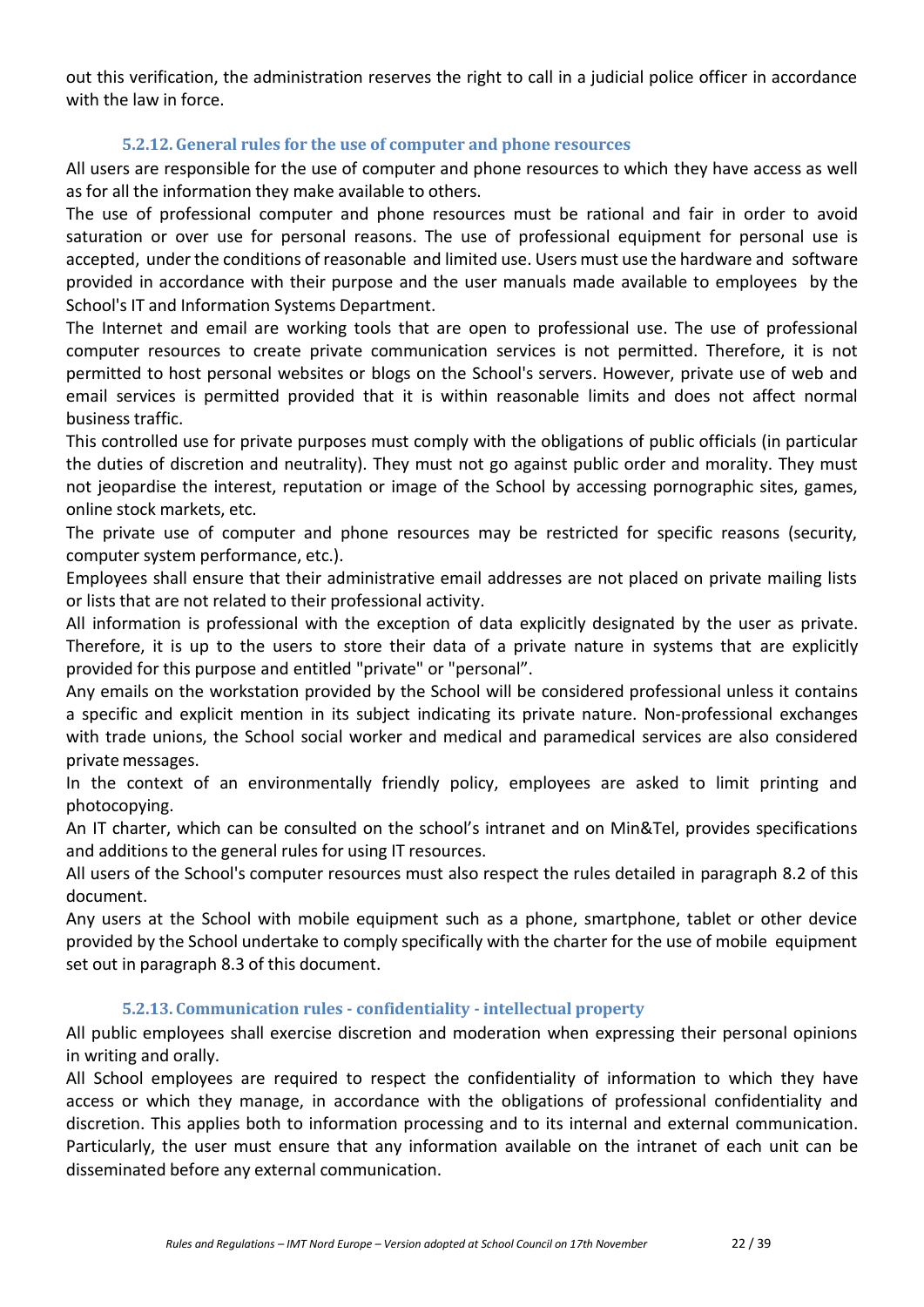out this verification, the administration reserves the right to call in a judicial police officer in accordance with the law in force.

#### **5.2.12.General rules for the use of computer and phone resources**

All users are responsible for the use of computer and phone resources to which they have access as well as for all the information they make available to others.

The use of professional computer and phone resources must be rational and fair in order to avoid saturation or over use for personal reasons. The use of professional equipment for personal use is accepted, under the conditions of reasonable and limited use. Users must use the hardware and software provided in accordance with their purpose and the user manuals made available to employees by the School's IT and Information Systems Department.

The Internet and email are working tools that are open to professional use. The use of professional computer resources to create private communication services is not permitted. Therefore, it is not permitted to host personal websites or blogs on the School's servers. However, private use of web and email services is permitted provided that it is within reasonable limits and does not affect normal business traffic.

This controlled use for private purposes must comply with the obligations of public officials (in particular the duties of discretion and neutrality). They must not go against public order and morality. They must not jeopardise the interest, reputation or image of the School by accessing pornographic sites, games, online stock markets, etc.

The private use of computer and phone resources may be restricted for specific reasons (security, computer system performance, etc.).

Employees shall ensure that their administrative email addresses are not placed on private mailing lists or lists that are not related to their professional activity.

All information is professional with the exception of data explicitly designated by the user as private. Therefore, it is up to the users to store their data of a private nature in systems that are explicitly provided for this purpose and entitled "private" or "personal".

Any emails on the workstation provided by the School will be considered professional unless it contains a specific and explicit mention in its subject indicating its private nature. Non-professional exchanges with trade unions, the School social worker and medical and paramedical services are also considered privatemessages.

In the context of an environmentally friendly policy, employees are asked to limit printing and photocopying.

An IT charter, which can be consulted on the school's intranet and on Min&Tel, provides specifications and additions to the general rules for using IT resources.

All users of the School's computer resources must also respect the rules detailed in paragraph 8.2 of this document.

Any users at the School with mobile equipment such as a phone, smartphone, tablet or other device provided by the School undertake to comply specifically with the charter for the use of mobile equipment set out in paragraph 8.3 of this document.

#### **5.2.13. Communication rules - confidentiality - intellectual property**

All public employees shall exercise discretion and moderation when expressing their personal opinions in writing and orally.

All School employees are required to respect the confidentiality of information to which they have access or which they manage, in accordance with the obligations of professional confidentiality and discretion. This applies both to information processing and to its internal and external communication. Particularly, the user must ensure that any information available on the intranet of each unit can be disseminated before any external communication.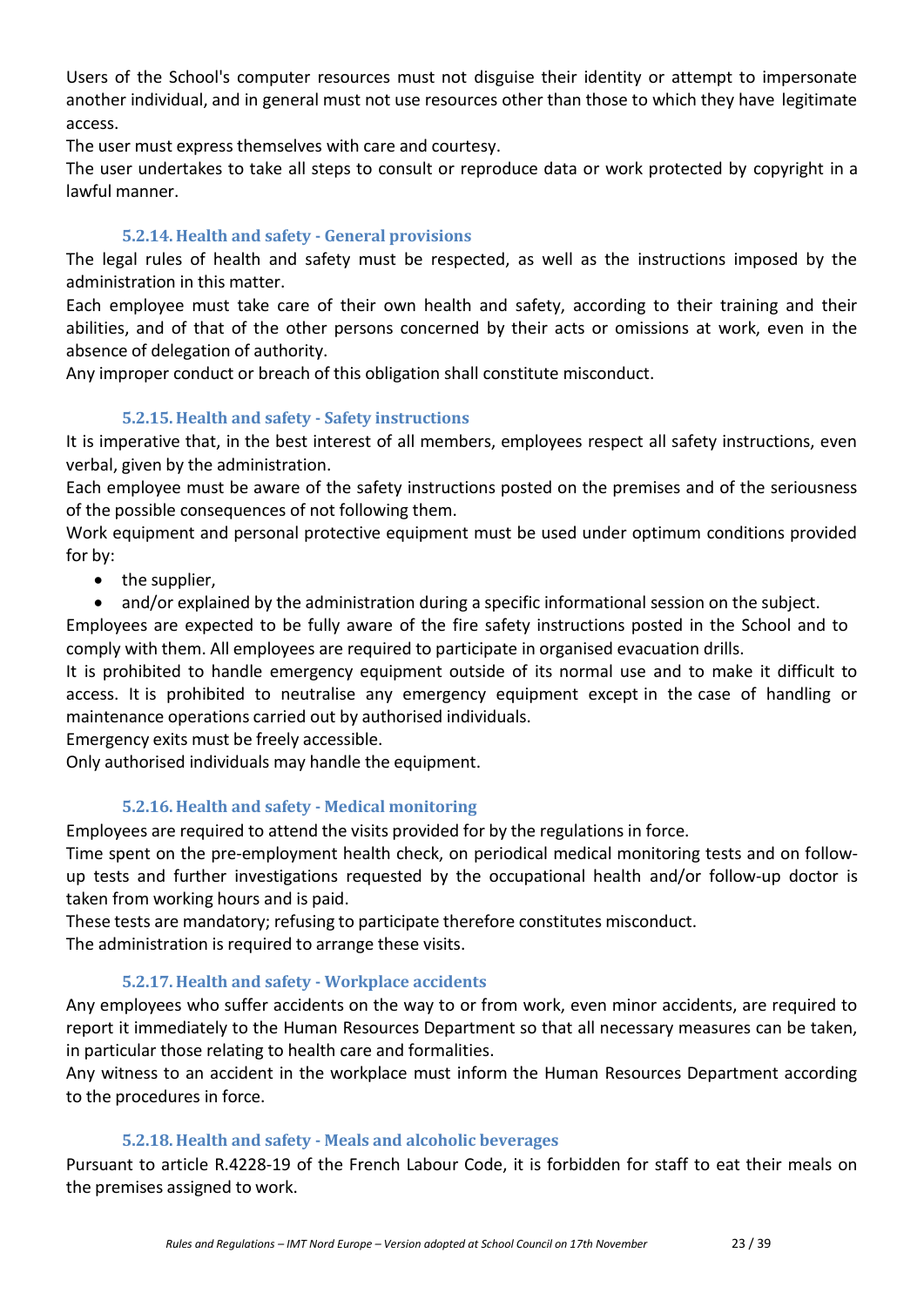Users of the School's computer resources must not disguise their identity or attempt to impersonate another individual, and in general must not use resources other than those to which they have legitimate access.

The user must express themselves with care and courtesy.

The user undertakes to take all steps to consult or reproduce data or work protected by copyright in a lawful manner.

## **5.2.14. Health and safety - General provisions**

The legal rules of health and safety must be respected, as well as the instructions imposed by the administration in this matter.

Each employee must take care of their own health and safety, according to their training and their abilities, and of that of the other persons concerned by their acts or omissions at work, even in the absence of delegation of authority.

Any improper conduct or breach of this obligation shall constitute misconduct.

#### **5.2.15. Health and safety - Safety instructions**

It is imperative that, in the best interest of all members, employees respect all safety instructions, even verbal, given by the administration.

Each employee must be aware of the safety instructions posted on the premises and of the seriousness of the possible consequences of not following them.

Work equipment and personal protective equipment must be used under optimum conditions provided for by:

• the supplier,

• and/or explained by the administration during a specific informational session on the subject.

Employees are expected to be fully aware of the fire safety instructions posted in the School and to comply with them. All employees are required to participate in organised evacuation drills.

It is prohibited to handle emergency equipment outside of its normal use and to make it difficult to access. It is prohibited to neutralise any emergency equipment except in the case of handling or maintenance operations carried out by authorised individuals.

Emergency exits must be freely accessible.

Only authorised individuals may handle the equipment.

## **5.2.16. Health and safety - Medical monitoring**

Employees are required to attend the visits provided for by the regulations in force.

Time spent on the pre-employment health check, on periodical medical monitoring tests and on followup tests and further investigations requested by the occupational health and/or follow-up doctor is taken from working hours and is paid.

These tests are mandatory; refusing to participate therefore constitutes misconduct. The administration is required to arrange these visits.

#### **5.2.17. Health and safety - Workplace accidents**

Any employees who suffer accidents on the way to or from work, even minor accidents, are required to report it immediately to the Human Resources Department so that all necessary measures can be taken, in particular those relating to health care and formalities.

Any witness to an accident in the workplace must inform the Human Resources Department according to the procedures in force.

#### **5.2.18. Health and safety - Meals and alcoholic beverages**

Pursuant to article R.4228-19 of the French Labour Code, it is forbidden for staff to eat their meals on the premises assigned to work.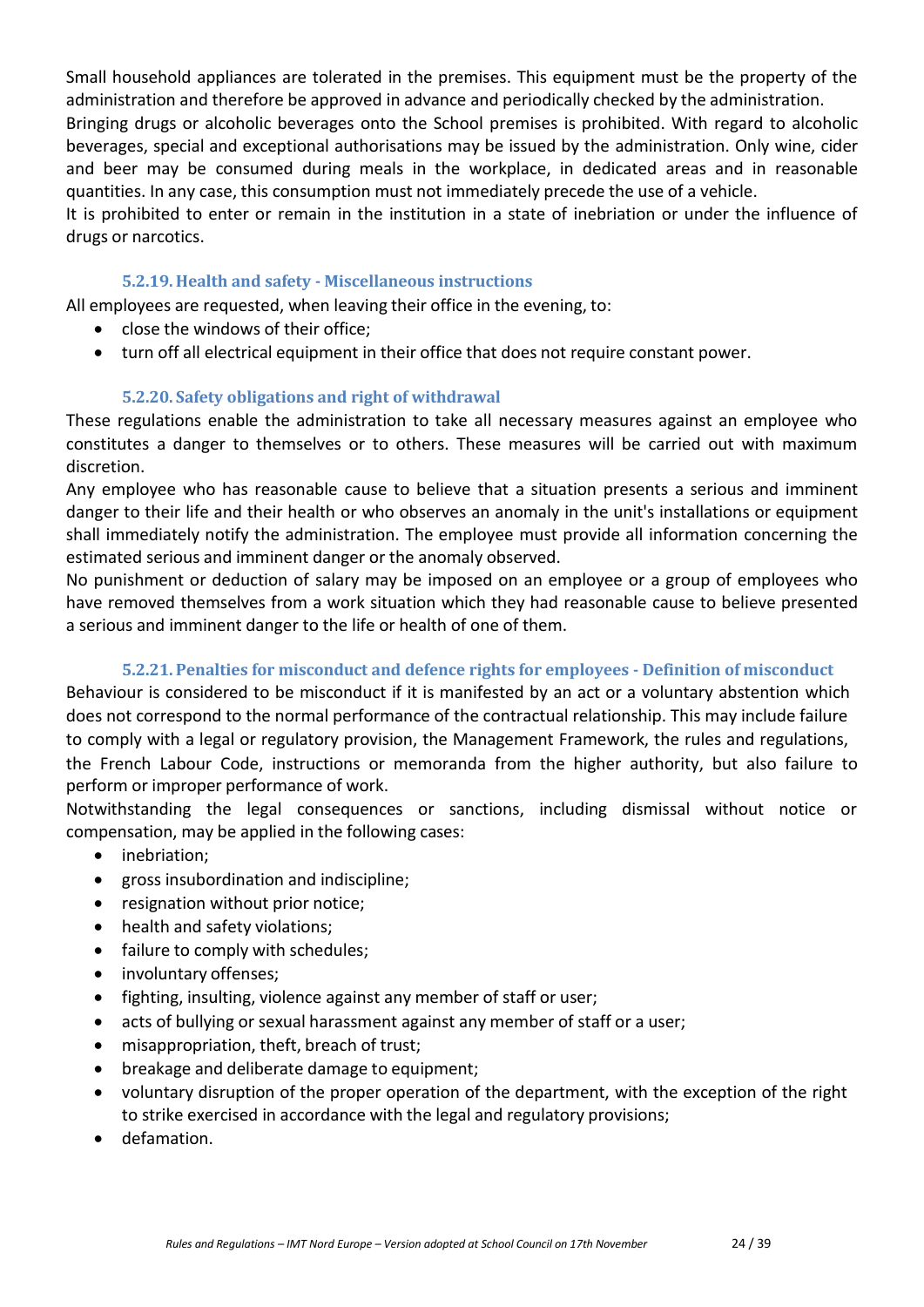Small household appliances are tolerated in the premises. This equipment must be the property of the administration and therefore be approved in advance and periodically checked by the administration.

Bringing drugs or alcoholic beverages onto the School premises is prohibited. With regard to alcoholic beverages, special and exceptional authorisations may be issued by the administration. Only wine, cider and beer may be consumed during meals in the workplace, in dedicated areas and in reasonable quantities. In any case, this consumption must not immediately precede the use of a vehicle.

It is prohibited to enter or remain in the institution in a state of inebriation or under the influence of drugs or narcotics.

#### **5.2.19. Health and safety - Miscellaneous instructions**

All employees are requested, when leaving their office in the evening, to:

- close the windows of their office;
- turn off all electrical equipment in their office that does not require constant power.

#### **5.2.20. Safety obligations and right of withdrawal**

These regulations enable the administration to take all necessary measures against an employee who constitutes a danger to themselves or to others. These measures will be carried out with maximum discretion.

Any employee who has reasonable cause to believe that a situation presents a serious and imminent danger to their life and their health or who observes an anomaly in the unit's installations or equipment shall immediately notify the administration. The employee must provide all information concerning the estimated serious and imminent danger or the anomaly observed.

No punishment or deduction of salary may be imposed on an employee or a group of employees who have removed themselves from a work situation which they had reasonable cause to believe presented a serious and imminent danger to the life or health of one of them.

## **5.2.21. Penalties for misconduct and defence rights for employees - Definition of misconduct**

Behaviour is considered to be misconduct if it is manifested by an act or a voluntary abstention which does not correspond to the normal performance of the contractual relationship. This may include failure to comply with a legal or regulatory provision, the Management Framework, the rules and regulations, the French Labour Code, instructions or memoranda from the higher authority, but also failure to perform or improper performance of work.

Notwithstanding the legal consequences or sanctions, including dismissal without notice or compensation, may be applied in the following cases:

- inebriation;
- gross insubordination and indiscipline;
- resignation without prior notice;
- health and safety violations;
- failure to comply with schedules;
- involuntary offenses;
- fighting, insulting, violence against any member of staff or user;
- acts of bullying or sexual harassment against any member of staff or a user;
- misappropriation, theft, breach of trust;
- breakage and deliberate damage to equipment;
- voluntary disruption of the proper operation of the department, with the exception of the right to strike exercised in accordance with the legal and regulatory provisions;
- defamation.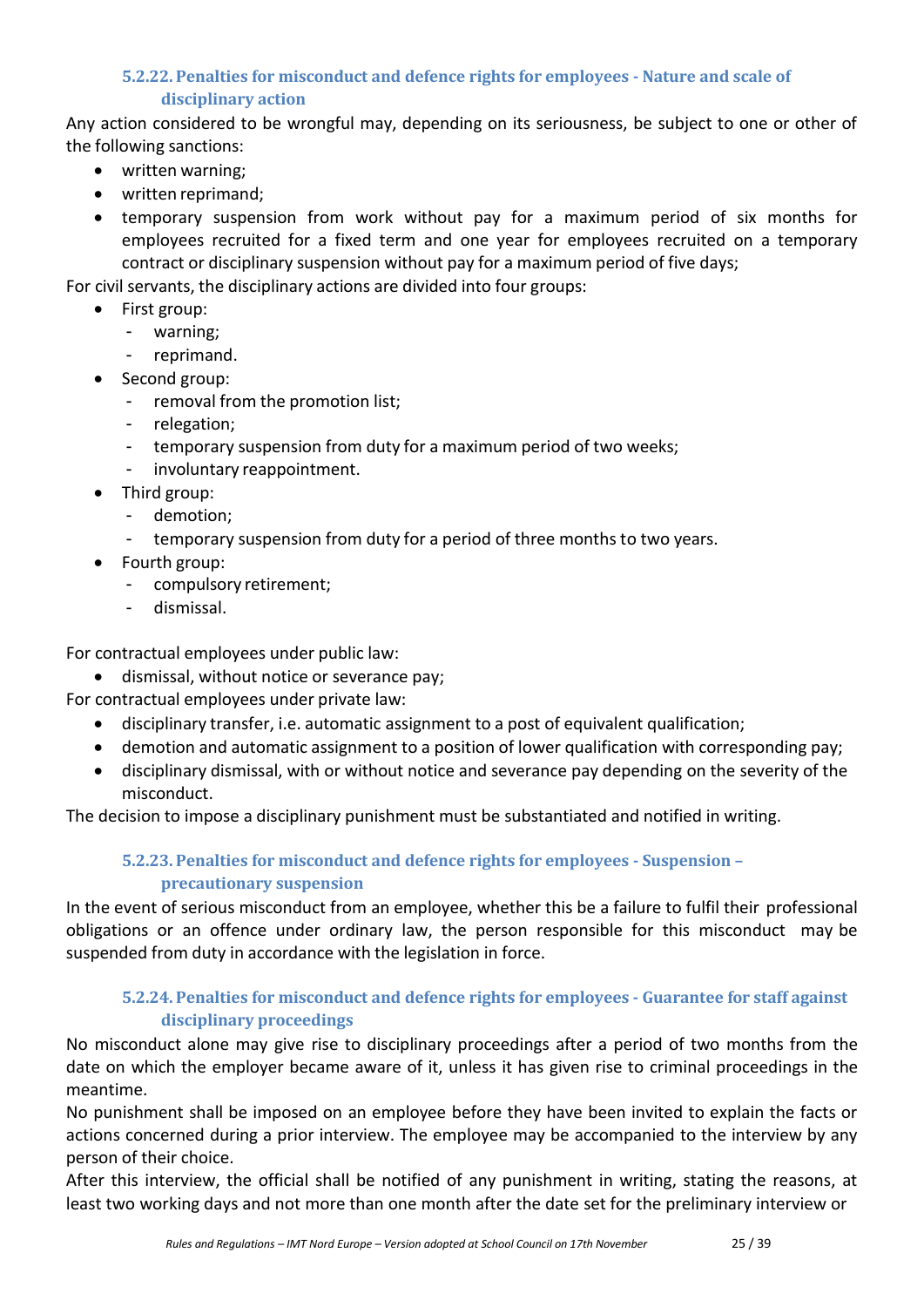## **5.2.22. Penalties for misconduct and defence rights for employees - Nature and scale of disciplinary action**

Any action considered to be wrongful may, depending on its seriousness, be subject to one or other of the following sanctions:

- written warning;
- written reprimand;
- temporary suspension from work without pay for a maximum period of six months for employees recruited for a fixed term and one year for employees recruited on a temporary contract or disciplinary suspension without pay for a maximum period of five days;

For civil servants, the disciplinary actions are divided into four groups:

- First group:
	- warning;
	- reprimand.
- Second group:
	- removal from the promotion list;
	- relegation;
	- temporary suspension from duty for a maximum period of two weeks;
	- involuntary reappointment.
- Third group:
	- demotion;
	- temporary suspension from duty for a period of three months to two years.
- Fourth group:
	- compulsory retirement;
	- dismissal.

For contractual employees under public law:

- dismissal, without notice or severance pay;
- For contractual employees under private law:
	- disciplinary transfer, i.e. automatic assignment to a post of equivalent qualification;
	- demotion and automatic assignment to a position of lower qualification with corresponding pay;
	- disciplinary dismissal, with or without notice and severance pay depending on the severity of the misconduct.

The decision to impose a disciplinary punishment must be substantiated and notified in writing.

# **5.2.23. Penalties for misconduct and defence rights for employees - Suspension – precautionary suspension**

In the event of serious misconduct from an employee, whether this be a failure to fulfil their professional obligations or an offence under ordinary law, the person responsible for this misconduct may be suspended from duty in accordance with the legislation in force.

## **5.2.24. Penalties for misconduct and defence rights for employees - Guarantee for staff against disciplinary proceedings**

No misconduct alone may give rise to disciplinary proceedings after a period of two months from the date on which the employer became aware of it, unless it has given rise to criminal proceedings in the meantime.

No punishment shall be imposed on an employee before they have been invited to explain the facts or actions concerned during a prior interview. The employee may be accompanied to the interview by any person of their choice.

After this interview, the official shall be notified of any punishment in writing, stating the reasons, at least two working days and not more than one month after the date set for the preliminary interview or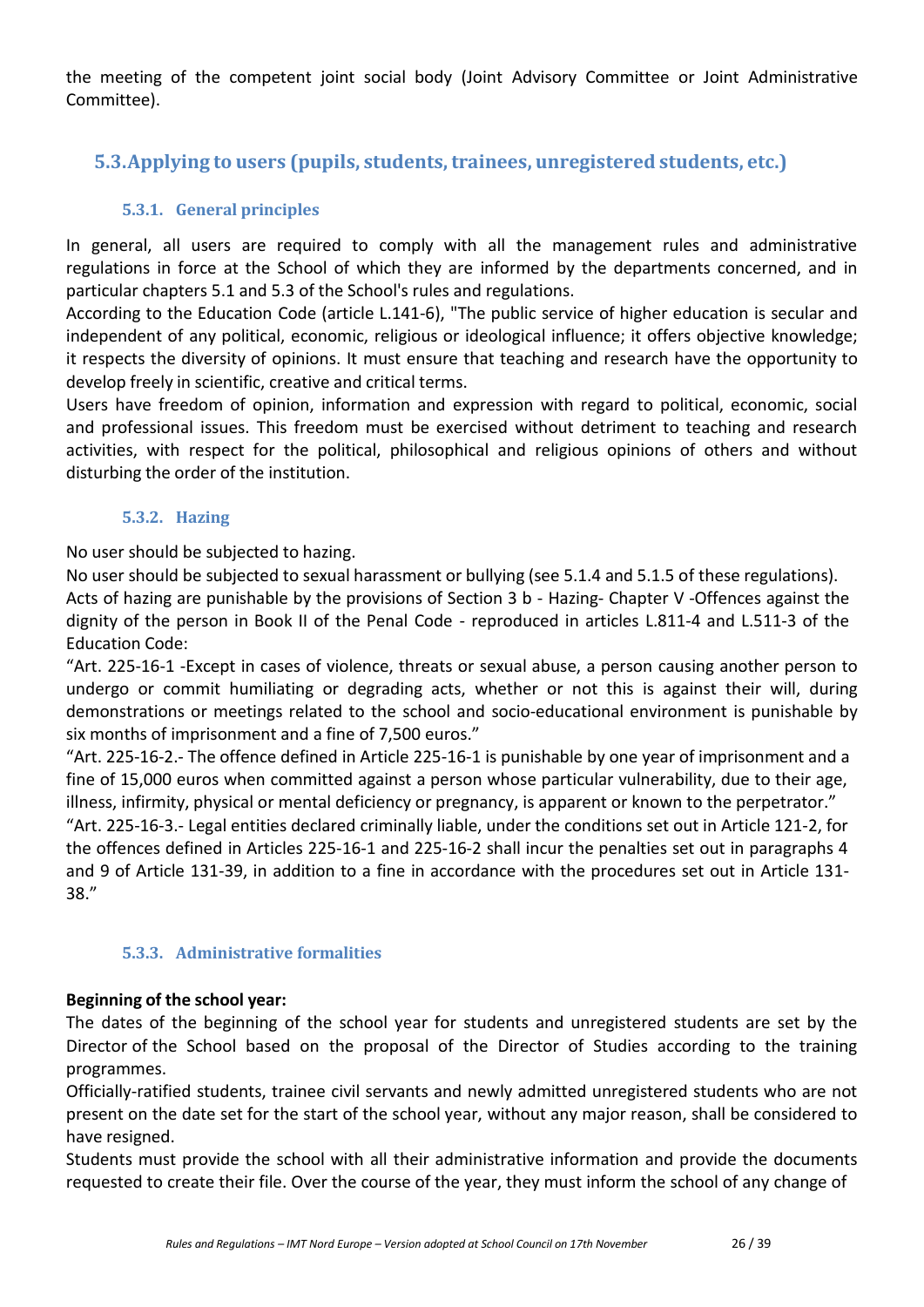the meeting of the competent joint social body (Joint Advisory Committee or Joint Administrative Committee).

# <span id="page-25-0"></span>**5.3.Applying to users (pupils, students,trainees, unregistered students, etc.)**

## **5.3.1. General principles**

In general, all users are required to comply with all the management rules and administrative regulations in force at the School of which they are informed by the departments concerned, and in particular chapters 5.1 and 5.3 of the School's rules and regulations.

According to the Education Code (article L.141-6), "The public service of higher education is secular and independent of any political, economic, religious or ideological influence; it offers objective knowledge; it respects the diversity of opinions. It must ensure that teaching and research have the opportunity to develop freely in scientific, creative and critical terms.

Users have freedom of opinion, information and expression with regard to political, economic, social and professional issues. This freedom must be exercised without detriment to teaching and research activities, with respect for the political, philosophical and religious opinions of others and without disturbing the order of the institution.

#### **5.3.2. Hazing**

No user should be subjected to hazing.

No user should be subjected to sexual harassment or bullying (see 5.1.4 and 5.1.5 of these regulations). Acts of hazing are punishable by the provisions of Section 3 b - Hazing- Chapter V -Offences against the dignity of the person in Book II of the Penal Code - reproduced in articles L.811-4 and L.511-3 of the Education Code:

"Art. 225-16-1 -Except in cases of violence, threats or sexual abuse, a person causing another person to undergo or commit humiliating or degrading acts, whether or not this is against their will, during demonstrations or meetings related to the school and socio-educational environment is punishable by six months of imprisonment and a fine of 7,500 euros."

"Art. 225-16-2.- The offence defined in Article 225-16-1 is punishable by one year of imprisonment and a fine of 15,000 euros when committed against a person whose particular vulnerability, due to their age, illness, infirmity, physical or mental deficiency or pregnancy, is apparent or known to the perpetrator."

"Art. 225-16-3.- Legal entities declared criminally liable, under the conditions set out in Article 121-2, for the offences defined in Articles 225-16-1 and 225-16-2 shall incur the penalties set out in paragraphs 4 and 9 of Article 131-39, in addition to a fine in accordance with the procedures set out in Article 131- 38."

## **5.3.3. Administrative formalities**

#### **Beginning of the school year:**

The dates of the beginning of the school year for students and unregistered students are set by the Director of the School based on the proposal of the Director of Studies according to the training programmes.

Officially-ratified students, trainee civil servants and newly admitted unregistered students who are not present on the date set for the start of the school year, without any major reason, shall be considered to have resigned.

Students must provide the school with all their administrative information and provide the documents requested to create their file. Over the course of the year, they must inform the school of any change of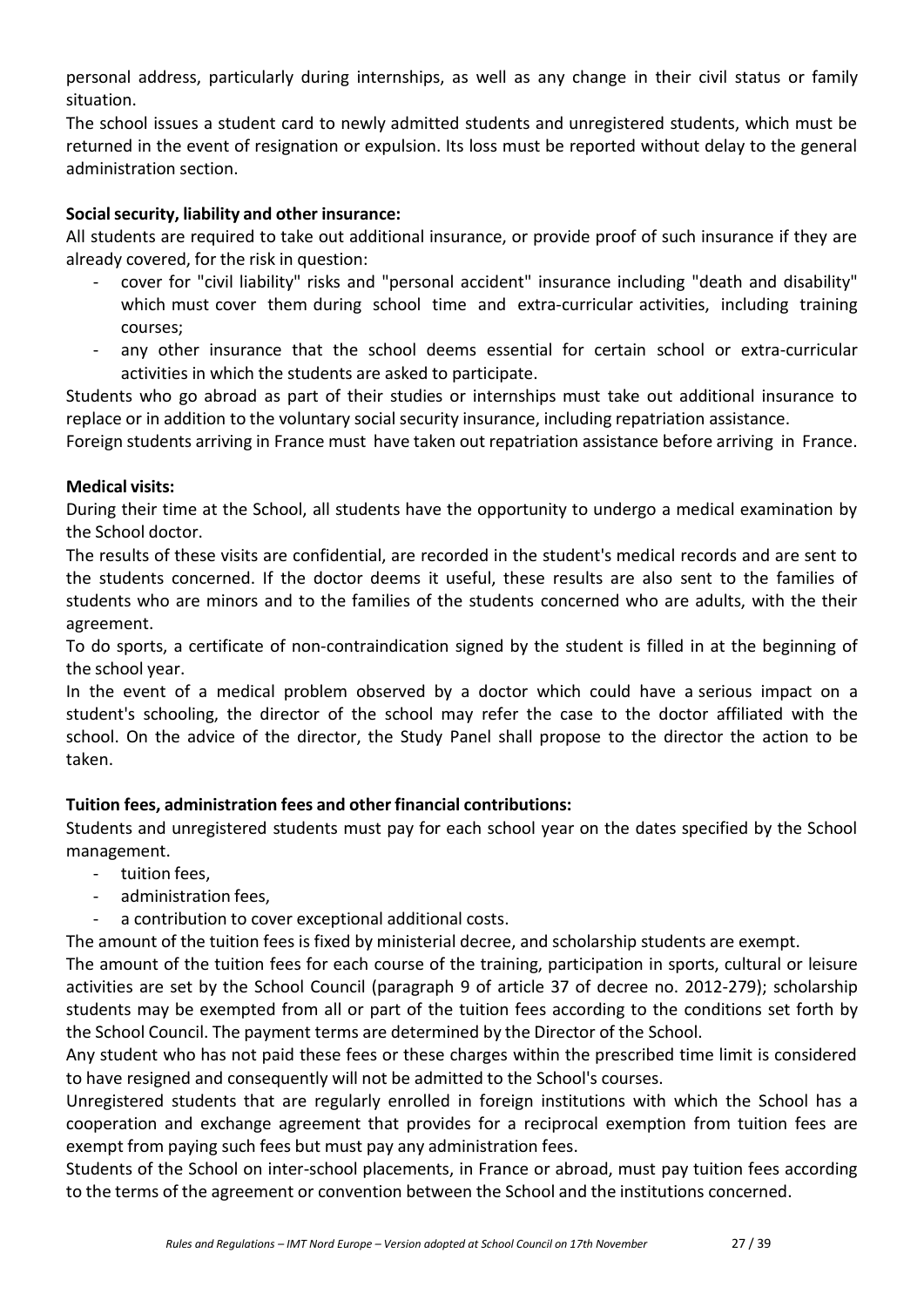personal address, particularly during internships, as well as any change in their civil status or family situation.

The school issues a student card to newly admitted students and unregistered students, which must be returned in the event of resignation or expulsion. Its loss must be reported without delay to the general administration section.

#### **Socialsecurity, liability and other insurance:**

All students are required to take out additional insurance, or provide proof of such insurance if they are already covered, for the risk in question:

- cover for "civil liability" risks and "personal accident" insurance including "death and disability" which must cover them during school time and extra-curricular activities, including training courses;
- any other insurance that the school deems essential for certain school or extra-curricular activities in which the students are asked to participate.

Students who go abroad as part of their studies or internships must take out additional insurance to replace or in addition to the voluntary social security insurance, including repatriation assistance.

Foreign students arriving in France must have taken out repatriation assistance before arriving in France.

#### **Medical visits:**

During their time at the School, all students have the opportunity to undergo a medical examination by the School doctor.

The results of these visits are confidential, are recorded in the student's medical records and are sent to the students concerned. If the doctor deems it useful, these results are also sent to the families of students who are minors and to the families of the students concerned who are adults, with the their agreement.

To do sports, a certificate of non-contraindication signed by the student is filled in at the beginning of the school year.

In the event of a medical problem observed by a doctor which could have a serious impact on a student's schooling, the director of the school may refer the case to the doctor affiliated with the school. On the advice of the director, the Study Panel shall propose to the director the action to be taken.

## **Tuition fees, administration fees and other financial contributions:**

Students and unregistered students must pay for each school year on the dates specified by the School management.

- tuition fees,
- administration fees,
- a contribution to cover exceptional additional costs.

The amount of the tuition fees is fixed by ministerial decree, and scholarship students are exempt.

The amount of the tuition fees for each course of the training, participation in sports, cultural or leisure activities are set by the School Council (paragraph 9 of article 37 of decree no. 2012-279); scholarship students may be exempted from all or part of the tuition fees according to the conditions set forth by the School Council. The payment terms are determined by the Director of the School.

Any student who has not paid these fees or these charges within the prescribed time limit is considered to have resigned and consequently will not be admitted to the School's courses.

Unregistered students that are regularly enrolled in foreign institutions with which the School has a cooperation and exchange agreement that provides for a reciprocal exemption from tuition fees are exempt from paying such fees but must pay any administration fees.

Students of the School on inter-school placements, in France or abroad, must pay tuition fees according to the terms of the agreement or convention between the School and the institutions concerned.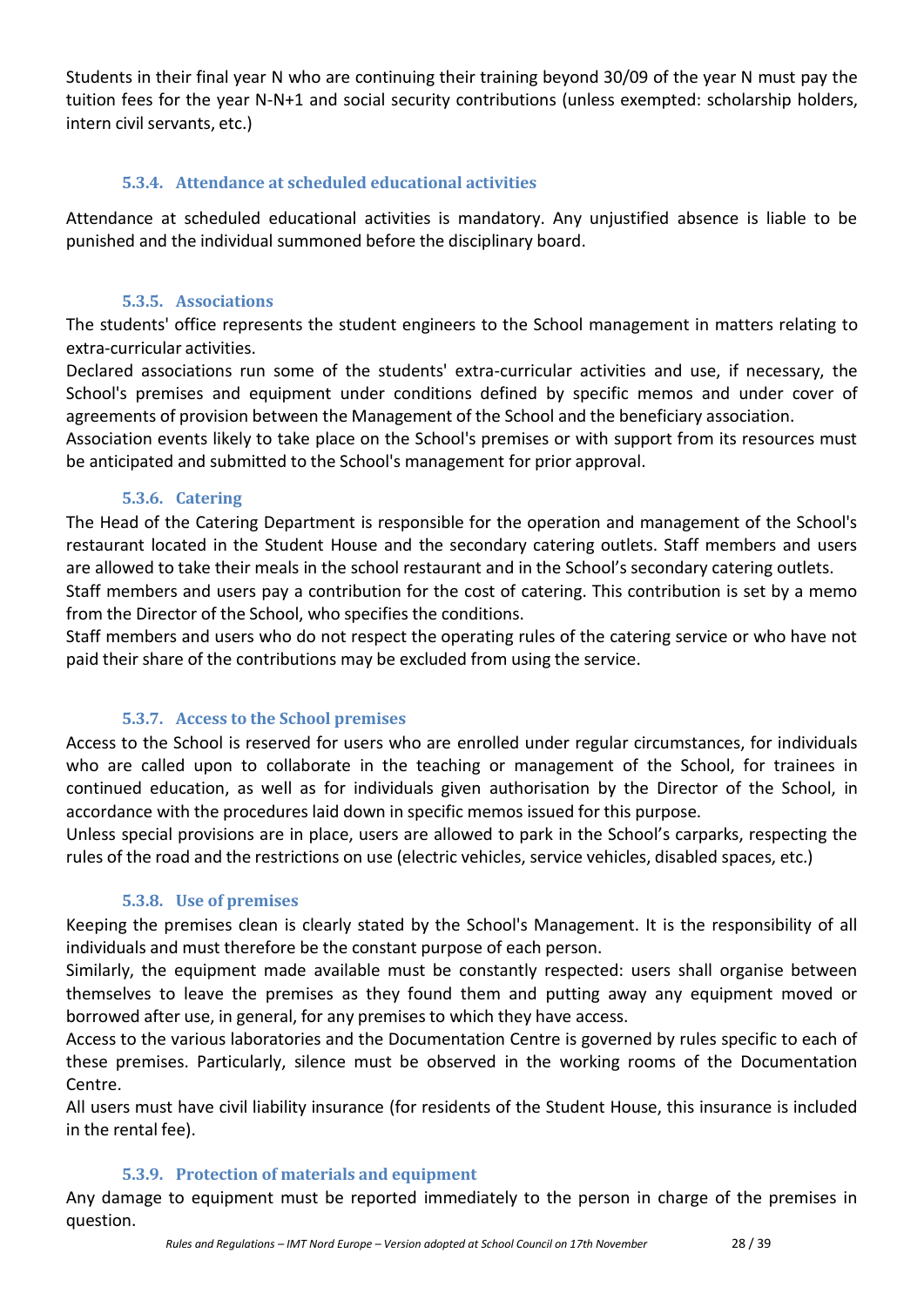Students in their final year N who are continuing their training beyond 30/09 of the year N must pay the tuition fees for the year N-N+1 and social security contributions (unless exempted: scholarship holders, intern civil servants, etc.)

## **5.3.4. Attendance at scheduled educational activities**

Attendance at scheduled educational activities is mandatory. Any unjustified absence is liable to be punished and the individual summoned before the disciplinary board.

## **5.3.5. Associations**

The students' office represents the student engineers to the School management in matters relating to extra-curricular activities.

Declared associations run some of the students' extra-curricular activities and use, if necessary, the School's premises and equipment under conditions defined by specific memos and under cover of agreements of provision between the Management of the School and the beneficiary association.

Association events likely to take place on the School's premises or with support from its resources must be anticipated and submitted to the School's management for prior approval.

## **5.3.6. Catering**

The Head of the Catering Department is responsible for the operation and management of the School's restaurant located in the Student House and the secondary catering outlets. Staff members and users are allowed to take their meals in the school restaurant and in the School's secondary catering outlets. Staff members and users pay a contribution for the cost of catering. This contribution is set by a memo from the Director of the School, who specifies the conditions.

Staff members and users who do not respect the operating rules of the catering service or who have not paid their share of the contributions may be excluded from using the service.

# **5.3.7. Access to the School premises**

Access to the School is reserved for users who are enrolled under regular circumstances, for individuals who are called upon to collaborate in the teaching or management of the School, for trainees in continued education, as well as for individuals given authorisation by the Director of the School, in accordance with the procedures laid down in specific memos issued for this purpose.

Unless special provisions are in place, users are allowed to park in the School's carparks, respecting the rules of the road and the restrictions on use (electric vehicles, service vehicles, disabled spaces, etc.)

## **5.3.8. Use of premises**

Keeping the premises clean is clearly stated by the School's Management. It is the responsibility of all individuals and must therefore be the constant purpose of each person.

Similarly, the equipment made available must be constantly respected: users shall organise between themselves to leave the premises as they found them and putting away any equipment moved or borrowed after use, in general, for any premises to which they have access.

Access to the various laboratories and the Documentation Centre is governed by rules specific to each of these premises. Particularly, silence must be observed in the working rooms of the Documentation Centre.

All users must have civil liability insurance (for residents of the Student House, this insurance is included in the rental fee).

## **5.3.9. Protection of materials and equipment**

Any damage to equipment must be reported immediately to the person in charge of the premises in question.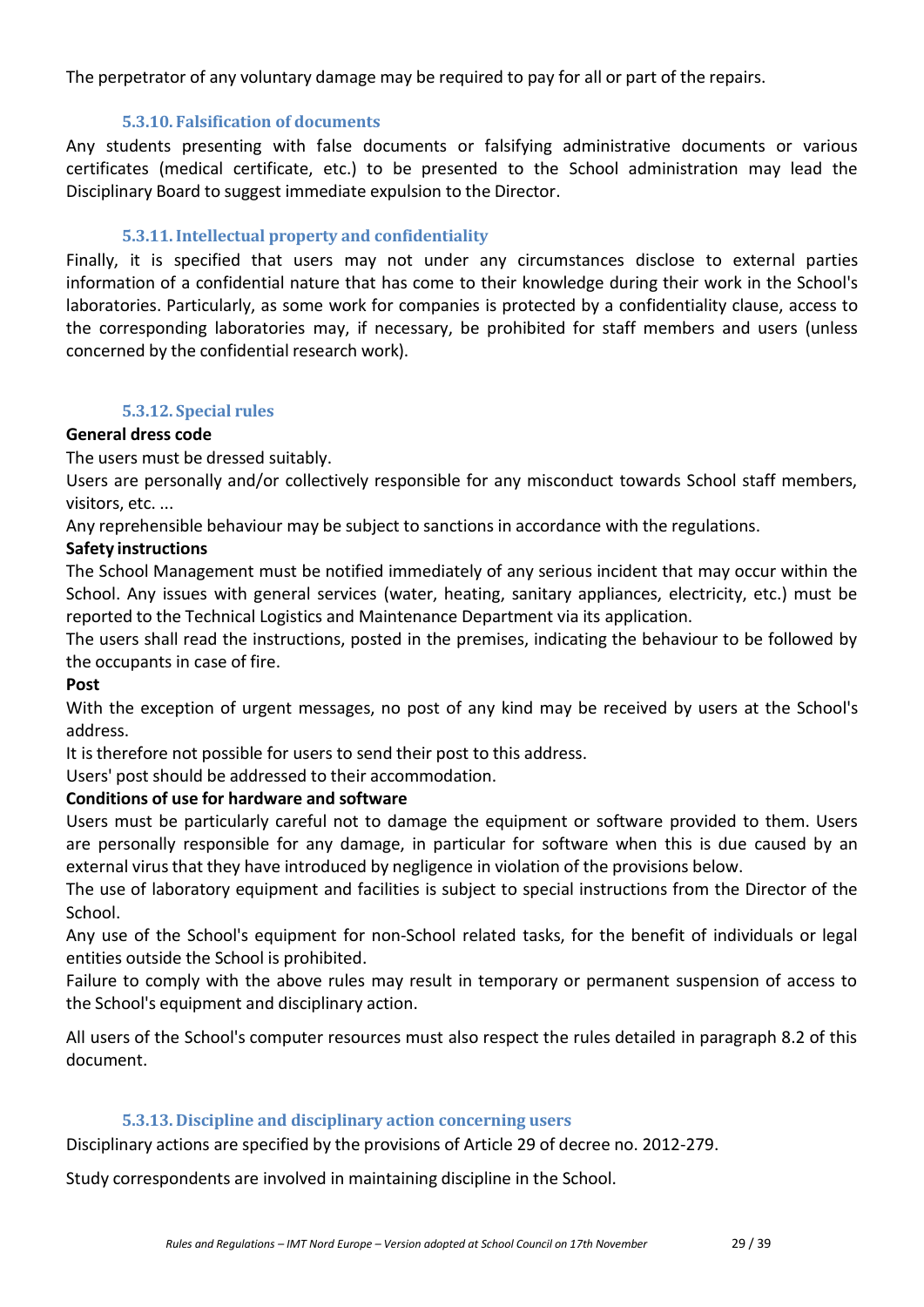The perpetrator of any voluntary damage may be required to pay for all or part of the repairs.

## **5.3.10. Falsification of documents**

Any students presenting with false documents or falsifying administrative documents or various certificates (medical certificate, etc.) to be presented to the School administration may lead the Disciplinary Board to suggest immediate expulsion to the Director.

## **5.3.11.Intellectual property and confidentiality**

Finally, it is specified that users may not under any circumstances disclose to external parties information of a confidential nature that has come to their knowledge during their work in the School's laboratories. Particularly, as some work for companies is protected by a confidentiality clause, access to the corresponding laboratories may, if necessary, be prohibited for staff members and users (unless concerned by the confidential research work).

## **5.3.12. Special rules**

## **General dress code**

The users must be dressed suitably.

Users are personally and/or collectively responsible for any misconduct towards School staff members, visitors, etc. ...

Any reprehensible behaviour may be subject to sanctions in accordance with the regulations.

## **Safety instructions**

The School Management must be notified immediately of any serious incident that may occur within the School. Any issues with general services (water, heating, sanitary appliances, electricity, etc.) must be reported to the Technical Logistics and Maintenance Department via its application.

The users shall read the instructions, posted in the premises, indicating the behaviour to be followed by the occupants in case of fire.

## **Post**

With the exception of urgent messages, no post of any kind may be received by users at the School's address.

It is therefore not possible for users to send their post to this address.

Users' post should be addressed to their accommodation.

## **Conditions of use for hardware and software**

Users must be particularly careful not to damage the equipment or software provided to them. Users are personally responsible for any damage, in particular for software when this is due caused by an external virus that they have introduced by negligence in violation of the provisions below.

The use of laboratory equipment and facilities is subject to special instructions from the Director of the School.

Any use of the School's equipment for non-School related tasks, for the benefit of individuals or legal entities outside the School is prohibited.

Failure to comply with the above rules may result in temporary or permanent suspension of access to the School's equipment and disciplinary action.

All users of the School's computer resources must also respect the rules detailed in paragraph 8.2 of this document.

## **5.3.13. Discipline and disciplinary action concerning users**

Disciplinary actions are specified by the provisions of Article 29 of decree no. 2012-279.

Study correspondents are involved in maintaining discipline in the School.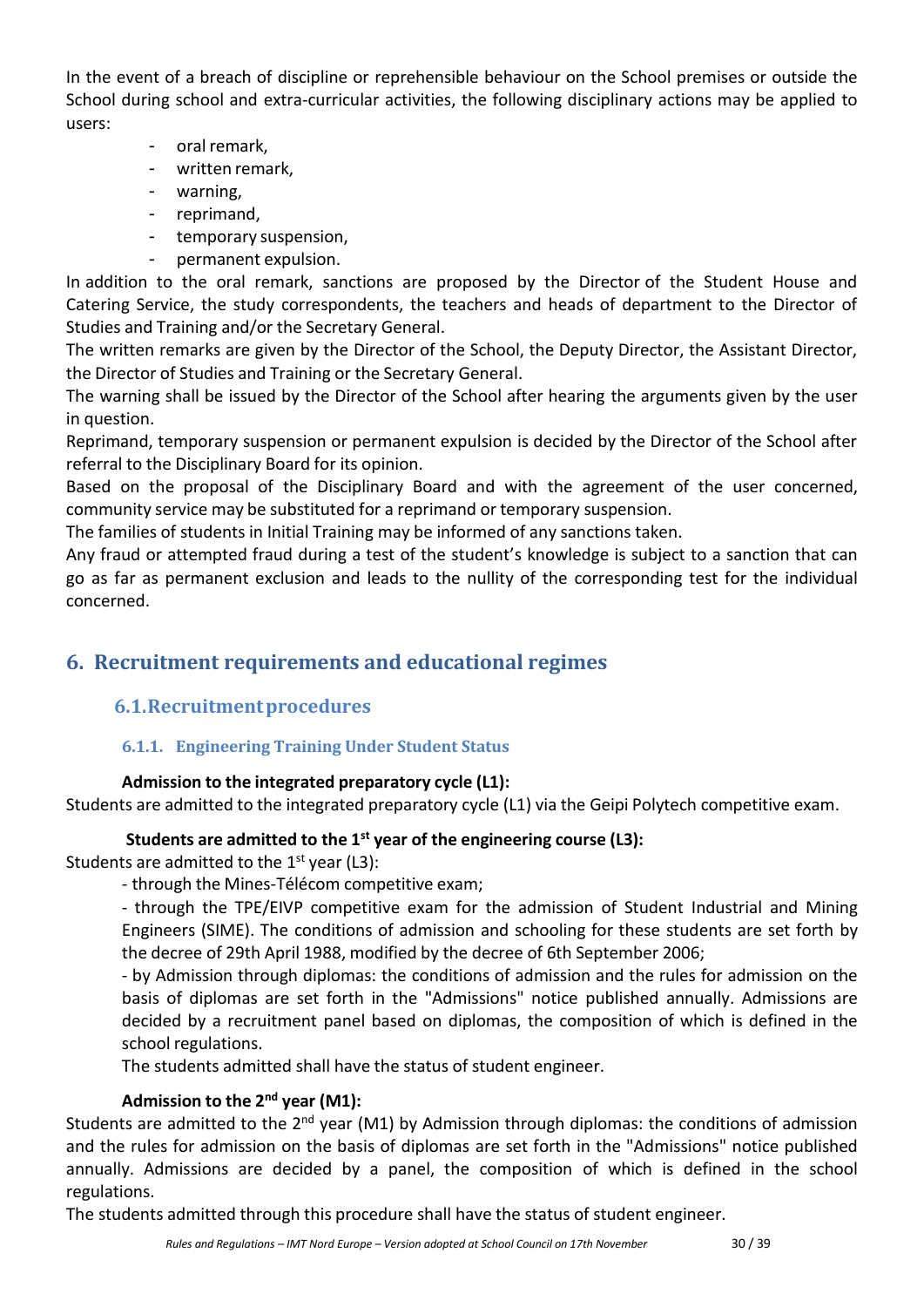In the event of a breach of discipline or reprehensible behaviour on the School premises or outside the School during school and extra-curricular activities, the following disciplinary actions may be applied to users:

- oral remark,
- written remark,
- warning,
- reprimand,
- temporary suspension,
- permanent expulsion.

In addition to the oral remark, sanctions are proposed by the Director of the Student House and Catering Service, the study correspondents, the teachers and heads of department to the Director of Studies and Training and/or the Secretary General.

The written remarks are given by the Director of the School, the Deputy Director, the Assistant Director, the Director of Studies and Training or the Secretary General.

The warning shall be issued by the Director of the School after hearing the arguments given by the user in question.

Reprimand, temporary suspension or permanent expulsion is decided by the Director of the School after referral to the Disciplinary Board for its opinion.

Based on the proposal of the Disciplinary Board and with the agreement of the user concerned, community service may be substituted for a reprimand or temporary suspension.

The families of students in Initial Training may be informed of any sanctions taken.

Any fraud or attempted fraud during a test of the student's knowledge is subject to a sanction that can go as far as permanent exclusion and leads to the nullity of the corresponding test for the individual concerned.

# <span id="page-29-1"></span><span id="page-29-0"></span>**6. Recruitment requirements and educational regimes**

# **6.1.Recruitmentprocedures**

## **6.1.1. Engineering Training Under Student Status**

## **Admission to the integrated preparatory cycle (L1):**

Students are admitted to the integrated preparatory cycle (L1) via the Geipi Polytech competitive exam.

## **Students are admitted to the 1 st year of the engineering course (L3):**

Students are admitted to the 1<sup>st</sup> year (L3):

- through the Mines-Télécom competitive exam;

- through the TPE/EIVP competitive exam for the admission of Student Industrial and Mining Engineers (SIME). The conditions of admission and schooling for these students are set forth by the decree of 29th April 1988, modified by the decree of 6th September 2006;

- by Admission through diplomas: the conditions of admission and the rules for admission on the basis of diplomas are set forth in the "Admissions" notice published annually. Admissions are decided by a recruitment panel based on diplomas, the composition of which is defined in the school regulations.

The students admitted shall have the status of student engineer.

## **Admission to the 2 nd year (M1):**

Students are admitted to the 2<sup>nd</sup> year (M1) by Admission through diplomas: the conditions of admission and the rules for admission on the basis of diplomas are set forth in the "Admissions" notice published annually. Admissions are decided by a panel, the composition of which is defined in the school regulations.

The students admitted through this procedure shall have the status of student engineer.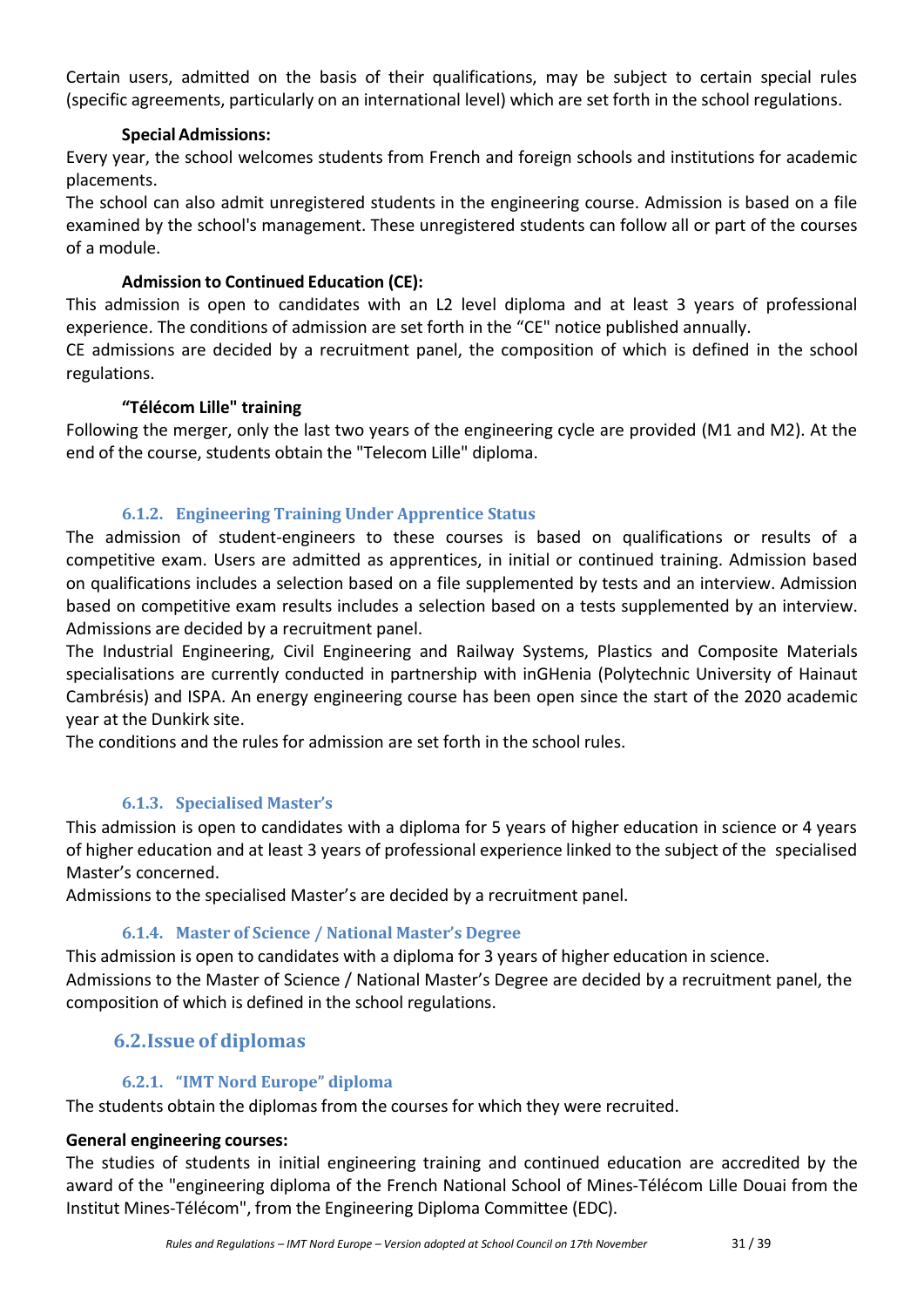Certain users, admitted on the basis of their qualifications, may be subject to certain special rules (specific agreements, particularly on an international level) which are set forth in the school regulations.

#### **Special Admissions:**

Every year, the school welcomes students from French and foreign schools and institutions for academic placements.

The school can also admit unregistered students in the engineering course. Admission is based on a file examined by the school's management. These unregistered students can follow all or part of the courses of a module.

#### **Admission to Continued Education (CE):**

This admission is open to candidates with an L2 level diploma and at least 3 years of professional experience. The conditions of admission are set forth in the "CE" notice published annually.

CE admissions are decided by a recruitment panel, the composition of which is defined in the school regulations.

#### **"Télécom Lille" training**

Following the merger, only the last two years of the engineering cycle are provided (M1 and M2). At the end of the course, students obtain the "Telecom Lille" diploma.

#### **6.1.2. Engineering Training Under Apprentice Status**

The admission of student-engineers to these courses is based on qualifications or results of a competitive exam. Users are admitted as apprentices, in initial or continued training. Admission based on qualifications includes a selection based on a file supplemented by tests and an interview. Admission based on competitive exam results includes a selection based on a tests supplemented by an interview. Admissions are decided by a recruitment panel.

The Industrial Engineering, Civil Engineering and Railway Systems, Plastics and Composite Materials specialisations are currently conducted in partnership with inGHenia (Polytechnic University of Hainaut Cambrésis) and ISPA. An energy engineering course has been open since the start of the 2020 academic year at the Dunkirk site.

The conditions and the rules for admission are set forth in the school rules.

## **6.1.3. Specialised Master's**

This admission is open to candidates with a diploma for 5 years of higher education in science or 4 years of higher education and at least 3 years of professional experience linked to the subject of the specialised Master's concerned.

Admissions to the specialised Master's are decided by a recruitment panel.

## **6.1.4. Master of Science / National Master's Degree**

This admission is open to candidates with a diploma for 3 years of higher education in science. Admissions to the Master of Science / National Master's Degree are decided by a recruitment panel, the composition of which is defined in the school regulations.

# <span id="page-30-0"></span>**6.2.Issue of diplomas**

## **6.2.1. "IMT Nord Europe" diploma**

The students obtain the diplomas from the courses for which they were recruited.

#### **General engineering courses:**

The studies of students in initial engineering training and continued education are accredited by the award of the "engineering diploma of the French National School of Mines-Télécom Lille Douai from the Institut Mines-Télécom", from the Engineering Diploma Committee (EDC).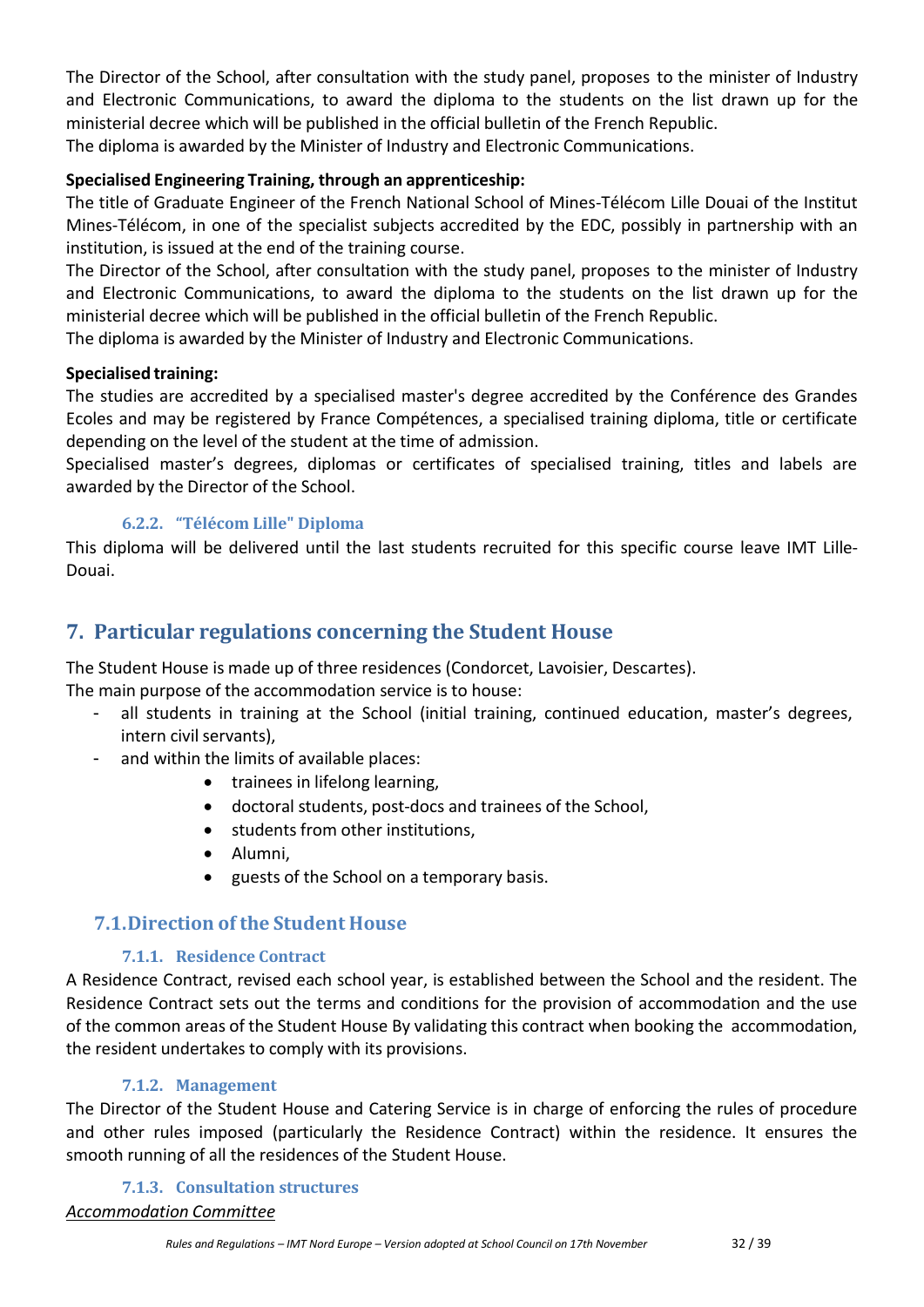The Director of the School, after consultation with the study panel, proposes to the minister of Industry and Electronic Communications, to award the diploma to the students on the list drawn up for the ministerial decree which will be published in the official bulletin of the French Republic. The diploma is awarded by the Minister of Industry and Electronic Communications.

#### **Specialised Engineering Training, through an apprenticeship:**

The title of Graduate Engineer of the French National School of Mines-Télécom Lille Douai of the Institut Mines-Télécom, in one of the specialist subjects accredited by the EDC, possibly in partnership with an institution, is issued at the end of the training course.

The Director of the School, after consultation with the study panel, proposes to the minister of Industry and Electronic Communications, to award the diploma to the students on the list drawn up for the ministerial decree which will be published in the official bulletin of the French Republic.

The diploma is awarded by the Minister of Industry and Electronic Communications.

#### **Specialised training:**

The studies are accredited by a specialised master's degree accredited by the Conférence des Grandes Ecoles and may be registered by France Compétences, a specialised training diploma, title or certificate depending on the level of the student at the time of admission.

Specialised master's degrees, diplomas or certificates of specialised training, titles and labels are awarded by the Director of the School.

#### **6.2.2. "Télécom Lille" Diploma**

This diploma will be delivered until the last students recruited for this specific course leave IMT Lille-Douai.

# <span id="page-31-0"></span>**7. Particular regulations concerning the Student House**

The Student House is made up of three residences (Condorcet, Lavoisier, Descartes).

The main purpose of the accommodation service is to house:

- all students in training at the School (initial training, continued education, master's degrees, intern civil servants),
- and within the limits of available places:
	- trainees in lifelong learning,
	- doctoral students, post-docs and trainees of the School,
	- students from other institutions,
	- Alumni,
	- guests of the School on a temporary basis.

# <span id="page-31-1"></span>**7.1.Direction of the Student House**

#### **7.1.1. Residence Contract**

A Residence Contract, revised each school year, is established between the School and the resident. The Residence Contract sets out the terms and conditions for the provision of accommodation and the use of the common areas of the Student House By validating this contract when booking the accommodation, the resident undertakes to comply with its provisions.

#### **7.1.2. Management**

The Director of the Student House and Catering Service is in charge of enforcing the rules of procedure and other rules imposed (particularly the Residence Contract) within the residence. It ensures the smooth running of all the residences of the Student House.

# **7.1.3. Consultation structures**

*Accommodation Committee*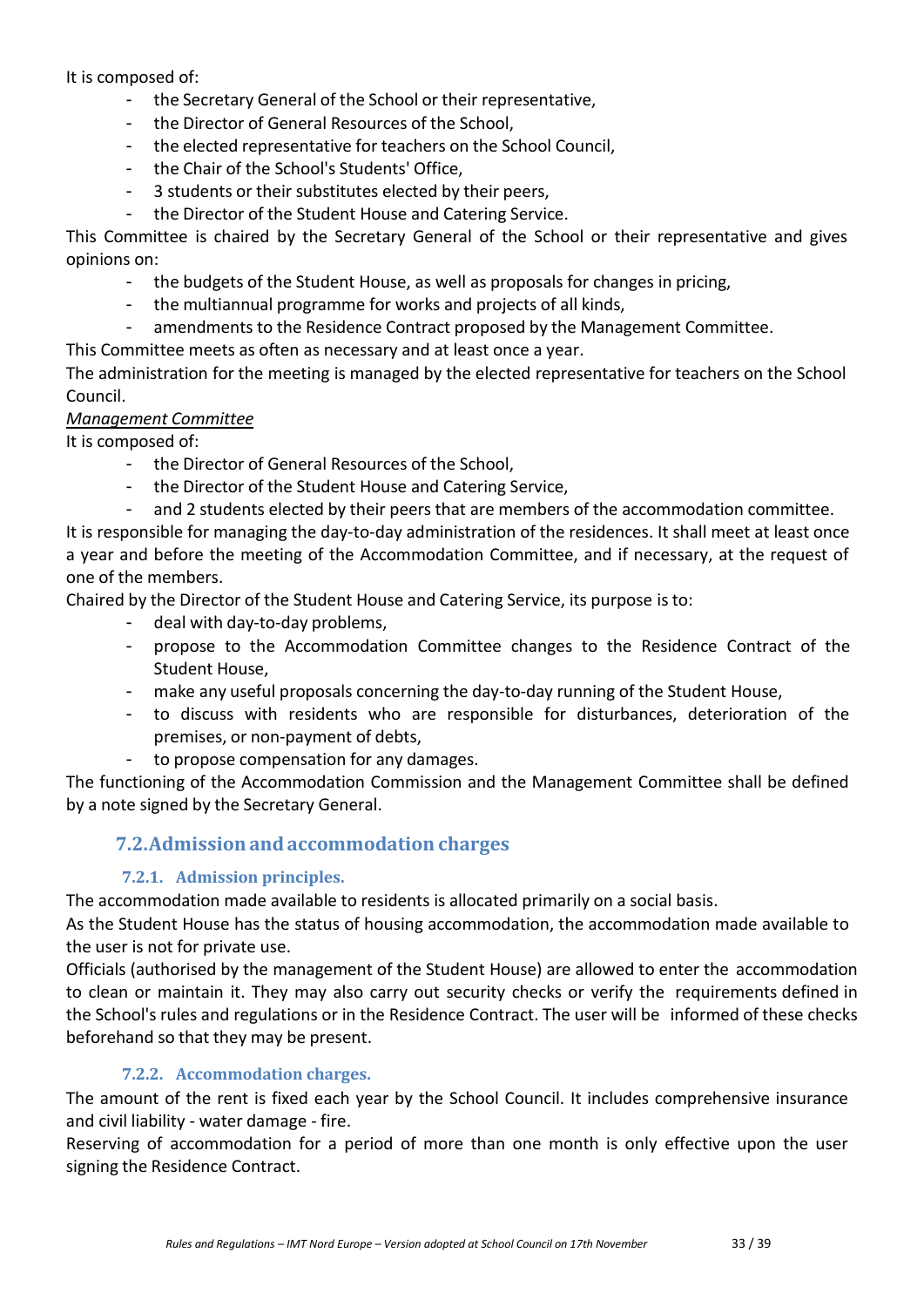It is composed of:

- the Secretary General of the School or their representative,
- the Director of General Resources of the School,
- the elected representative for teachers on the School Council,
- the Chair of the School's Students' Office,
- 3 students or their substitutes elected by their peers,
- the Director of the Student House and Catering Service.

This Committee is chaired by the Secretary General of the School or their representative and gives opinions on:

- the budgets of the Student House, as well as proposals for changes in pricing,
- the multiannual programme for works and projects of all kinds,
- amendments to the Residence Contract proposed by the Management Committee.
- This Committee meets as often as necessary and at least once a year.

The administration for the meeting is managed by the elected representative for teachers on the School Council.

#### *Management Committee*

It is composed of:

- the Director of General Resources of the School,
- the Director of the Student House and Catering Service,
- and 2 students elected by their peers that are members of the accommodation committee.

It is responsible for managing the day-to-day administration of the residences. It shall meet at least once a year and before the meeting of the Accommodation Committee, and if necessary, at the request of one of the members.

Chaired by the Director of the Student House and Catering Service, its purpose is to:

- deal with day-to-day problems,
- propose to the Accommodation Committee changes to the Residence Contract of the Student House,
- make any useful proposals concerning the day-to-day running of the Student House,
- to discuss with residents who are responsible for disturbances, deterioration of the premises, or non-payment of debts,
	- to propose compensation for any damages.

<span id="page-32-0"></span>The functioning of the Accommodation Commission and the Management Committee shall be defined by a note signed by the Secretary General.

# **7.2.Admission andaccommodation charges**

## **7.2.1. Admission principles.**

The accommodation made available to residents is allocated primarily on a social basis.

As the Student House has the status of housing accommodation, the accommodation made available to the user is not for private use.

Officials (authorised by the management of the Student House) are allowed to enter the accommodation to clean or maintain it. They may also carry out security checks or verify the requirements defined in the School's rules and regulations or in the Residence Contract. The user will be informed of these checks beforehand so that they may be present.

## **7.2.2. Accommodation charges.**

The amount of the rent is fixed each year by the School Council. It includes comprehensive insurance and civil liability - water damage - fire.

Reserving of accommodation for a period of more than one month is only effective upon the user signing the Residence Contract.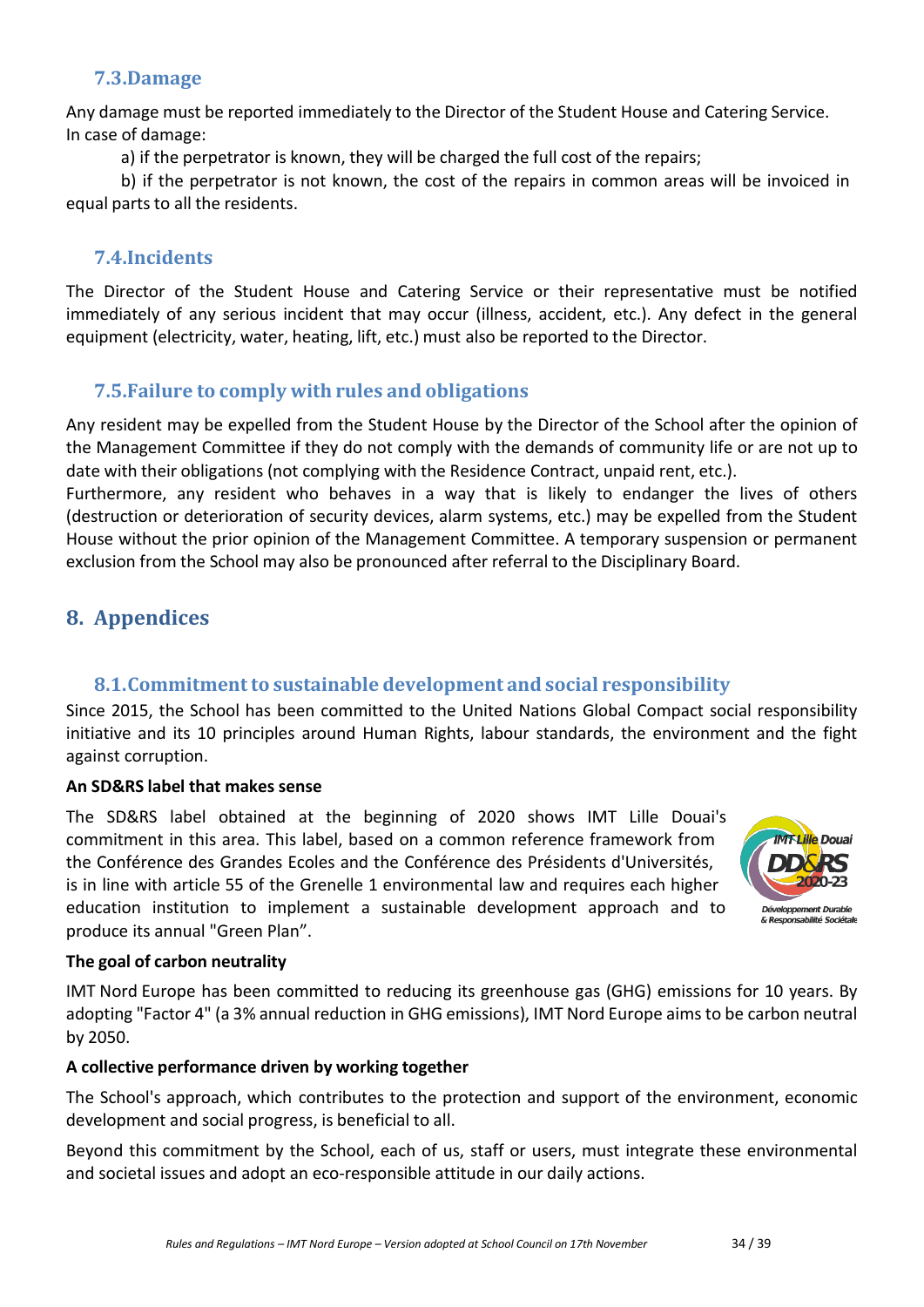# **7.3.Damage**

<span id="page-33-0"></span>Any damage must be reported immediately to the Director of the Student House and Catering Service. In case of damage:

a) if the perpetrator is known, they will be charged the full cost of the repairs;

b) if the perpetrator is not known, the cost of the repairs in common areas will be invoiced in equal parts to all the residents.

# **7.4.Incidents**

<span id="page-33-1"></span>The Director of the Student House and Catering Service or their representative must be notified immediately of any serious incident that may occur (illness, accident, etc.). Any defect in the general equipment (electricity, water, heating, lift, etc.) must also be reported to the Director.

# **7.5.Failure to comply with rules and obligations**

<span id="page-33-2"></span>Any resident may be expelled from the Student House by the Director of the School after the opinion of the Management Committee if they do not comply with the demands of community life or are not up to date with their obligations (not complying with the Residence Contract, unpaid rent, etc.).

Furthermore, any resident who behaves in a way that is likely to endanger the lives of others (destruction or deterioration of security devices, alarm systems, etc.) may be expelled from the Student House without the prior opinion of the Management Committee. A temporary suspension or permanent exclusion from the School may also be pronounced after referral to the Disciplinary Board.

# <span id="page-33-3"></span>**8. Appendices**

# **8.1.Commitmentto sustainable development and social responsibility**

<span id="page-33-4"></span>Since 2015, the School has been committed to the United Nations Global Compact social responsibility initiative and its 10 principles around Human Rights, labour standards, the environment and the fight against corruption.

## **An SD&RS label that makes sense**

The SD&RS label obtained at the beginning of 2020 shows IMT Lille Douai's commitment in this area. This label, based on a common reference framework from the Conférence des Grandes Ecoles and the Conférence des Présidents d'Universités, is in line with article 55 of the Grenelle 1 environmental law and requires each higher education institution to implement a sustainable development approach and to produce its annual "Green Plan".



## **The goal of carbon neutrality**

IMT Nord Europe has been committed to reducing its greenhouse gas (GHG) emissions for 10 years. By adopting "Factor 4" (a 3% annual reduction in GHG emissions), IMT Nord Europe aims to be carbon neutral by 2050.

#### **A collective performance driven by working together**

The School's approach, which contributes to the protection and support of the environment, economic development and social progress, is beneficial to all.

Beyond this commitment by the School, each of us, staff or users, must integrate these environmental and societal issues and adopt an eco-responsible attitude in our daily actions.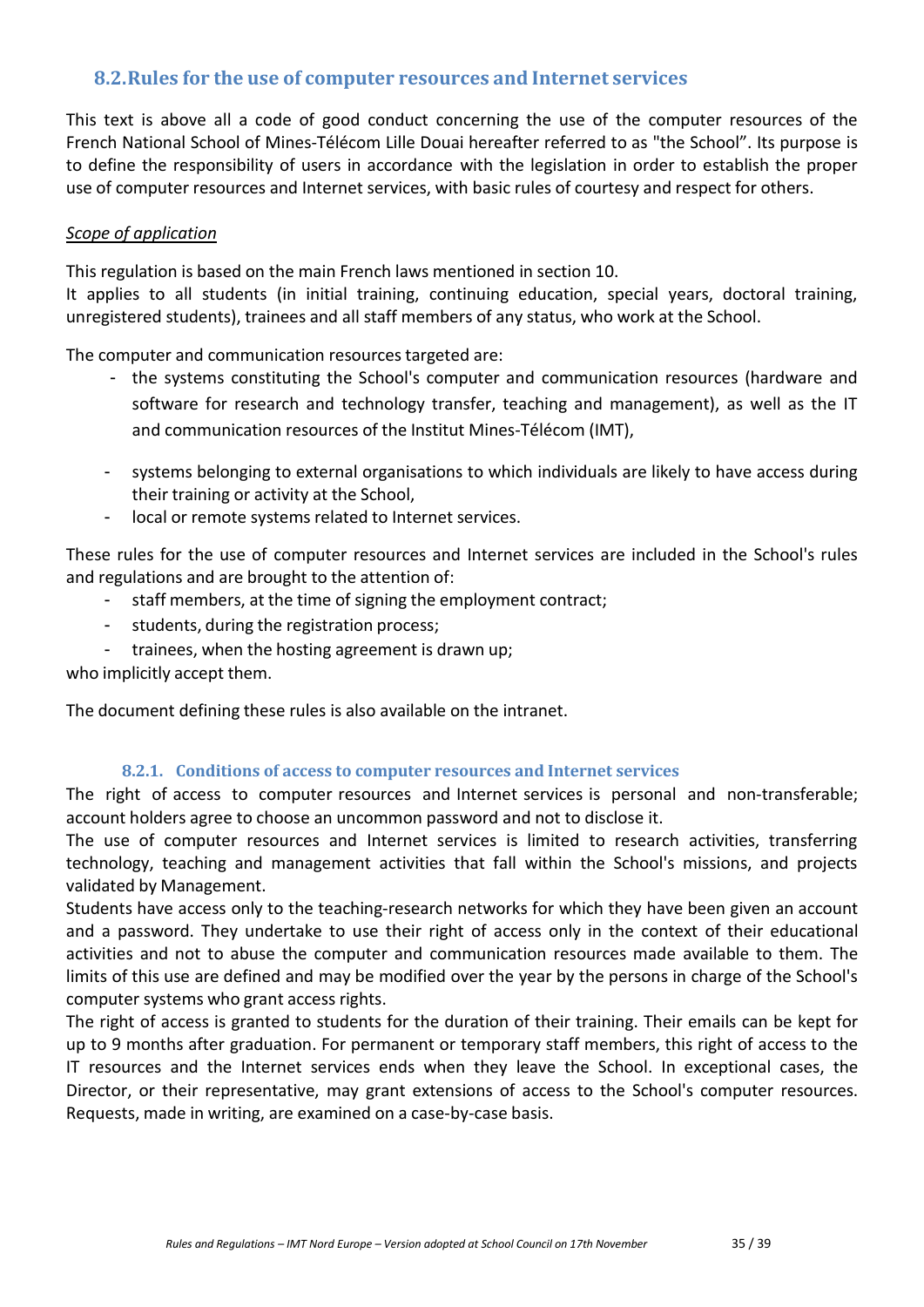## <span id="page-34-0"></span>**8.2.Rules for the use of computer resources and Internet services**

This text is above all a code of good conduct concerning the use of the computer resources of the French National School of Mines-Télécom Lille Douai hereafter referred to as "the School". Its purpose is to define the responsibility of users in accordance with the legislation in order to establish the proper use of computer resources and Internet services, with basic rules of courtesy and respect for others.

#### *Scope of application*

This regulation is based on the main French laws mentioned in section 10.

It applies to all students (in initial training, continuing education, special years, doctoral training, unregistered students), trainees and all staff members of any status, who work at the School.

The computer and communication resources targeted are:

- the systems constituting the School's computer and communication resources (hardware and software for research and technology transfer, teaching and management), as well as the IT and communication resources of the Institut Mines-Télécom (IMT),
- systems belonging to external organisations to which individuals are likely to have access during their training or activity at the School,
- local or remote systems related to Internet services.

These rules for the use of computer resources and Internet services are included in the School's rules and regulations and are brought to the attention of:

- staff members, at the time of signing the employment contract;
- students, during the registration process;
- trainees, when the hosting agreement is drawn up;

who implicitly accept them.

The document defining these rules is also available on the intranet.

#### **8.2.1. Conditions of access to computer resources and Internet services**

The right of access to computer resources and Internet services is personal and non-transferable; account holders agree to choose an uncommon password and not to disclose it.

The use of computer resources and Internet services is limited to research activities, transferring technology, teaching and management activities that fall within the School's missions, and projects validated by Management.

Students have access only to the teaching-research networks for which they have been given an account and a password. They undertake to use their right of access only in the context of their educational activities and not to abuse the computer and communication resources made available to them. The limits of this use are defined and may be modified over the year by the persons in charge of the School's computer systems who grant access rights.

The right of access is granted to students for the duration of their training. Their emails can be kept for up to 9 months after graduation. For permanent or temporary staff members, this right of access to the IT resources and the Internet services ends when they leave the School. In exceptional cases, the Director, or their representative, may grant extensions of access to the School's computer resources. Requests, made in writing, are examined on a case-by-case basis.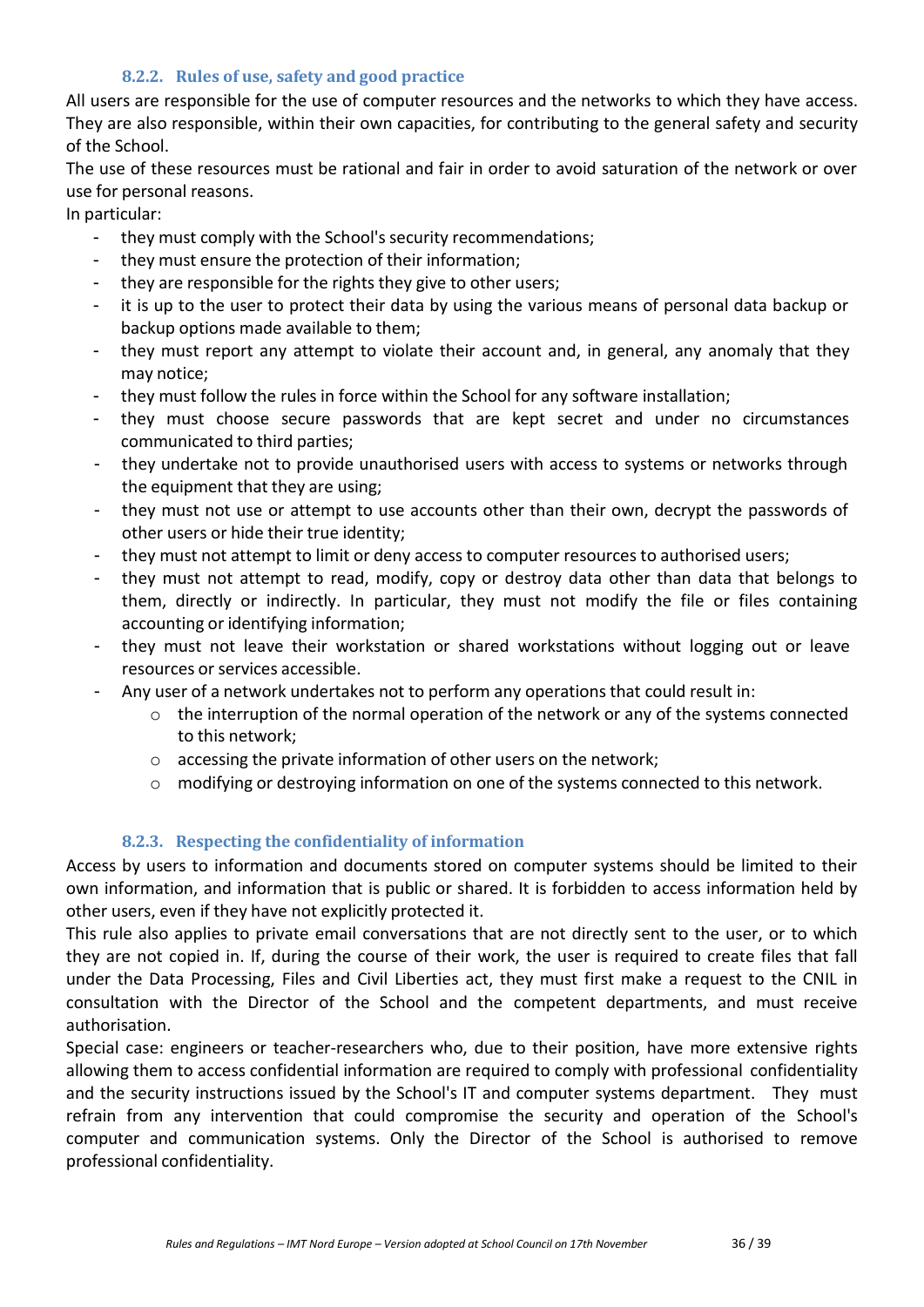## **8.2.2. Rules of use, safety and good practice**

All users are responsible for the use of computer resources and the networks to which they have access. They are also responsible, within their own capacities, for contributing to the general safety and security of the School.

The use of these resources must be rational and fair in order to avoid saturation of the network or over use for personal reasons.

In particular:<br>they r

- they must comply with the School's security recommendations;
- they must ensure the protection of their information;
- they are responsible for the rights they give to other users;
- it is up to the user to protect their data by using the various means of personal data backup or backup options made available to them;
- they must report any attempt to violate their account and, in general, any anomaly that they may notice;
- they must follow the rules in force within the School for any software installation;
- they must choose secure passwords that are kept secret and under no circumstances communicated to third parties;
- they undertake not to provide unauthorised users with access to systems or networks through the equipment that they are using;
- they must not use or attempt to use accounts other than their own, decrypt the passwords of other users or hide their true identity;
- they must not attempt to limit or deny access to computer resources to authorised users;
- they must not attempt to read, modify, copy or destroy data other than data that belongs to them, directly or indirectly. In particular, they must not modify the file or files containing accounting or identifying information;
- they must not leave their workstation or shared workstations without logging out or leave resources or services accessible.
- Any user of a network undertakes not to perform any operations that could result in:
	- o the interruption of the normal operation of the network or any of the systems connected to this network;
	- o accessing the private information of other users on the network;
	- o modifying or destroying information on one of the systems connected to this network.

## **8.2.3. Respecting the confidentiality of information**

Access by users to information and documents stored on computer systems should be limited to their own information, and information that is public or shared. It is forbidden to access information held by other users, even if they have not explicitly protected it.

This rule also applies to private email conversations that are not directly sent to the user, or to which they are not copied in. If, during the course of their work, the user is required to create files that fall under the Data Processing, Files and Civil Liberties act, they must first make a request to the CNIL in consultation with the Director of the School and the competent departments, and must receive authorisation.

Special case: engineers or teacher-researchers who, due to their position, have more extensive rights allowing them to access confidential information are required to comply with professional confidentiality and the security instructions issued by the School's IT and computer systems department. They must refrain from any intervention that could compromise the security and operation of the School's computer and communication systems. Only the Director of the School is authorised to remove professional confidentiality.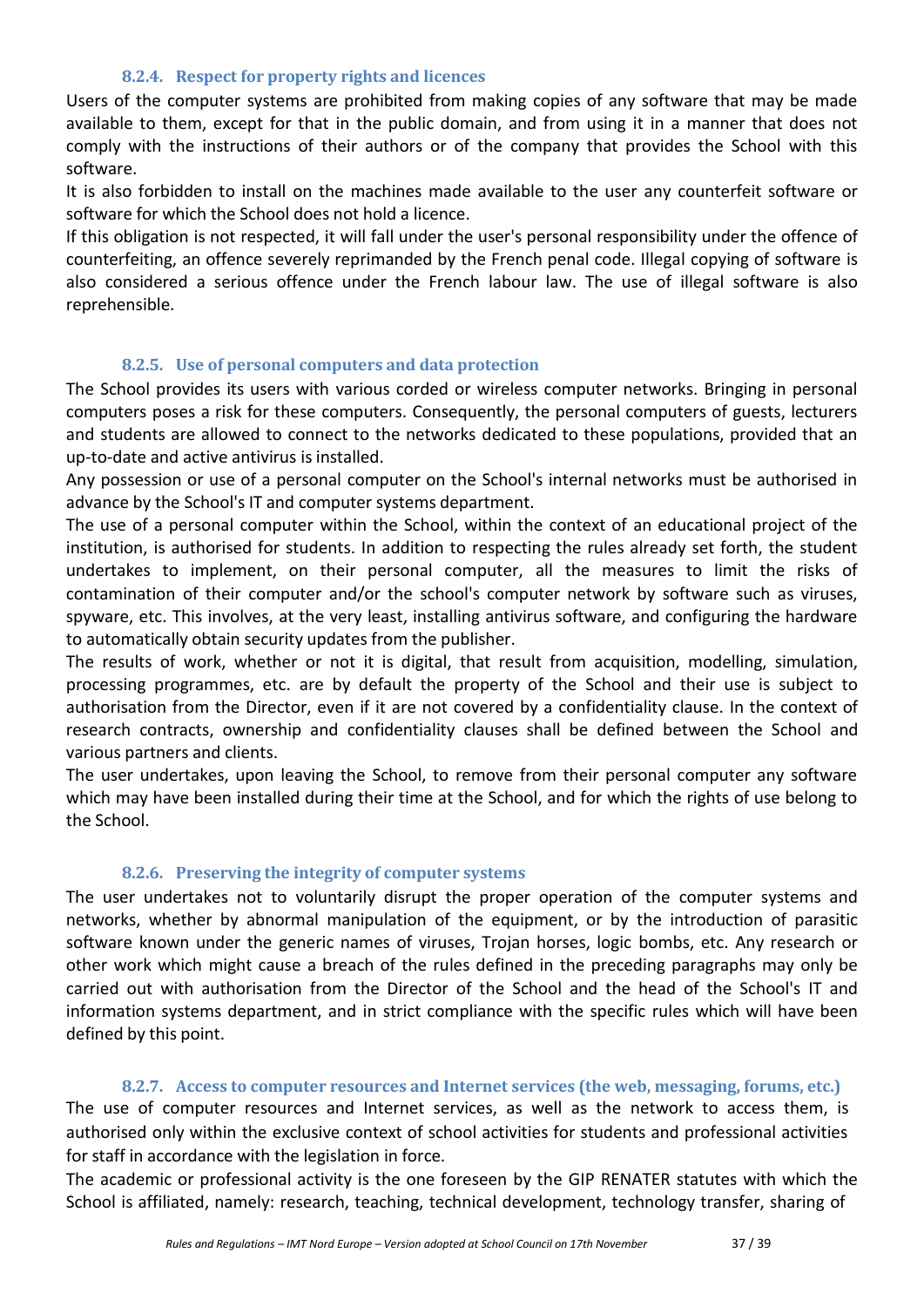#### **8.2.4. Respect for property rights and licences**

Users of the computer systems are prohibited from making copies of any software that may be made available to them, except for that in the public domain, and from using it in a manner that does not comply with the instructions of their authors or of the company that provides the School with this software.

It is also forbidden to install on the machines made available to the user any counterfeit software or software for which the School does not hold a licence.

If this obligation is not respected, it will fall under the user's personal responsibility under the offence of counterfeiting, an offence severely reprimanded by the French penal code. Illegal copying of software is also considered a serious offence under the French labour law. The use of illegal software is also reprehensible.

#### **8.2.5. Use of personal computers and data protection**

The School provides its users with various corded or wireless computer networks. Bringing in personal computers poses a risk for these computers. Consequently, the personal computers of guests, lecturers and students are allowed to connect to the networks dedicated to these populations, provided that an up-to-date and active antivirus is installed.

Any possession or use of a personal computer on the School's internal networks must be authorised in advance by the School's IT and computer systems department.

The use of a personal computer within the School, within the context of an educational project of the institution, is authorised for students. In addition to respecting the rules already set forth, the student undertakes to implement, on their personal computer, all the measures to limit the risks of contamination of their computer and/or the school's computer network by software such as viruses, spyware, etc. This involves, at the very least, installing antivirus software, and configuring the hardware to automatically obtain security updates from the publisher.

The results of work, whether or not it is digital, that result from acquisition, modelling, simulation, processing programmes, etc. are by default the property of the School and their use is subject to authorisation from the Director, even if it are not covered by a confidentiality clause. In the context of research contracts, ownership and confidentiality clauses shall be defined between the School and various partners and clients.

The user undertakes, upon leaving the School, to remove from their personal computer any software which may have been installed during their time at the School, and for which the rights of use belong to the School.

#### **8.2.6. Preserving the integrity of computer systems**

The user undertakes not to voluntarily disrupt the proper operation of the computer systems and networks, whether by abnormal manipulation of the equipment, or by the introduction of parasitic software known under the generic names of viruses, Trojan horses, logic bombs, etc. Any research or other work which might cause a breach of the rules defined in the preceding paragraphs may only be carried out with authorisation from the Director of the School and the head of the School's IT and information systems department, and in strict compliance with the specific rules which will have been defined by this point.

#### **8.2.7. Access to computer resources and Internet services (the web, messaging, forums, etc.)**

The use of computer resources and Internet services, as well as the network to access them, is authorised only within the exclusive context of school activities for students and professional activities for staff in accordance with the legislation in force.

The academic or professional activity is the one foreseen by the GIP RENATER statutes with which the School is affiliated, namely: research, teaching, technical development, technology transfer, sharing of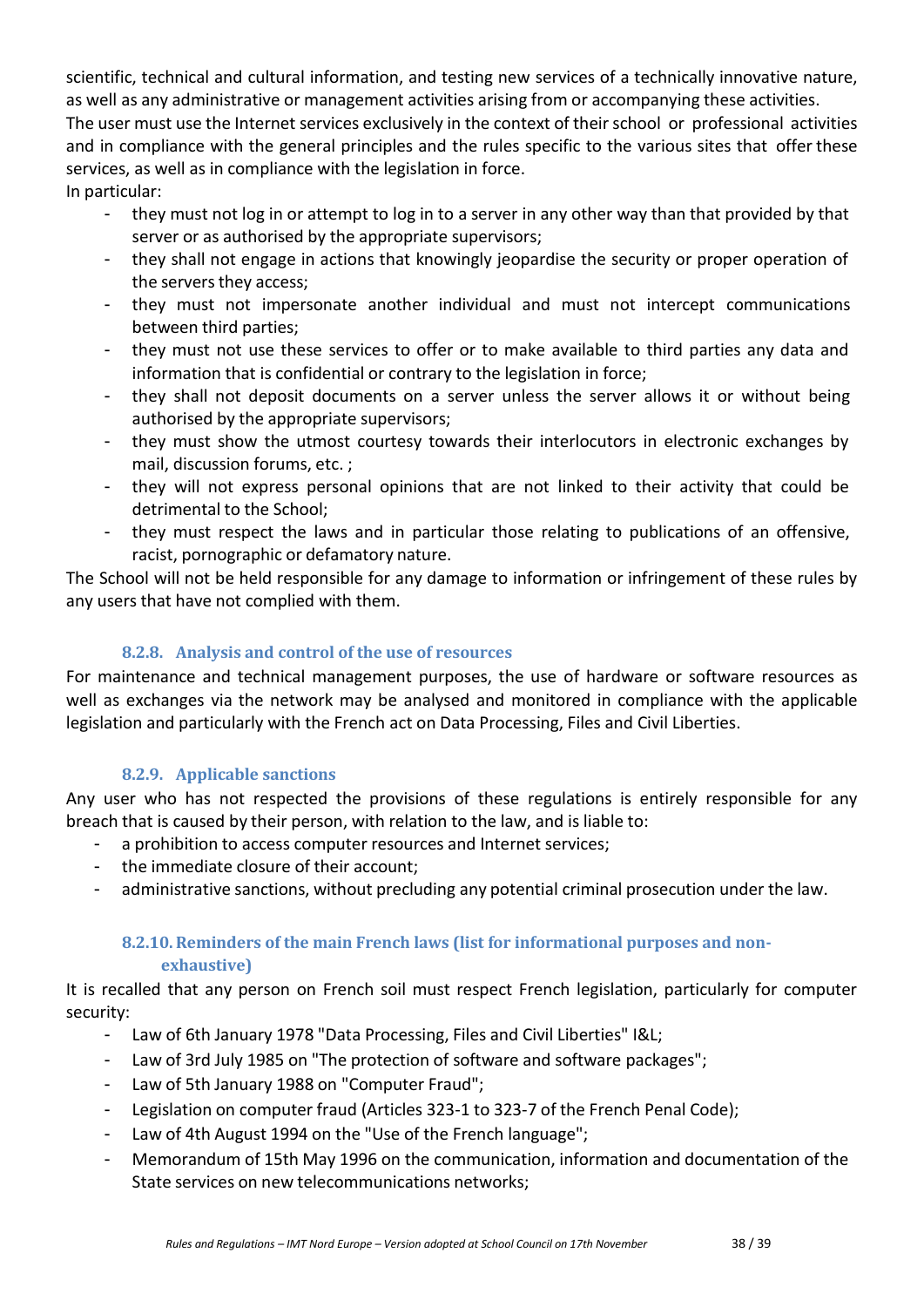scientific, technical and cultural information, and testing new services of a technically innovative nature, as well as any administrative or management activities arising from or accompanying these activities. The user must use the Internet services exclusively in the context of their school or professional activities and in compliance with the general principles and the rules specific to the various sites that offer these services, as well as in compliance with the legislation in force.

In particular:

- they must not log in or attempt to log in to a server in any other way than that provided by that server or as authorised by the appropriate supervisors;
- they shall not engage in actions that knowingly jeopardise the security or proper operation of the servers they access;
- they must not impersonate another individual and must not intercept communications between third parties;
- they must not use these services to offer or to make available to third parties any data and information that is confidential or contrary to the legislation in force;
- they shall not deposit documents on a server unless the server allows it or without being authorised by the appropriate supervisors;
- they must show the utmost courtesy towards their interlocutors in electronic exchanges by mail, discussion forums, etc. ;
- they will not express personal opinions that are not linked to their activity that could be detrimental to the School;
- they must respect the laws and in particular those relating to publications of an offensive, racist, pornographic or defamatory nature.

The School will not be held responsible for any damage to information or infringement of these rules by any users that have not complied with them.

# **8.2.8. Analysis and control of the use of resources**

For maintenance and technical management purposes, the use of hardware or software resources as well as exchanges via the network may be analysed and monitored in compliance with the applicable legislation and particularly with the French act on Data Processing, Files and Civil Liberties.

## **8.2.9. Applicable sanctions**

Any user who has not respected the provisions of these regulations is entirely responsible for any breach that is caused by their person, with relation to the law, and is liable to:

- a prohibition to access computer resources and Internet services;
- the immediate closure of their account;
- administrative sanctions, without precluding any potential criminal prosecution under the law.

#### **8.2.10.Reminders of the main French laws (list for informational purposes and nonexhaustive)**

It is recalled that any person on French soil must respect French legislation, particularly for computer security:

- Law of 6th January 1978 "Data Processing, Files and Civil Liberties" I&L;
- Law of 3rd July 1985 on "The protection of software and software packages";
- Law of 5th January 1988 on "Computer Fraud";
- Legislation on computer fraud (Articles 323-1 to 323-7 of the French Penal Code);
- Law of 4th August 1994 on the "Use of the French language";
- Memorandum of 15th May 1996 on the communication, information and documentation of the State services on new telecommunications networks;